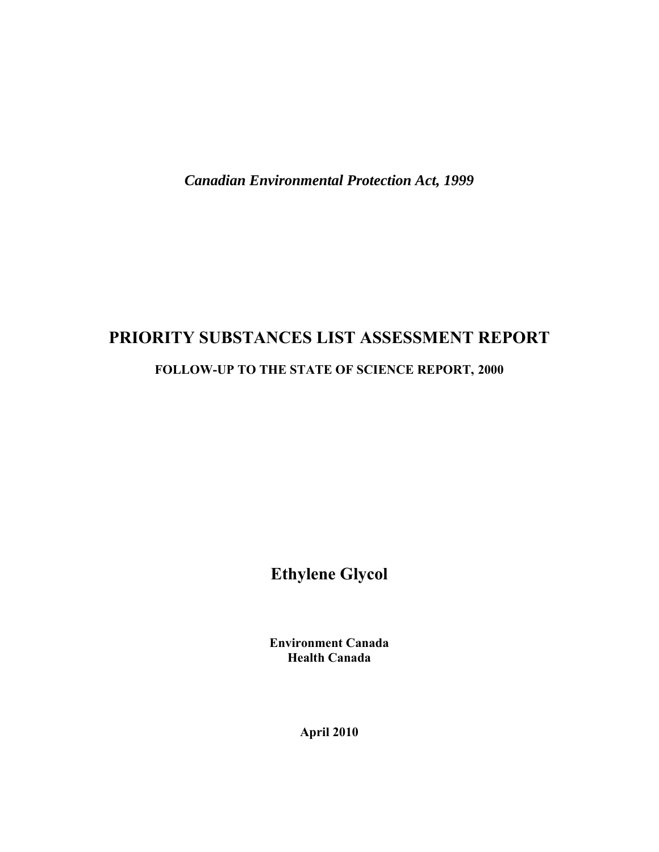*Canadian Environmental Protection Act, 1999* 

# **PRIORITY SUBSTANCES LIST ASSESSMENT REPORT**

## **FOLLOW-UP TO THE STATE OF SCIENCE REPORT, 2000**

**Ethylene Glycol** 

**Environment Canada Health Canada** 

**April 2010**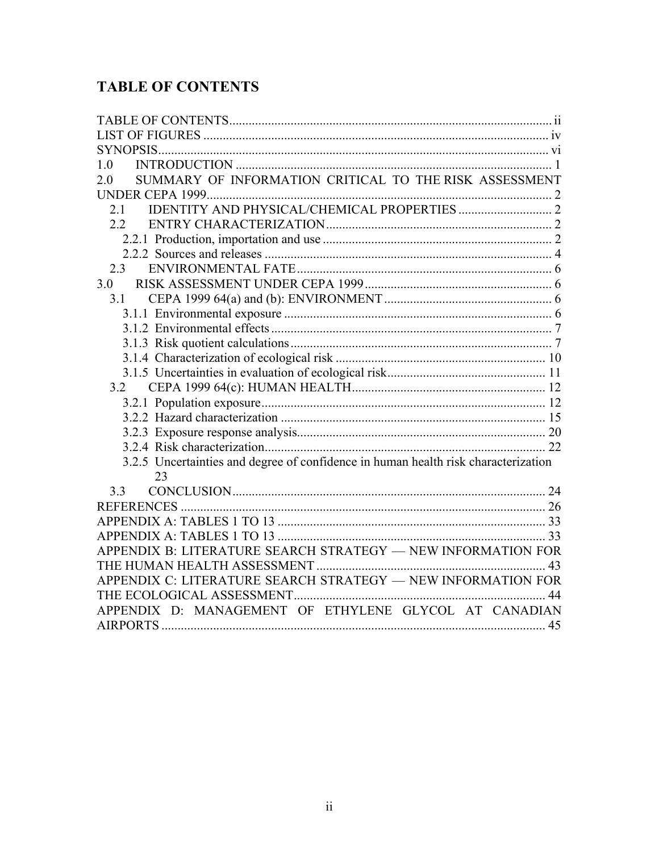# <span id="page-1-0"></span>**TABLE OF CONTENTS**

| 1.0                                                                                      |
|------------------------------------------------------------------------------------------|
| SUMMARY OF INFORMATION CRITICAL TO THE RISK ASSESSMENT<br>2.0                            |
|                                                                                          |
| 2.1                                                                                      |
| $2.2^{\circ}$                                                                            |
|                                                                                          |
|                                                                                          |
| 2.3                                                                                      |
| 3.0                                                                                      |
| 3.1                                                                                      |
|                                                                                          |
|                                                                                          |
|                                                                                          |
|                                                                                          |
|                                                                                          |
| 3.2                                                                                      |
|                                                                                          |
|                                                                                          |
|                                                                                          |
|                                                                                          |
| 3.2.5 Uncertainties and degree of confidence in human health risk characterization<br>23 |
| 3.3                                                                                      |
|                                                                                          |
|                                                                                          |
|                                                                                          |
| APPENDIX B: LITERATURE SEARCH STRATEGY - NEW INFORMATION FOR                             |
|                                                                                          |
| APPENDIX C: LITERATURE SEARCH STRATEGY - NEW INFORMATION FOR                             |
|                                                                                          |
| APPENDIX D: MANAGEMENT OF ETHYLENE GLYCOL AT CANADIAN                                    |
|                                                                                          |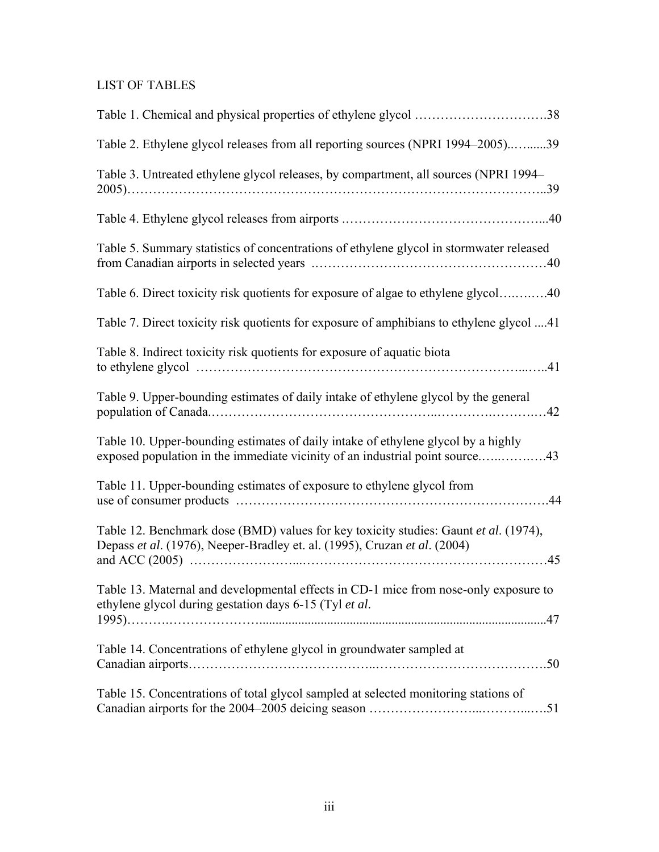# LIST OF TABLES

| Table 1. Chemical and physical properties of ethylene glycol 38                                                                                                   |  |
|-------------------------------------------------------------------------------------------------------------------------------------------------------------------|--|
| Table 2. Ethylene glycol releases from all reporting sources (NPRI 1994–2005)39                                                                                   |  |
| Table 3. Untreated ethylene glycol releases, by compartment, all sources (NPRI 1994-                                                                              |  |
|                                                                                                                                                                   |  |
| Table 5. Summary statistics of concentrations of ethylene glycol in stormwater released                                                                           |  |
| Table 6. Direct toxicity risk quotients for exposure of algae to ethylene glycol40                                                                                |  |
| Table 7. Direct toxicity risk quotients for exposure of amphibians to ethylene glycol 41                                                                          |  |
| Table 8. Indirect toxicity risk quotients for exposure of aquatic biota                                                                                           |  |
| Table 9. Upper-bounding estimates of daily intake of ethylene glycol by the general                                                                               |  |
| Table 10. Upper-bounding estimates of daily intake of ethylene glycol by a highly<br>exposed population in the immediate vicinity of an industrial point source43 |  |
| Table 11. Upper-bounding estimates of exposure to ethylene glycol from                                                                                            |  |
| Table 12. Benchmark dose (BMD) values for key toxicity studies: Gaunt et al. (1974),<br>Depass et al. (1976), Neeper-Bradley et. al. (1995), Cruzan et al. (2004) |  |
| Table 13. Maternal and developmental effects in CD-1 mice from nose-only exposure to<br>ethylene glycol during gestation days 6-15 (Tyl et al.                    |  |
| Table 14. Concentrations of ethylene glycol in groundwater sampled at                                                                                             |  |
| Table 15. Concentrations of total glycol sampled at selected monitoring stations of                                                                               |  |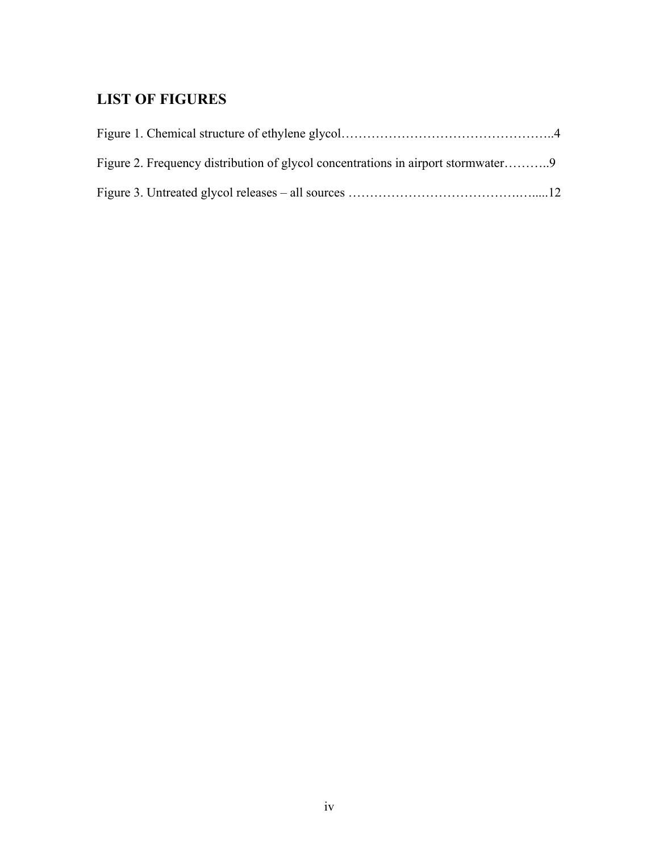# <span id="page-3-0"></span>**LIST OF FIGURES**

| Figure 2. Frequency distribution of glycol concentrations in airport stormwater9 |  |
|----------------------------------------------------------------------------------|--|
|                                                                                  |  |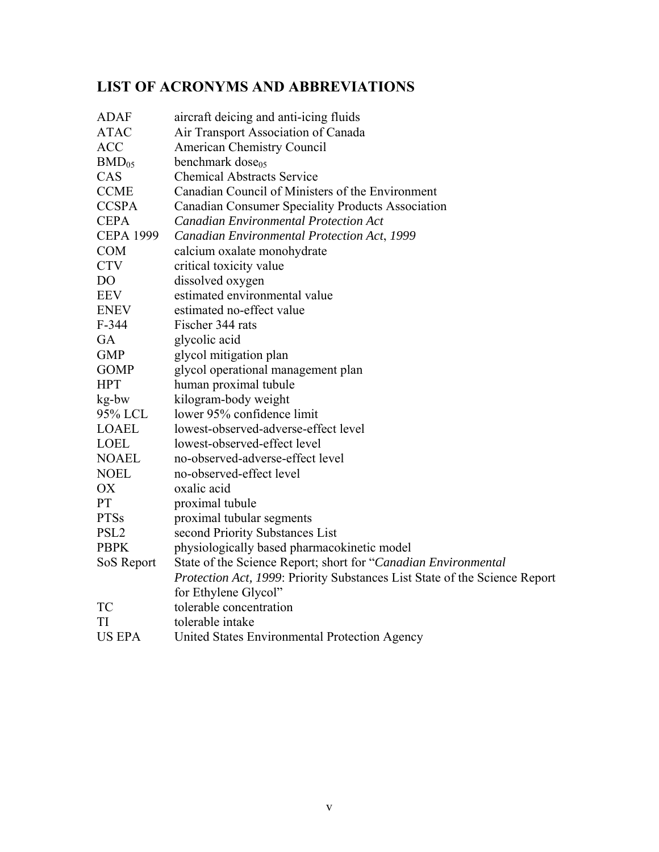# **LIST OF ACRONYMS AND ABBREVIATIONS**

| <b>ADAF</b>      | aircraft deicing and anti-icing fluids                                     |
|------------------|----------------------------------------------------------------------------|
| <b>ATAC</b>      | Air Transport Association of Canada                                        |
| <b>ACC</b>       | <b>American Chemistry Council</b>                                          |
| $BMD_{05}$       | benchmark dose <sub>05</sub>                                               |
| CAS              | <b>Chemical Abstracts Service</b>                                          |
| <b>CCME</b>      | Canadian Council of Ministers of the Environment                           |
| <b>CCSPA</b>     | Canadian Consumer Speciality Products Association                          |
| <b>CEPA</b>      | <b>Canadian Environmental Protection Act</b>                               |
| <b>CEPA 1999</b> | Canadian Environmental Protection Act, 1999                                |
| <b>COM</b>       | calcium oxalate monohydrate                                                |
| <b>CTV</b>       | critical toxicity value                                                    |
| D <sub>O</sub>   | dissolved oxygen                                                           |
| <b>EEV</b>       | estimated environmental value                                              |
| <b>ENEV</b>      | estimated no-effect value                                                  |
| $F-344$          | Fischer 344 rats                                                           |
| GA               | glycolic acid                                                              |
| <b>GMP</b>       | glycol mitigation plan                                                     |
| <b>GOMP</b>      | glycol operational management plan                                         |
| <b>HPT</b>       | human proximal tubule                                                      |
| kg-bw            | kilogram-body weight                                                       |
| 95% LCL          | lower 95% confidence limit                                                 |
| <b>LOAEL</b>     | lowest-observed-adverse-effect level                                       |
| <b>LOEL</b>      | lowest-observed-effect level                                               |
| <b>NOAEL</b>     | no-observed-adverse-effect level                                           |
| <b>NOEL</b>      | no-observed-effect level                                                   |
| OX               | oxalic acid                                                                |
| PT               | proximal tubule                                                            |
| <b>PTSs</b>      | proximal tubular segments                                                  |
| PSL <sub>2</sub> | second Priority Substances List                                            |
| <b>PBPK</b>      | physiologically based pharmacokinetic model                                |
| SoS Report       | State of the Science Report; short for "Canadian Environmental             |
|                  | Protection Act, 1999: Priority Substances List State of the Science Report |
|                  | for Ethylene Glycol"                                                       |
| <b>TC</b>        | tolerable concentration                                                    |
| TI               | tolerable intake                                                           |
| <b>US EPA</b>    | United States Environmental Protection Agency                              |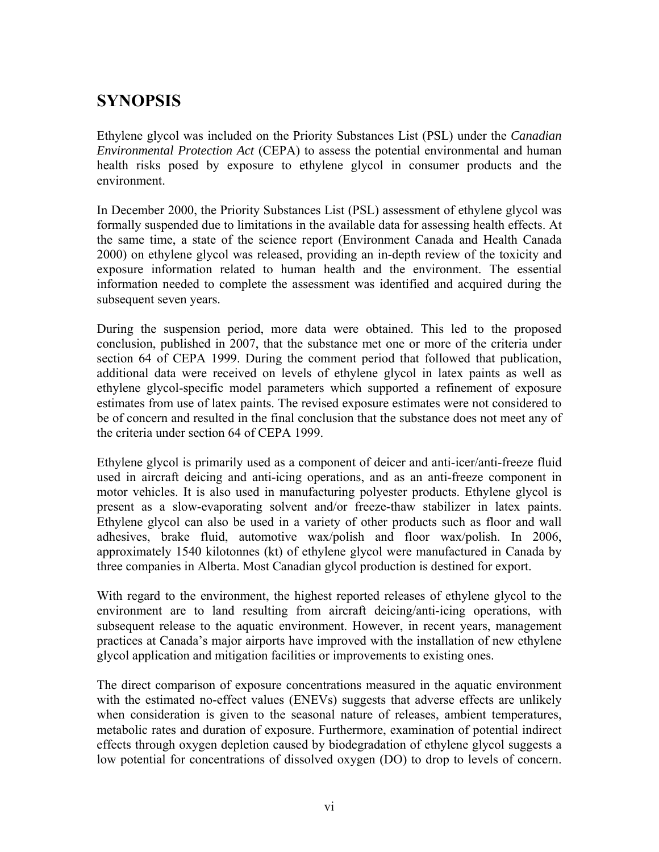# <span id="page-5-0"></span>**SYNOPSIS**

Ethylene glycol was included on the Priority Substances List (PSL) under the *Canadian Environmental Protection Act* (CEPA) to assess the potential environmental and human health risks posed by exposure to ethylene glycol in consumer products and the environment.

In December 2000, the Priority Substances List (PSL) assessment of ethylene glycol was formally suspended due to limitations in the available data for assessing health effects. At the same time, a state of the science report (Environment Canada and Health Canada 2000) on ethylene glycol was released, providing an in-depth review of the toxicity and exposure information related to human health and the environment. The essential information needed to complete the assessment was identified and acquired during the subsequent seven years.

During the suspension period, more data were obtained. This led to the proposed conclusion, published in 2007, that the substance met one or more of the criteria under section 64 of CEPA 1999. During the comment period that followed that publication, additional data were received on levels of ethylene glycol in latex paints as well as ethylene glycol-specific model parameters which supported a refinement of exposure estimates from use of latex paints. The revised exposure estimates were not considered to be of concern and resulted in the final conclusion that the substance does not meet any of the criteria under section 64 of CEPA 1999.

Ethylene glycol is primarily used as a component of deicer and anti-icer/anti-freeze fluid used in aircraft deicing and anti-icing operations, and as an anti-freeze component in motor vehicles. It is also used in manufacturing polyester products. Ethylene glycol is present as a slow-evaporating solvent and/or freeze-thaw stabilizer in latex paints. Ethylene glycol can also be used in a variety of other products such as floor and wall adhesives, brake fluid, automotive wax/polish and floor wax/polish. In 2006, approximately 1540 kilotonnes (kt) of ethylene glycol were manufactured in Canada by three companies in Alberta. Most Canadian glycol production is destined for export.

With regard to the environment, the highest reported releases of ethylene glycol to the environment are to land resulting from aircraft deicing/anti-icing operations, with subsequent release to the aquatic environment. However, in recent years, management practices at Canada's major airports have improved with the installation of new ethylene glycol application and mitigation facilities or improvements to existing ones.

The direct comparison of exposure concentrations measured in the aquatic environment with the estimated no-effect values (ENEVs) suggests that adverse effects are unlikely when consideration is given to the seasonal nature of releases, ambient temperatures, metabolic rates and duration of exposure. Furthermore, examination of potential indirect effects through oxygen depletion caused by biodegradation of ethylene glycol suggests a low potential for concentrations of dissolved oxygen (DO) to drop to levels of concern.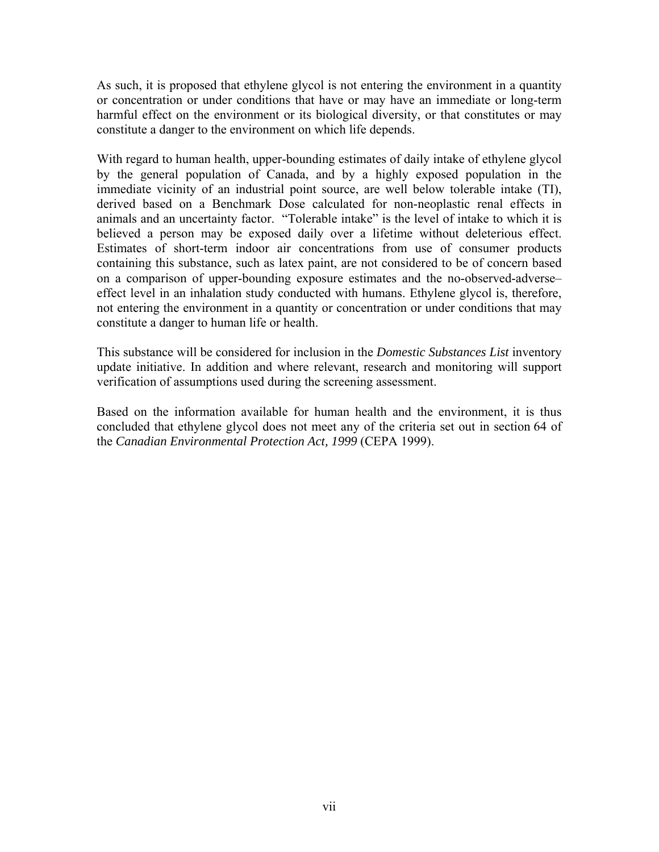As such, it is proposed that ethylene glycol is not entering the environment in a quantity or concentration or under conditions that have or may have an immediate or long-term harmful effect on the environment or its biological diversity, or that constitutes or may constitute a danger to the environment on which life depends.

With regard to human health, upper-bounding estimates of daily intake of ethylene glycol by the general population of Canada, and by a highly exposed population in the immediate vicinity of an industrial point source, are well below tolerable intake (TI), derived based on a Benchmark Dose calculated for non-neoplastic renal effects in animals and an uncertainty factor. "Tolerable intake" is the level of intake to which it is believed a person may be exposed daily over a lifetime without deleterious effect. Estimates of short-term indoor air concentrations from use of consumer products containing this substance, such as latex paint, are not considered to be of concern based on a comparison of upper-bounding exposure estimates and the no-observed-adverse– effect level in an inhalation study conducted with humans. Ethylene glycol is, therefore, not entering the environment in a quantity or concentration or under conditions that may constitute a danger to human life or health.

This substance will be considered for inclusion in the *Domestic Substances List* inventory update initiative. In addition and where relevant, research and monitoring will support verification of assumptions used during the screening assessment.

Based on the information available for human health and the environment, it is thus concluded that ethylene glycol does not meet any of the criteria set out in section 64 of the *Canadian Environmental Protection Act, 1999* (CEPA 1999).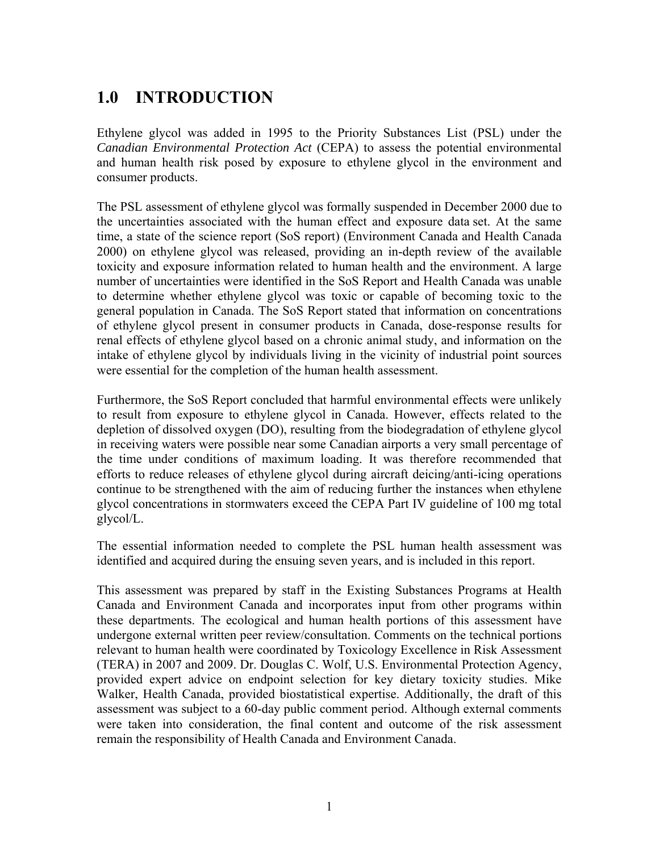# <span id="page-7-0"></span>**1.0 INTRODUCTION**

Ethylene glycol was added in 1995 to the Priority Substances List (PSL) under the *Canadian Environmental Protection Act* (CEPA) to assess the potential environmental and human health risk posed by exposure to ethylene glycol in the environment and consumer products.

The PSL assessment of ethylene glycol was formally suspended in December 2000 due to the uncertainties associated with the human effect and exposure data set. At the same time, a state of the science report (SoS report) (Environment Canada and Health Canada 2000) on ethylene glycol was released, providing an in-depth review of the available toxicity and exposure information related to human health and the environment. A large number of uncertainties were identified in the SoS Report and Health Canada was unable to determine whether ethylene glycol was toxic or capable of becoming toxic to the general population in Canada. The SoS Report stated that information on concentrations of ethylene glycol present in consumer products in Canada, dose-response results for renal effects of ethylene glycol based on a chronic animal study, and information on the intake of ethylene glycol by individuals living in the vicinity of industrial point sources were essential for the completion of the human health assessment.

Furthermore, the SoS Report concluded that harmful environmental effects were unlikely to result from exposure to ethylene glycol in Canada. However, effects related to the depletion of dissolved oxygen (DO), resulting from the biodegradation of ethylene glycol in receiving waters were possible near some Canadian airports a very small percentage of the time under conditions of maximum loading. It was therefore recommended that efforts to reduce releases of ethylene glycol during aircraft deicing/anti-icing operations continue to be strengthened with the aim of reducing further the instances when ethylene glycol concentrations in stormwaters exceed the CEPA Part IV guideline of 100 mg total glycol/L.

The essential information needed to complete the PSL human health assessment was identified and acquired during the ensuing seven years, and is included in this report.

This assessment was prepared by staff in the Existing Substances Programs at Health Canada and Environment Canada and incorporates input from other programs within these departments. The ecological and human health portions of this assessment have undergone external written peer review/consultation. Comments on the technical portions relevant to human health were coordinated by Toxicology Excellence in Risk Assessment (TERA) in 2007 and 2009. Dr. Douglas C. Wolf, U.S. Environmental Protection Agency, provided expert advice on endpoint selection for key dietary toxicity studies. Mike Walker, Health Canada, provided biostatistical expertise. Additionally, the draft of this assessment was subject to a 60-day public comment period. Although external comments were taken into consideration, the final content and outcome of the risk assessment remain the responsibility of Health Canada and Environment Canada.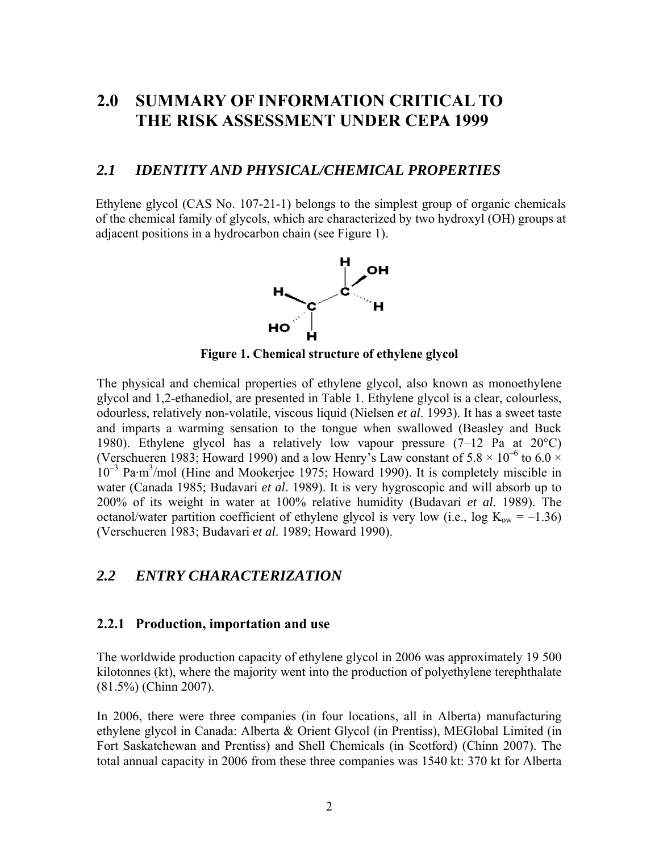# <span id="page-8-0"></span>**2.0 SUMMARY OF INFORMATION CRITICAL TO THE RISK ASSESSMENT UNDER CEPA 1999**

### *2.1 IDENTITY AND PHYSICAL/CHEMICAL PROPERTIES*

Ethylene glycol (CAS No. 107-21-1) belongs to the simplest group of organic chemicals of the chemical family of glycols, which are characterized by two hydroxyl (OH) groups at adjacent positions in a hydrocarbon chain (see [Figure 1](#page-8-1)).



**Figure 1. Chemical structure of ethylene glycol** 

<span id="page-8-1"></span>The physical and chemical properties of ethylene glycol, also known as monoethylene glycol and 1,2-ethanediol, are presented in Table 1. Ethylene glycol is a clear, colourless, odourless, relatively non-volatile, viscous liquid (Nielsen *et al*. 1993). It has a sweet taste and imparts a warming sensation to the tongue when swallowed (Beasley and Buck 1980). Ethylene glycol has a relatively low vapour pressure (7–12 Pa at 20°C) (Verschueren 1983; Howard 1990) and a low Henry's Law constant of  $5.8 \times 10^{-6}$  to  $6.0 \times$ 10<sup>-3</sup> Pa·m<sup>3</sup>/mol (Hine and Mookerjee 1975; Howard 1990). It is completely miscible in water (Canada 1985; Budavari *et al*. 1989). It is very hygroscopic and will absorb up to 200% of its weight in water at 100% relative humidity (Budavari *et al*. 1989). The octanol/water partition coefficient of ethylene glycol is very low (i.e., log  $K_{ow} = -1.36$ ) (Verschueren 1983; Budavari *et al*. 1989; Howard 1990).

## *2.2 ENTRY CHARACTERIZATION*

### **2.2.1 Production, importation and use**

The worldwide production capacity of ethylene glycol in 2006 was approximately 19 500 kilotonnes (kt), where the majority went into the production of polyethylene terephthalate (81.5%) (Chinn 2007).

In 2006, there were three companies (in four locations, all in Alberta) manufacturing ethylene glycol in Canada: Alberta & Orient Glycol (in Prentiss), MEGlobal Limited (in Fort Saskatchewan and Prentiss) and Shell Chemicals (in Scotford) (Chinn 2007). The total annual capacity in 2006 from these three companies was 1540 kt: 370 kt for Alberta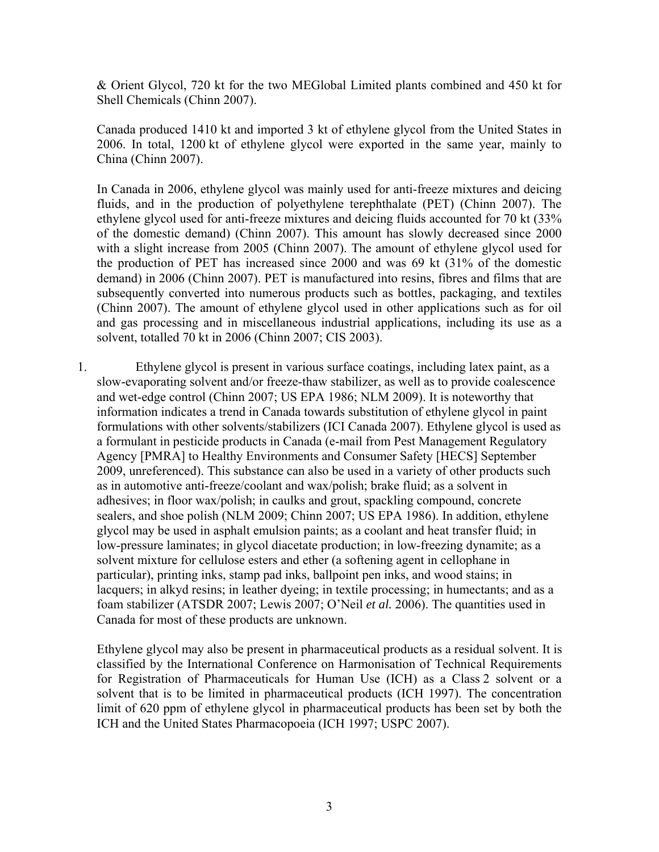& Orient Glycol, 720 kt for the two MEGlobal Limited plants combined and 450 kt for Shell Chemicals (Chinn 2007).

Canada produced 1410 kt and imported 3 kt of ethylene glycol from the United States in 2006. In total, 1200 kt of ethylene glycol were exported in the same year, mainly to China (Chinn 2007).

In Canada in 2006, ethylene glycol was mainly used for anti-freeze mixtures and deicing fluids, and in the production of polyethylene terephthalate (PET) (Chinn 2007). The ethylene glycol used for anti-freeze mixtures and deicing fluids accounted for 70 kt (33% of the domestic demand) (Chinn 2007). This amount has slowly decreased since 2000 with a slight increase from 2005 (Chinn 2007). The amount of ethylene glycol used for the production of PET has increased since 2000 and was 69 kt (31% of the domestic demand) in 2006 (Chinn 2007). PET is manufactured into resins, fibres and films that are subsequently converted into numerous products such as bottles, packaging, and textiles (Chinn 2007). The amount of ethylene glycol used in other applications such as for oil and gas processing and in miscellaneous industrial applications, including its use as a solvent, totalled 70 kt in 2006 (Chinn 2007; CIS 2003).

1. Ethylene glycol is present in various surface coatings, including latex paint, as a slow-evaporating solvent and/or freeze-thaw stabilizer, as well as to provide coalescence and wet-edge control (Chinn 2007; US EPA 1986; NLM 2009). It is noteworthy that information indicates a trend in Canada towards substitution of ethylene glycol in paint formulations with other solvents/stabilizers (ICI Canada 2007). Ethylene glycol is used as a formulant in pesticide products in Canada (e-mail from Pest Management Regulatory Agency [PMRA] to [Healthy Environments and Consumer Safety](http://www.hc-sc.gc.ca/ahc-asc/pubs/_reg/qc-hecs-sesc/index-eng.php) [HECS] September 2009, unreferenced). This substance can also be used in a variety of other products such as in automotive anti-freeze/coolant and wax/polish; brake fluid; as a solvent in adhesives; in floor wax/polish; in caulks and grout, spackling compound, concrete sealers, and shoe polish (NLM 2009; Chinn 2007; US EPA 1986). In addition, ethylene glycol may be used in asphalt emulsion paints; as a coolant and heat transfer fluid; in low-pressure laminates; in glycol diacetate production; in low-freezing dynamite; as a solvent mixture for cellulose esters and ether (a softening agent in cellophane in particular), printing inks, stamp pad inks, ballpoint pen inks, and wood stains; in lacquers; in alkyd resins; in leather dyeing; in textile processing; in humectants; and as a foam stabilizer (ATSDR 2007; Lewis 2007; O'Neil *et al.* 2006). The quantities used in Canada for most of these products are unknown.

Ethylene glycol may also be present in pharmaceutical products as a residual solvent. It is classified by the International Conference on Harmonisation of Technical Requirements for Registration of Pharmaceuticals for Human Use (ICH) as a Class 2 solvent or a solvent that is to be limited in pharmaceutical products (ICH 1997). The concentration limit of 620 ppm of ethylene glycol in pharmaceutical products has been set by both the ICH and the United States Pharmacopoeia (ICH 1997; USPC 2007).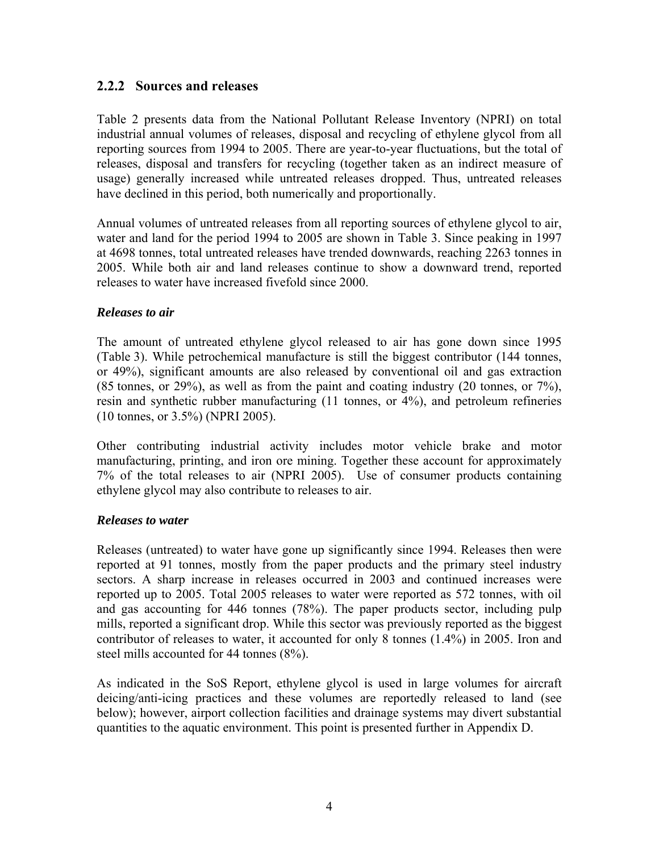### <span id="page-10-0"></span>**2.2.2 Sources and releases**

Table 2 presents data from the National Pollutant Release Inventory (NPRI) on total industrial annual volumes of releases, disposal and recycling of ethylene glycol from all reporting sources from 1994 to 2005. There are year-to-year fluctuations, but the total of releases, disposal and transfers for recycling (together taken as an indirect measure of usage) generally increased while untreated releases dropped. Thus, untreated releases have declined in this period, both numerically and proportionally.

Annual volumes of untreated releases from all reporting sources of ethylene glycol to air, water and land for the period 1994 to 2005 are shown in Table 3. Since peaking in 1997 at 4698 tonnes, total untreated releases have trended downwards, reaching 2263 tonnes in 2005. While both air and land releases continue to show a downward trend, reported releases to water have increased fivefold since 2000.

#### *Releases to air*

The amount of untreated ethylene glycol released to air has gone down since 1995 (Table 3). While petrochemical manufacture is still the biggest contributor (144 tonnes, or 49%), significant amounts are also released by conventional oil and gas extraction (85 tonnes, or 29%), as well as from the paint and coating industry (20 tonnes, or 7%), resin and synthetic rubber manufacturing (11 tonnes, or 4%), and petroleum refineries (10 tonnes, or 3.5%) (NPRI 2005).

Other contributing industrial activity includes motor vehicle brake and motor manufacturing, printing, and iron ore mining. Together these account for approximately 7% of the total releases to air (NPRI 2005). Use of consumer products containing ethylene glycol may also contribute to releases to air.

#### *Releases to water*

Releases (untreated) to water have gone up significantly since 1994. Releases then were reported at 91 tonnes, mostly from the paper products and the primary steel industry sectors. A sharp increase in releases occurred in 2003 and continued increases were reported up to 2005. Total 2005 releases to water were reported as 572 tonnes, with oil and gas accounting for 446 tonnes (78%). The paper products sector, including pulp mills, reported a significant drop. While this sector was previously reported as the biggest contributor of releases to water, it accounted for only 8 tonnes (1.4%) in 2005. Iron and steel mills accounted for 44 tonnes (8%).

As indicated in the SoS Report, ethylene glycol is used in large volumes for aircraft deicing/anti-icing practices and these volumes are reportedly released to land (see below); however, airport collection facilities and drainage systems may divert substantial quantities to the aquatic environment. This point is presented further in Appendix D.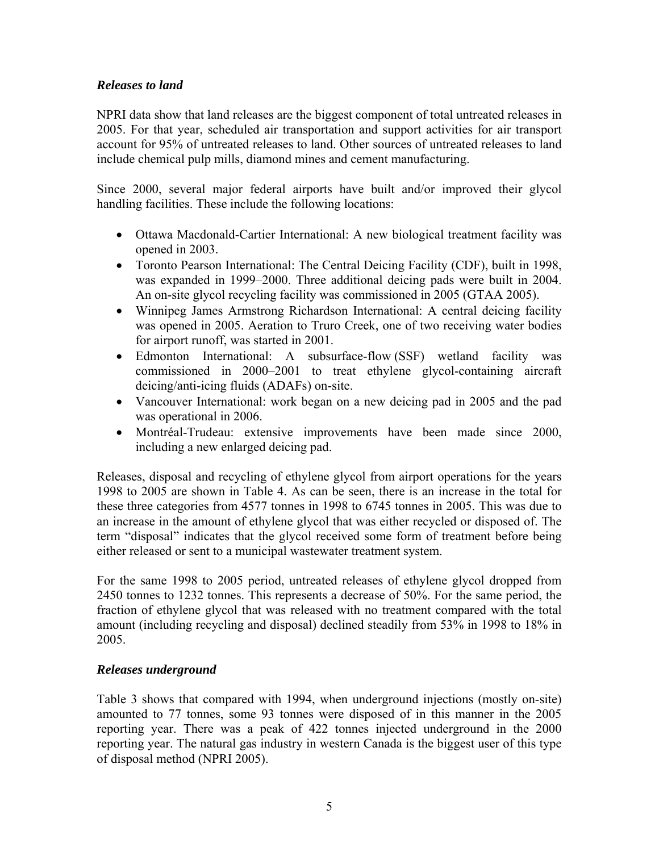### *Releases to land*

NPRI data show that land releases are the biggest component of total untreated releases in 2005. For that year, scheduled air transportation and support activities for air transport account for 95% of untreated releases to land. Other sources of untreated releases to land include chemical pulp mills, diamond mines and cement manufacturing.

Since 2000, several major federal airports have built and/or improved their glycol handling facilities. These include the following locations:

- Ottawa Macdonald-Cartier International: A new biological treatment facility was opened in 2003.
- Toronto Pearson International: The Central Deicing Facility (CDF), built in 1998, was expanded in 1999–2000. Three additional deicing pads were built in 2004. An on-site glycol recycling facility was commissioned in 2005 (GTAA 2005).
- Winnipeg James Armstrong Richardson International: A central deicing facility was opened in 2005. Aeration to Truro Creek, one of two receiving water bodies for airport runoff, was started in 2001.
- Edmonton International: A subsurface-flow (SSF) wetland facility was commissioned in 2000–2001 to treat ethylene glycol-containing aircraft deicing/anti-icing fluids (ADAFs) on-site.
- Vancouver International: work began on a new deicing pad in 2005 and the pad was operational in 2006.
- Montréal-Trudeau: extensive improvements have been made since 2000, including a new enlarged deicing pad.

Releases, disposal and recycling of ethylene glycol from airport operations for the years 1998 to 2005 are shown in Table 4. As can be seen, there is an increase in the total for these three categories from 4577 tonnes in 1998 to 6745 tonnes in 2005. This was due to an increase in the amount of ethylene glycol that was either recycled or disposed of. The term "disposal" indicates that the glycol received some form of treatment before being either released or sent to a municipal wastewater treatment system.

For the same 1998 to 2005 period, untreated releases of ethylene glycol dropped from 2450 tonnes to 1232 tonnes. This represents a decrease of 50%. For the same period, the fraction of ethylene glycol that was released with no treatment compared with the total amount (including recycling and disposal) declined steadily from 53% in 1998 to 18% in 2005.

### *Releases underground*

Table 3 shows that compared with 1994, when underground injections (mostly on-site) amounted to 77 tonnes, some 93 tonnes were disposed of in this manner in the 2005 reporting year. There was a peak of 422 tonnes injected underground in the 2000 reporting year. The natural gas industry in western Canada is the biggest user of this type of disposal method (NPRI 2005).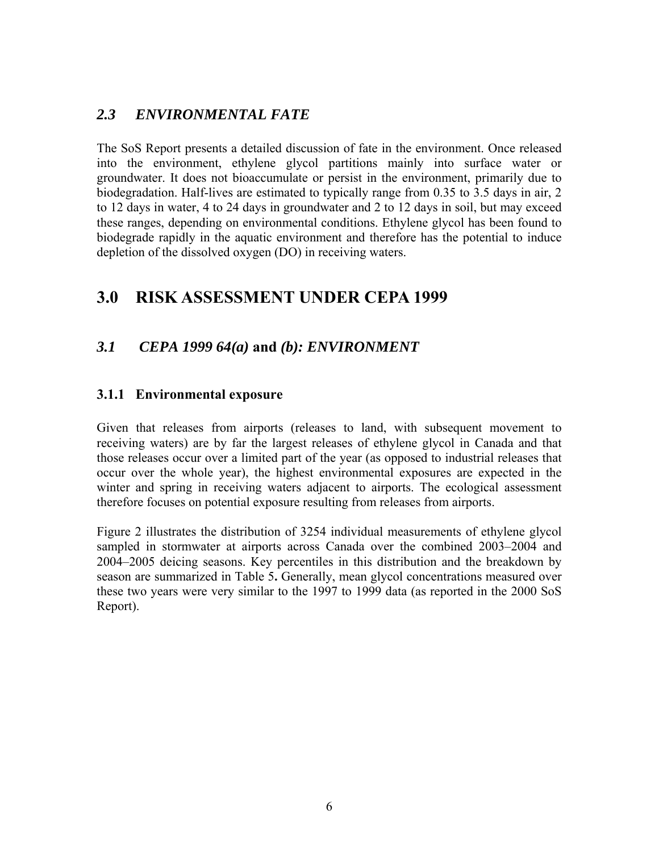# <span id="page-12-0"></span>*2.3 ENVIRONMENTAL FATE*

The SoS Report presents a detailed discussion of fate in the environment. Once released into the environment, ethylene glycol partitions mainly into surface water or groundwater. It does not bioaccumulate or persist in the environment, primarily due to biodegradation. Half-lives are estimated to typically range from 0.35 to 3.5 days in air, 2 to 12 days in water, 4 to 24 days in groundwater and 2 to 12 days in soil, but may exceed these ranges, depending on environmental conditions. Ethylene glycol has been found to biodegrade rapidly in the aquatic environment and therefore has the potential to induce depletion of the dissolved oxygen (DO) in receiving waters.

# **3.0 RISK ASSESSMENT UNDER CEPA 1999**

# *3.1 CEPA 1999 64(a)* **and** *(b): ENVIRONMENT*

## **3.1.1 Environmental exposure**

Given that releases from airports (releases to land, with subsequent movement to receiving waters) are by far the largest releases of ethylene glycol in Canada and that those releases occur over a limited part of the year (as opposed to industrial releases that occur over the whole year), the highest environmental exposures are expected in the winter and spring in receiving waters adjacent to airports. The ecological assessment therefore focuses on potential exposure resulting from releases from airports.

Figure 2 illustrates the distribution of 3254 individual measurements of ethylene glycol sampled in stormwater at airports across Canada over the combined 2003–2004 and 2004–2005 deicing seasons. Key percentiles in this distribution and the breakdown by season are summarized in Table 5**.** Generally, mean glycol concentrations measured over these two years were very similar to the 1997 to 1999 data (as reported in the 2000 SoS Report).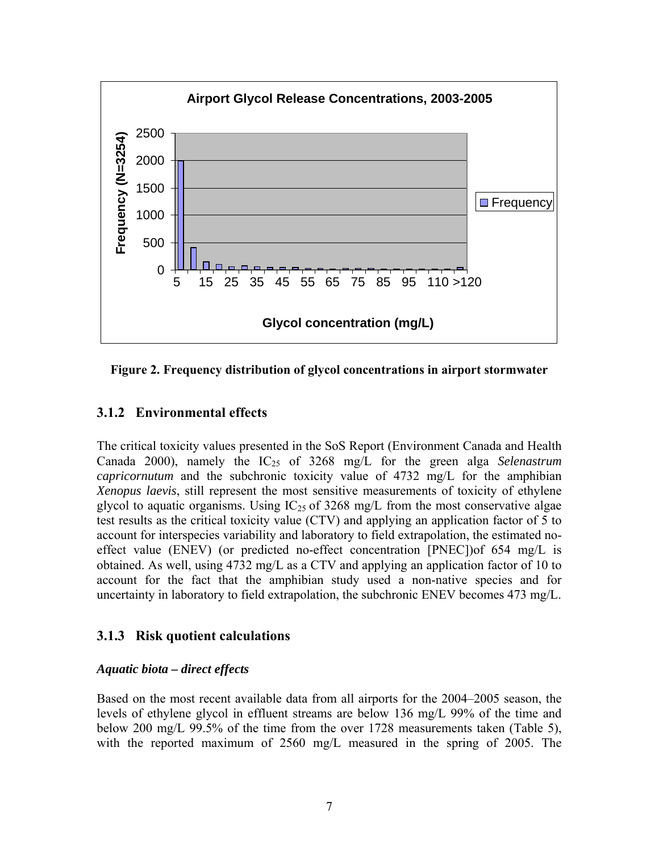<span id="page-13-0"></span>

**Figure 2. Frequency distribution of glycol concentrations in airport stormwater** 

### **3.1.2 Environmental effects**

The critical toxicity values presented in the SoS Report (Environment Canada and Health Canada 2000), namely the IC<sub>25</sub> of 3268 mg/L for the green alga *Selenastrum capricornutum* and the subchronic toxicity value of 4732 mg/L for the amphibian *Xenopus laevis*, still represent the most sensitive measurements of toxicity of ethylene glycol to aquatic organisms. Using  $IC<sub>25</sub>$  of 3268 mg/L from the most conservative algae test results as the critical toxicity value (CTV) and applying an application factor of 5 to account for interspecies variability and laboratory to field extrapolation, the estimated noeffect value (ENEV) (or predicted no-effect concentration [PNEC])of 654 mg/L is obtained. As well, using 4732 mg/L as a CTV and applying an application factor of 10 to account for the fact that the amphibian study used a non-native species and for uncertainty in laboratory to field extrapolation, the subchronic ENEV becomes 473 mg/L.

### **3.1.3 Risk quotient calculations**

#### *Aquatic biota – direct effects*

Based on the most recent available data from all airports for the 2004–2005 season, the levels of ethylene glycol in effluent streams are below 136 mg/L 99% of the time and below 200 mg/L 99.5% of the time from the over 1728 measurements taken (Table 5), with the reported maximum of 2560 mg/L measured in the spring of 2005. The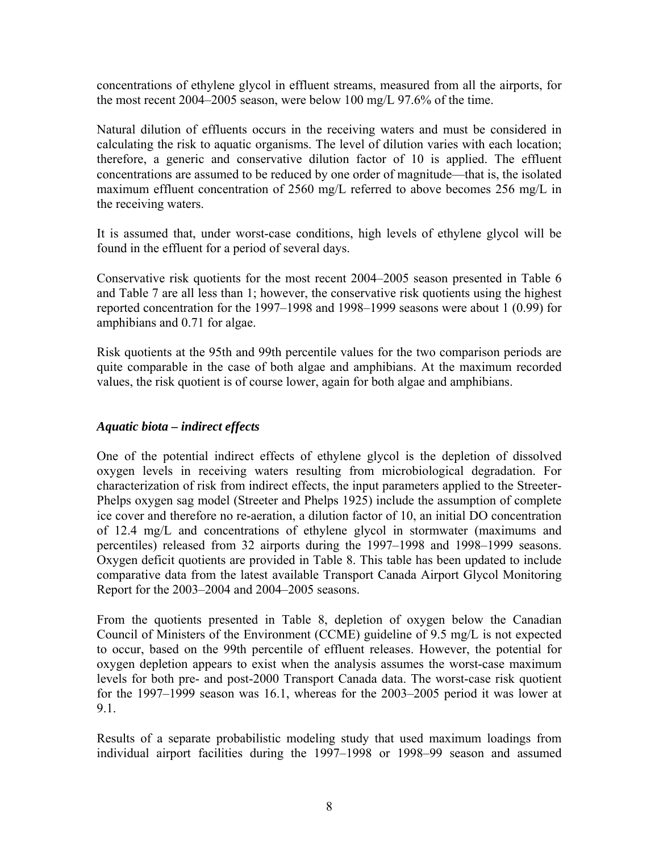concentrations of ethylene glycol in effluent streams, measured from all the airports, for the most recent 2004–2005 season, were below 100 mg/L 97.6% of the time.

Natural dilution of effluents occurs in the receiving waters and must be considered in calculating the risk to aquatic organisms. The level of dilution varies with each location; therefore, a generic and conservative dilution factor of 10 is applied. The effluent concentrations are assumed to be reduced by one order of magnitude—that is, the isolated maximum effluent concentration of 2560 mg/L referred to above becomes 256 mg/L in the receiving waters.

It is assumed that, under worst-case conditions, high levels of ethylene glycol will be found in the effluent for a period of several days.

Conservative risk quotients for the most recent 2004–2005 season presented in Table 6 and Table 7 are all less than 1; however, the conservative risk quotients using the highest reported concentration for the 1997–1998 and 1998–1999 seasons were about 1 (0.99) for amphibians and 0.71 for algae.

Risk quotients at the 95th and 99th percentile values for the two comparison periods are quite comparable in the case of both algae and amphibians. At the maximum recorded values, the risk quotient is of course lower, again for both algae and amphibians.

#### *Aquatic biota – indirect effects*

One of the potential indirect effects of ethylene glycol is the depletion of dissolved oxygen levels in receiving waters resulting from microbiological degradation. For characterization of risk from indirect effects, the input parameters applied to the Streeter-Phelps oxygen sag model (Streeter and Phelps 1925) include the assumption of complete ice cover and therefore no re-aeration, a dilution factor of 10, an initial DO concentration of 12.4 mg/L and concentrations of ethylene glycol in stormwater (maximums and percentiles) released from 32 airports during the 1997–1998 and 1998–1999 seasons. Oxygen deficit quotients are provided in Table 8. This table has been updated to include comparative data from the latest available Transport Canada Airport Glycol Monitoring Report for the 2003–2004 and 2004–2005 seasons.

From the quotients presented in Table 8, depletion of oxygen below the Canadian Council of Ministers of the Environment (CCME) guideline of 9.5 mg/L is not expected to occur, based on the 99th percentile of effluent releases. However, the potential for oxygen depletion appears to exist when the analysis assumes the worst-case maximum levels for both pre- and post-2000 Transport Canada data. The worst-case risk quotient for the 1997–1999 season was 16.1, whereas for the 2003–2005 period it was lower at 9.1.

Results of a separate probabilistic modeling study that used maximum loadings from individual airport facilities during the 1997–1998 or 1998–99 season and assumed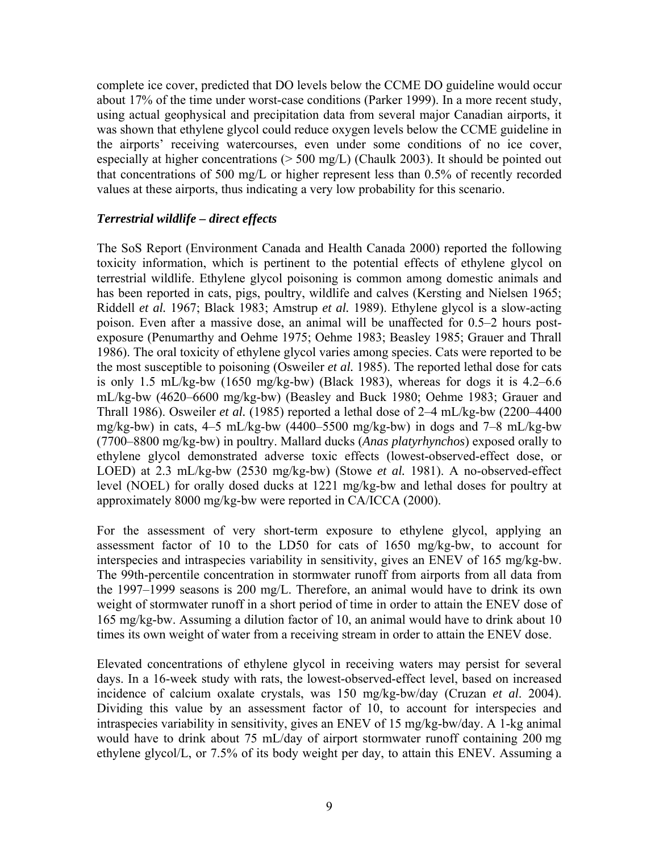complete ice cover, predicted that DO levels below the CCME DO guideline would occur about 17% of the time under worst-case conditions (Parker 1999). In a more recent study, using actual geophysical and precipitation data from several major Canadian airports, it was shown that ethylene glycol could reduce oxygen levels below the CCME guideline in the airports' receiving watercourses, even under some conditions of no ice cover, especially at higher concentrations (> 500 mg/L) (Chaulk 2003). It should be pointed out that concentrations of 500 mg/L or higher represent less than 0.5% of recently recorded values at these airports, thus indicating a very low probability for this scenario.

#### *Terrestrial wildlife – direct effects*

The SoS Report (Environment Canada and Health Canada 2000) reported the following toxicity information, which is pertinent to the potential effects of ethylene glycol on terrestrial wildlife. Ethylene glycol poisoning is common among domestic animals and has been reported in cats, pigs, poultry, wildlife and calves (Kersting and Nielsen 1965; Riddell *et al.* 1967; Black 1983; Amstrup *et al.* 1989). Ethylene glycol is a slow-acting poison. Even after a massive dose, an animal will be unaffected for 0.5–2 hours postexposure (Penumarthy and Oehme 1975; Oehme 1983; Beasley 1985; Grauer and Thrall 1986). The oral toxicity of ethylene glycol varies among species. Cats were reported to be the most susceptible to poisoning (Osweiler *et al.* 1985). The reported lethal dose for cats is only 1.5 mL/kg-bw (1650 mg/kg-bw) (Black 1983), whereas for dogs it is 4.2–6.6 mL/kg-bw (4620–6600 mg/kg-bw) (Beasley and Buck 1980; Oehme 1983; Grauer and Thrall 1986). Osweiler *et al.* (1985) reported a lethal dose of 2–4 mL/kg-bw (2200–4400 mg/kg-bw) in cats, 4–5 mL/kg-bw (4400–5500 mg/kg-bw) in dogs and 7–8 mL/kg-bw (7700–8800 mg/kg-bw) in poultry. Mallard ducks (*Anas platyrhynchos*) exposed orally to ethylene glycol demonstrated adverse toxic effects (lowest-observed-effect dose, or LOED) at 2.3 mL/kg-bw (2530 mg/kg-bw) (Stowe *et al.* 1981). A no-observed-effect level (NOEL) for orally dosed ducks at 1221 mg/kg-bw and lethal doses for poultry at approximately 8000 mg/kg-bw were reported in CA/ICCA (2000).

For the assessment of very short-term exposure to ethylene glycol, applying an assessment factor of 10 to the LD50 for cats of 1650 mg/kg-bw, to account for interspecies and intraspecies variability in sensitivity, gives an ENEV of 165 mg/kg-bw. The 99th-percentile concentration in stormwater runoff from airports from all data from the 1997–1999 seasons is 200 mg/L. Therefore, an animal would have to drink its own weight of stormwater runoff in a short period of time in order to attain the ENEV dose of 165 mg/kg-bw. Assuming a dilution factor of 10, an animal would have to drink about 10 times its own weight of water from a receiving stream in order to attain the ENEV dose.

Elevated concentrations of ethylene glycol in receiving waters may persist for several days. In a 16-week study with rats, the lowest-observed-effect level, based on increased incidence of calcium oxalate crystals, was 150 mg/kg-bw/day (Cruzan *et al*. 2004). Dividing this value by an assessment factor of 10, to account for interspecies and intraspecies variability in sensitivity, gives an ENEV of 15 mg/kg-bw/day. A 1-kg animal would have to drink about 75 mL/day of airport stormwater runoff containing 200 mg ethylene glycol/L, or 7.5% of its body weight per day, to attain this ENEV. Assuming a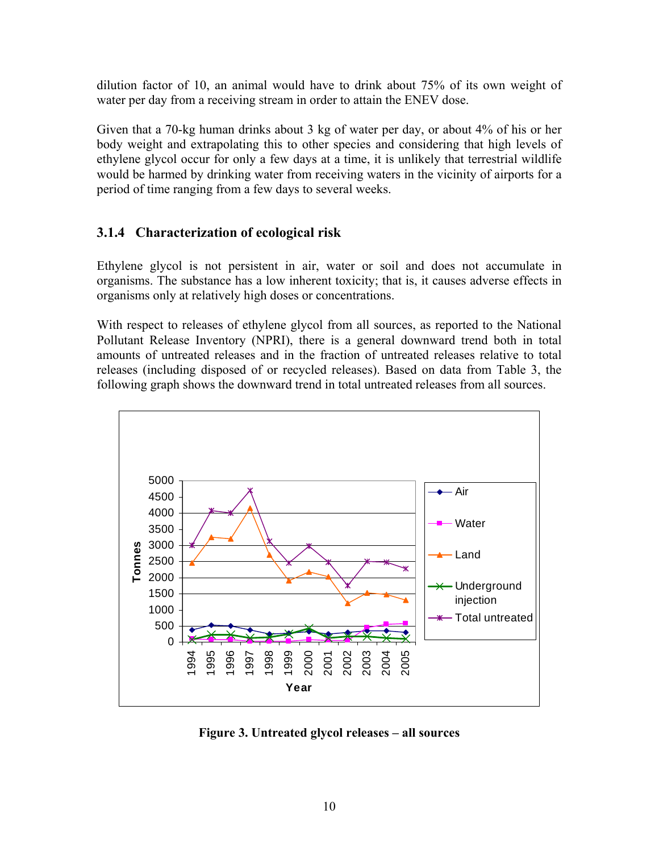<span id="page-16-0"></span>dilution factor of 10, an animal would have to drink about 75% of its own weight of water per day from a receiving stream in order to attain the ENEV dose.

Given that a 70-kg human drinks about 3 kg of water per day, or about 4% of his or her body weight and extrapolating this to other species and considering that high levels of ethylene glycol occur for only a few days at a time, it is unlikely that terrestrial wildlife would be harmed by drinking water from receiving waters in the vicinity of airports for a period of time ranging from a few days to several weeks.

### **3.1.4 Characterization of ecological risk**

Ethylene glycol is not persistent in air, water or soil and does not accumulate in organisms. The substance has a low inherent toxicity; that is, it causes adverse effects in organisms only at relatively high doses or concentrations.

With respect to releases of ethylene glycol from all sources, as reported to the National Pollutant Release Inventory (NPRI), there is a general downward trend both in total amounts of untreated releases and in the fraction of untreated releases relative to total releases (including disposed of or recycled releases). Based on data from Table 3, the following graph shows the downward trend in total untreated releases from all sources.



**Figure 3. Untreated glycol releases – all sources**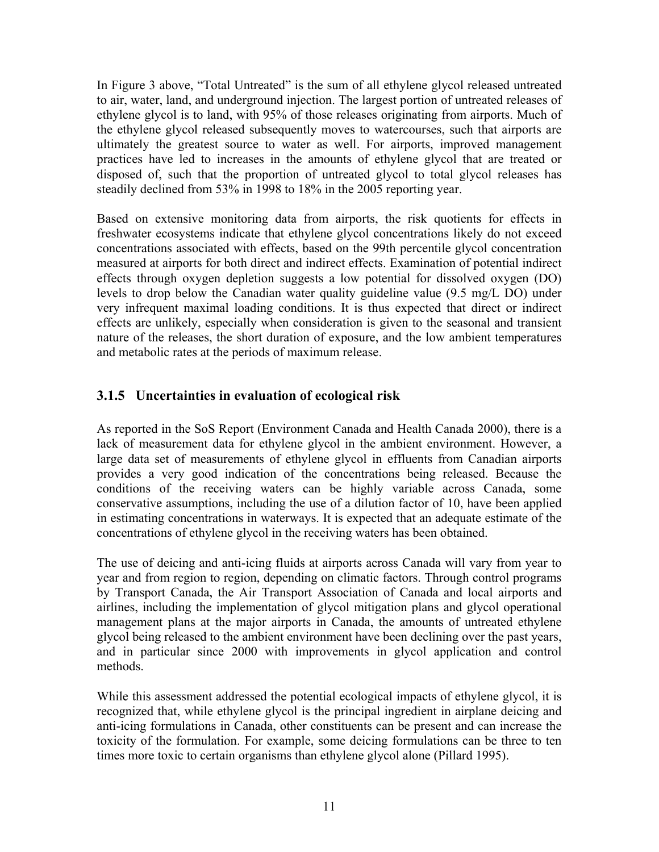<span id="page-17-0"></span>In Figure 3 above, "Total Untreated" is the sum of all ethylene glycol released untreated to air, water, land, and underground injection. The largest portion of untreated releases of ethylene glycol is to land, with 95% of those releases originating from airports. Much of the ethylene glycol released subsequently moves to watercourses, such that airports are ultimately the greatest source to water as well. For airports, improved management practices have led to increases in the amounts of ethylene glycol that are treated or disposed of, such that the proportion of untreated glycol to total glycol releases has steadily declined from 53% in 1998 to 18% in the 2005 reporting year.

Based on extensive monitoring data from airports, the risk quotients for effects in freshwater ecosystems indicate that ethylene glycol concentrations likely do not exceed concentrations associated with effects, based on the 99th percentile glycol concentration measured at airports for both direct and indirect effects. Examination of potential indirect effects through oxygen depletion suggests a low potential for dissolved oxygen (DO) levels to drop below the Canadian water quality guideline value (9.5 mg/L DO) under very infrequent maximal loading conditions. It is thus expected that direct or indirect effects are unlikely, especially when consideration is given to the seasonal and transient nature of the releases, the short duration of exposure, and the low ambient temperatures and metabolic rates at the periods of maximum release.

## **3.1.5 Uncertainties in evaluation of ecological risk**

As reported in the SoS Report (Environment Canada and Health Canada 2000), there is a lack of measurement data for ethylene glycol in the ambient environment. However, a large data set of measurements of ethylene glycol in effluents from Canadian airports provides a very good indication of the concentrations being released. Because the conditions of the receiving waters can be highly variable across Canada, some conservative assumptions, including the use of a dilution factor of 10, have been applied in estimating concentrations in waterways. It is expected that an adequate estimate of the concentrations of ethylene glycol in the receiving waters has been obtained.

The use of deicing and anti-icing fluids at airports across Canada will vary from year to year and from region to region, depending on climatic factors. Through control programs by Transport Canada, the Air Transport Association of Canada and local airports and airlines, including the implementation of glycol mitigation plans and glycol operational management plans at the major airports in Canada, the amounts of untreated ethylene glycol being released to the ambient environment have been declining over the past years, and in particular since 2000 with improvements in glycol application and control methods.

While this assessment addressed the potential ecological impacts of ethylene glycol, it is recognized that, while ethylene glycol is the principal ingredient in airplane deicing and anti-icing formulations in Canada, other constituents can be present and can increase the toxicity of the formulation. For example, some deicing formulations can be three to ten times more toxic to certain organisms than ethylene glycol alone (Pillard 1995).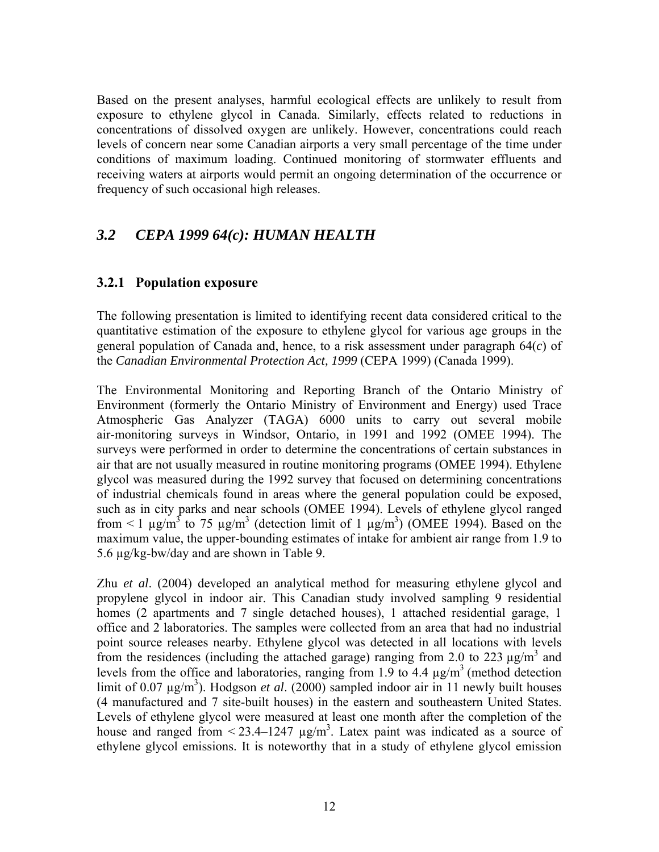<span id="page-18-0"></span>Based on the present analyses, harmful ecological effects are unlikely to result from exposure to ethylene glycol in Canada. Similarly, effects related to reductions in concentrations of dissolved oxygen are unlikely. However, concentrations could reach levels of concern near some Canadian airports a very small percentage of the time under conditions of maximum loading. Continued monitoring of stormwater effluents and receiving waters at airports would permit an ongoing determination of the occurrence or frequency of such occasional high releases.

## *3.2 CEPA 1999 64(c): HUMAN HEALTH*

### **3.2.1 Population exposure**

The following presentation is limited to identifying recent data considered critical to the quantitative estimation of the exposure to ethylene glycol for various age groups in the general population of Canada and, hence, to a risk assessment under paragraph 64(*c*) of the *Canadian Environmental Protection Act, 1999* (CEPA 1999) (Canada 1999).

The Environmental Monitoring and Reporting Branch of the Ontario Ministry of Environment (formerly the Ontario Ministry of Environment and Energy) used Trace Atmospheric Gas Analyzer (TAGA) 6000 units to carry out several mobile air-monitoring surveys in Windsor, Ontario, in 1991 and 1992 (OMEE 1994). The surveys were performed in order to determine the concentrations of certain substances in air that are not usually measured in routine monitoring programs (OMEE 1994). Ethylene glycol was measured during the 1992 survey that focused on determining concentrations of industrial chemicals found in areas where the general population could be exposed, such as in city parks and near schools (OMEE 1994). Levels of ethylene glycol ranged from  $\leq 1$   $\mu$ g/m<sup>3</sup> to 75  $\mu$ g/m<sup>3</sup> (detection limit of 1  $\mu$ g/m<sup>3</sup>) (OMEE 1994). Based on the maximum value, the upper-bounding estimates of intake for ambient air range from 1.9 to 5.6 µg/kg-bw/day and are shown in Table 9.

Zhu *et al*. (2004) developed an analytical method for measuring ethylene glycol and propylene glycol in indoor air. This Canadian study involved sampling 9 residential homes (2 apartments and 7 single detached houses), 1 attached residential garage, 1 office and 2 laboratories. The samples were collected from an area that had no industrial point source releases nearby. Ethylene glycol was detected in all locations with levels from the residences (including the attached garage) ranging from 2.0 to 223  $\mu$ g/m<sup>3</sup> and levels from the office and laboratories, ranging from 1.9 to 4.4  $\mu$ g/m<sup>3</sup> (method detection limit of  $0.07 \mu g/m^3$ ). Hodgson *et al.* (2000) sampled indoor air in 11 newly built houses (4 manufactured and 7 site-built houses) in the eastern and southeastern United States. Levels of ethylene glycol were measured at least one month after the completion of the house and ranged from  $\leq$  23.4–1247  $\mu$ g/m<sup>3</sup>. Latex paint was indicated as a source of ethylene glycol emissions. It is noteworthy that in a study of ethylene glycol emission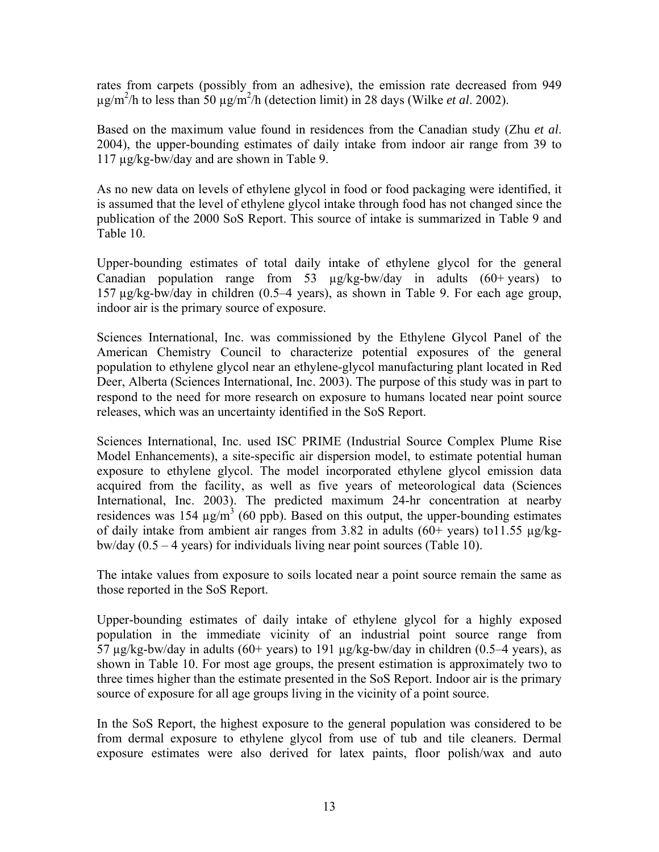rates from carpets (possibly from an adhesive), the emission rate decreased from 949 µg/m2 /h to less than 50 µg/m2 /h (detection limit) in 28 days (Wilke *et al*. 2002).

Based on the maximum value found in residences from the Canadian study (Zhu *et al*. 2004), the upper-bounding estimates of daily intake from indoor air range from 39 to 117 µg/kg-bw/day and are shown in Table 9.

As no new data on levels of ethylene glycol in food or food packaging were identified, it is assumed that the level of ethylene glycol intake through food has not changed since the publication of the 2000 SoS Report. This source of intake is summarized in Table 9 and Table 10.

Upper-bounding estimates of total daily intake of ethylene glycol for the general Canadian population range from 53 µg/kg-bw/day in adults (60+ years) to 157 µg/kg-bw/day in children (0.5–4 years), as shown in Table 9. For each age group, indoor air is the primary source of exposure.

Sciences International, Inc. was commissioned by the Ethylene Glycol Panel of the American Chemistry Council to characterize potential exposures of the general population to ethylene glycol near an ethylene-glycol manufacturing plant located in Red Deer, Alberta (Sciences International, Inc. 2003). The purpose of this study was in part to respond to the need for more research on exposure to humans located near point source releases, which was an uncertainty identified in the SoS Report.

Sciences International, Inc. used ISC PRIME (Industrial Source Complex Plume Rise Model Enhancements), a site-specific air dispersion model, to estimate potential human exposure to ethylene glycol. The model incorporated ethylene glycol emission data acquired from the facility, as well as five years of meteorological data (Sciences International, Inc. 2003). The predicted maximum 24-hr concentration at nearby residences was 154  $\mu$ g/m<sup>3</sup> (60 ppb). Based on this output, the upper-bounding estimates of daily intake from ambient air ranges from 3.82 in adults  $(60+)$  years) to 11.55  $\mu$ g/kgbw/day  $(0.5 - 4$  years) for individuals living near point sources (Table 10).

The intake values from exposure to soils located near a point source remain the same as those reported in the SoS Report.

Upper-bounding estimates of daily intake of ethylene glycol for a highly exposed population in the immediate vicinity of an industrial point source range from 57  $\mu$ g/kg-bw/day in adults (60+ years) to 191  $\mu$ g/kg-bw/day in children (0.5–4 years), as shown in Table 10. For most age groups, the present estimation is approximately two to three times higher than the estimate presented in the SoS Report. Indoor air is the primary source of exposure for all age groups living in the vicinity of a point source.

In the SoS Report, the highest exposure to the general population was considered to be from dermal exposure to ethylene glycol from use of tub and tile cleaners. Dermal exposure estimates were also derived for latex paints, floor polish/wax and auto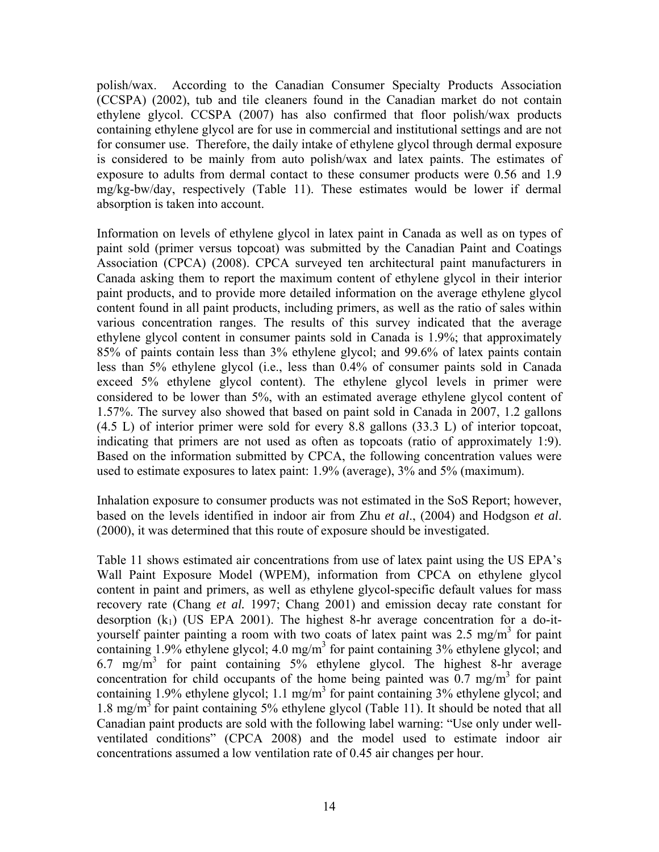polish/wax. According to the Canadian Consumer Specialty Products Association (CCSPA) (2002), tub and tile cleaners found in the Canadian market do not contain ethylene glycol. CCSPA (2007) has also confirmed that floor polish/wax products containing ethylene glycol are for use in commercial and institutional settings and are not for consumer use. Therefore, the daily intake of ethylene glycol through dermal exposure is considered to be mainly from auto polish/wax and latex paints. The estimates of exposure to adults from dermal contact to these consumer products were 0.56 and 1.9 mg/kg-bw/day, respectively (Table 11). These estimates would be lower if dermal absorption is taken into account.

Information on levels of ethylene glycol in latex paint in Canada as well as on types of paint sold (primer versus topcoat) was submitted by the Canadian Paint and Coatings Association (CPCA) (2008). CPCA surveyed ten architectural paint manufacturers in Canada asking them to report the maximum content of ethylene glycol in their interior paint products, and to provide more detailed information on the average ethylene glycol content found in all paint products, including primers, as well as the ratio of sales within various concentration ranges. The results of this survey indicated that the average ethylene glycol content in consumer paints sold in Canada is 1.9%; that approximately 85% of paints contain less than 3% ethylene glycol; and 99.6% of latex paints contain less than 5% ethylene glycol (i.e., less than 0.4% of consumer paints sold in Canada exceed 5% ethylene glycol content). The ethylene glycol levels in primer were considered to be lower than 5%, with an estimated average ethylene glycol content of 1.57%. The survey also showed that based on paint sold in Canada in 2007, 1.2 gallons (4.5 L) of interior primer were sold for every 8.8 gallons (33.3 L) of interior topcoat, indicating that primers are not used as often as topcoats (ratio of approximately 1:9). Based on the information submitted by CPCA, the following concentration values were used to estimate exposures to latex paint: 1.9% (average), 3% and 5% (maximum).

Inhalation exposure to consumer products was not estimated in the SoS Report; however, based on the levels identified in indoor air from Zhu *et al*., (2004) and Hodgson *et al*. (2000), it was determined that this route of exposure should be investigated.

Table 11 shows estimated air concentrations from use of latex paint using the US EPA's Wall Paint Exposure Model (WPEM), information from CPCA on ethylene glycol content in paint and primers, as well as ethylene glycol-specific default values for mass recovery rate (Chang *et al.* 1997; Chang 2001) and emission decay rate constant for desorption  $(k_1)$  (US EPA 2001). The highest 8-hr average concentration for a do-ityourself painter painting a room with two coats of latex paint was  $2.5 \text{ mg/m}^3$  for paint containing  $1.9\%$  ethylene glycol;  $4.0 \text{ mg/m}^3$  for paint containing  $3\%$  ethylene glycol; and 6.7 mg/m3 for paint containing 5% ethylene glycol. The highest 8-hr average concentration for child occupants of the home being painted was  $0.7 \text{ mg/m}^3$  for paint containing  $1.9\%$  ethylene glycol;  $1.1 \text{ mg/m}^3$  for paint containing  $3\%$  ethylene glycol; and 1.8 mg/m<sup>3</sup> for paint containing 5% ethylene glycol (Table 11). It should be noted that all Canadian paint products are sold with the following label warning: "Use only under wellventilated conditions" (CPCA 2008) and the model used to estimate indoor air concentrations assumed a low ventilation rate of 0.45 air changes per hour.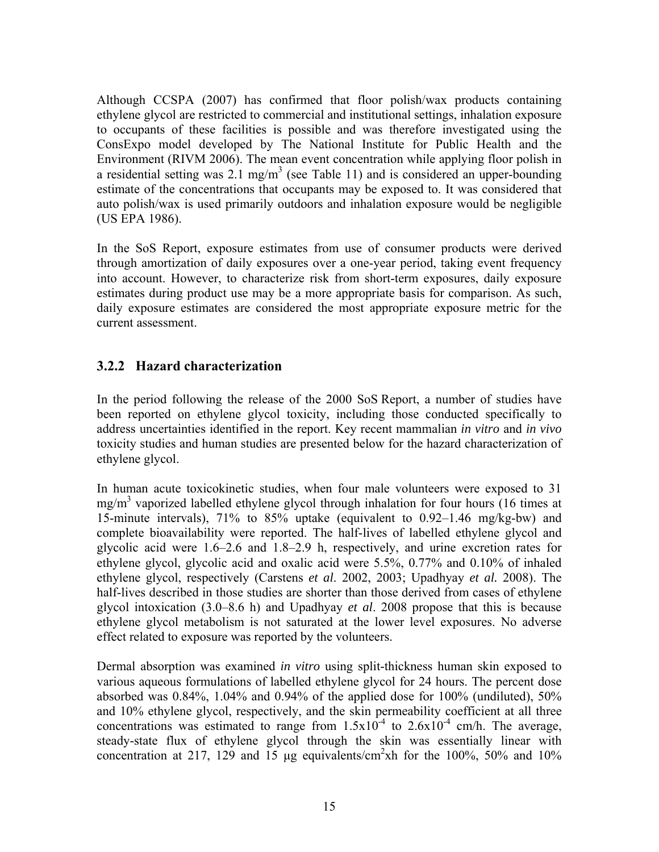<span id="page-21-0"></span>Although CCSPA (2007) has confirmed that floor polish/wax products containing ethylene glycol are restricted to commercial and institutional settings, inhalation exposure to occupants of these facilities is possible and was therefore investigated using the ConsExpo model developed by The National Institute for Public Health and the Environment (RIVM 2006). The mean event concentration while applying floor polish in a residential setting was  $2.1 \text{ mg/m}^3$  (see Table 11) and is considered an upper-bounding estimate of the concentrations that occupants may be exposed to. It was considered that auto polish/wax is used primarily outdoors and inhalation exposure would be negligible (US EPA 1986).

In the SoS Report, exposure estimates from use of consumer products were derived through amortization of daily exposures over a one-year period, taking event frequency into account. However, to characterize risk from short-term exposures, daily exposure estimates during product use may be a more appropriate basis for comparison. As such, daily exposure estimates are considered the most appropriate exposure metric for the current assessment.

## **3.2.2 Hazard characterization**

In the period following the release of the 2000 SoS Report, a number of studies have been reported on ethylene glycol toxicity, including those conducted specifically to address uncertainties identified in the report. Key recent mammalian *in vitro* and *in vivo* toxicity studies and human studies are presented below for the hazard characterization of ethylene glycol.

In human acute toxicokinetic studies, when four male volunteers were exposed to 31 mg/m<sup>3</sup> vaporized labelled ethylene glycol through inhalation for four hours (16 times at 15-minute intervals), 71% to 85% uptake (equivalent to 0.92–1.46 mg/kg-bw) and complete bioavailability were reported. The half-lives of labelled ethylene glycol and glycolic acid were 1.6–2.6 and 1.8–2.9 h, respectively, and urine excretion rates for ethylene glycol, glycolic acid and oxalic acid were 5.5%, 0.77% and 0.10% of inhaled ethylene glycol, respectively (Carstens *et al*. 2002, 2003; Upadhyay *et al.* 2008). The half-lives described in those studies are shorter than those derived from cases of ethylene glycol intoxication (3.0–8.6 h) and Upadhyay *et al*. 2008 propose that this is because ethylene glycol metabolism is not saturated at the lower level exposures. No adverse effect related to exposure was reported by the volunteers.

Dermal absorption was examined *in vitro* using split-thickness human skin exposed to various aqueous formulations of labelled ethylene glycol for 24 hours. The percent dose absorbed was 0.84%, 1.04% and 0.94% of the applied dose for 100% (undiluted), 50% and 10% ethylene glycol, respectively, and the skin permeability coefficient at all three concentrations was estimated to range from  $1.5x10^{-4}$  to  $2.6x10^{-4}$  cm/h. The average, steady-state flux of ethylene glycol through the skin was essentially linear with concentration at 217, 129 and 15  $\mu$ g equivalents/cm<sup>2</sup>xh for the 100%, 50% and 10%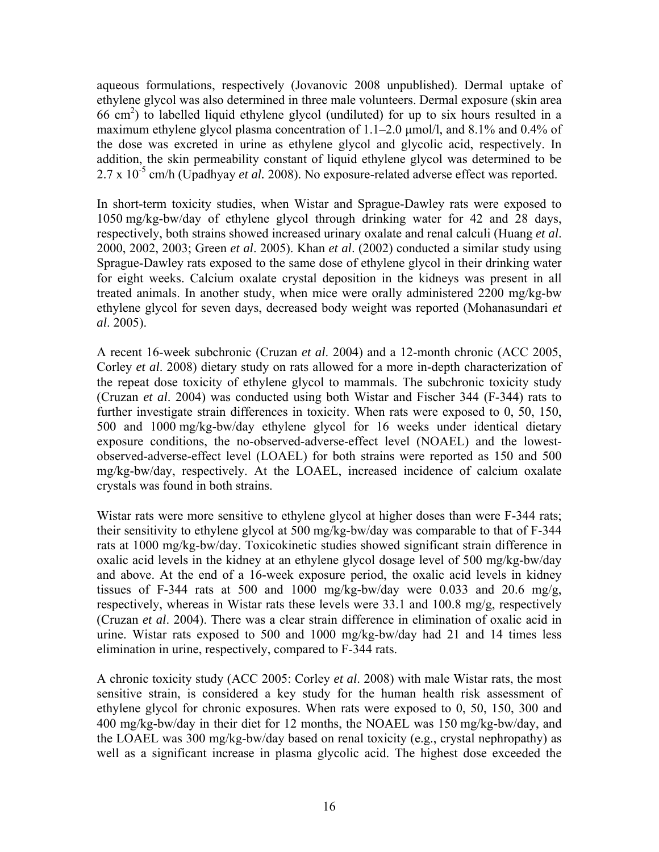aqueous formulations, respectively (Jovanovic 2008 unpublished). Dermal uptake of ethylene glycol was also determined in three male volunteers. Dermal exposure (skin area 66 cm2 ) to labelled liquid ethylene glycol (undiluted) for up to six hours resulted in a maximum ethylene glycol plasma concentration of 1.1–2.0 μmol/l, and 8.1% and 0.4% of the dose was excreted in urine as ethylene glycol and glycolic acid, respectively. In addition, the skin permeability constant of liquid ethylene glycol was determined to be 2.7 x 10<sup>-5</sup> cm/h (Upadhyay *et al.* 2008). No exposure-related adverse effect was reported.

In short-term toxicity studies, when Wistar and Sprague-Dawley rats were exposed to 1050 mg/kg-bw/day of ethylene glycol through drinking water for 42 and 28 days, respectively, both strains showed increased urinary oxalate and renal calculi (Huang *et al*. 2000, 2002, 2003; Green *et al*. 2005). Khan *et al*. (2002) conducted a similar study using Sprague-Dawley rats exposed to the same dose of ethylene glycol in their drinking water for eight weeks. Calcium oxalate crystal deposition in the kidneys was present in all treated animals. In another study, when mice were orally administered 2200 mg/kg-bw ethylene glycol for seven days, decreased body weight was reported (Mohanasundari *et al*. 2005).

A recent 16-week subchronic (Cruzan *et al*. 2004) and a 12-month chronic (ACC 2005, Corley *et al*. 2008) dietary study on rats allowed for a more in-depth characterization of the repeat dose toxicity of ethylene glycol to mammals. The subchronic toxicity study (Cruzan *et al*. 2004) was conducted using both Wistar and Fischer 344 (F-344) rats to further investigate strain differences in toxicity. When rats were exposed to 0, 50, 150, 500 and 1000 mg/kg-bw/day ethylene glycol for 16 weeks under identical dietary exposure conditions, the no-observed-adverse-effect level (NOAEL) and the lowestobserved-adverse-effect level (LOAEL) for both strains were reported as 150 and 500 mg/kg-bw/day, respectively. At the LOAEL, increased incidence of calcium oxalate crystals was found in both strains.

Wistar rats were more sensitive to ethylene glycol at higher doses than were F-344 rats; their sensitivity to ethylene glycol at 500 mg/kg-bw/day was comparable to that of F-344 rats at 1000 mg/kg-bw/day. Toxicokinetic studies showed significant strain difference in oxalic acid levels in the kidney at an ethylene glycol dosage level of 500 mg/kg-bw/day and above. At the end of a 16-week exposure period, the oxalic acid levels in kidney tissues of F-344 rats at 500 and 1000 mg/kg-bw/day were 0.033 and 20.6 mg/g, respectively, whereas in Wistar rats these levels were 33.1 and 100.8 mg/g, respectively (Cruzan *et al*. 2004). There was a clear strain difference in elimination of oxalic acid in urine. Wistar rats exposed to 500 and 1000 mg/kg-bw/day had 21 and 14 times less elimination in urine, respectively, compared to F-344 rats.

A chronic toxicity study (ACC 2005: Corley *et al*. 2008) with male Wistar rats, the most sensitive strain, is considered a key study for the human health risk assessment of ethylene glycol for chronic exposures. When rats were exposed to 0, 50, 150, 300 and 400 mg/kg-bw/day in their diet for 12 months, the NOAEL was 150 mg/kg-bw/day, and the LOAEL was 300 mg/kg-bw/day based on renal toxicity (e.g., crystal nephropathy) as well as a significant increase in plasma glycolic acid. The highest dose exceeded the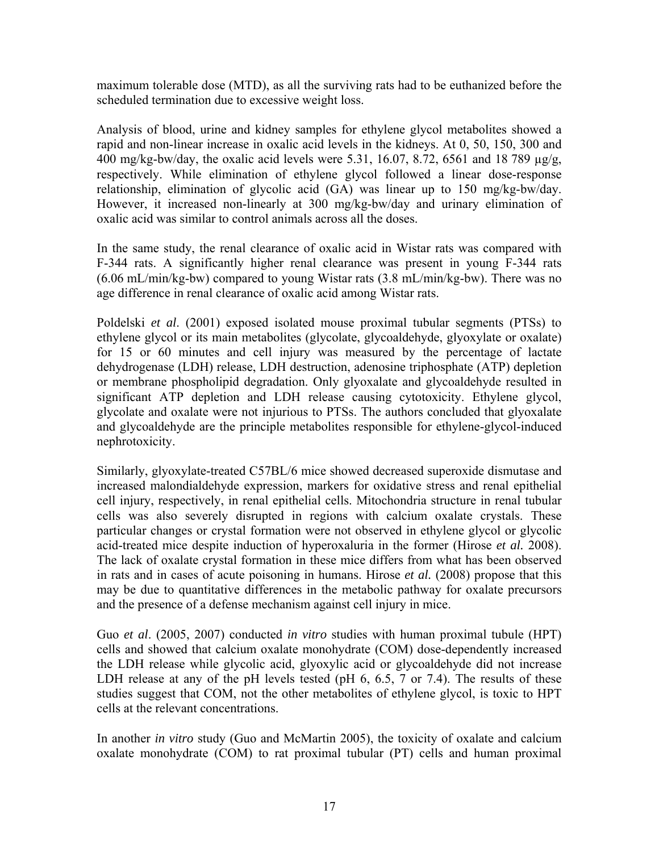maximum tolerable dose (MTD), as all the surviving rats had to be euthanized before the scheduled termination due to excessive weight loss.

Analysis of blood, urine and kidney samples for ethylene glycol metabolites showed a rapid and non-linear increase in oxalic acid levels in the kidneys. At 0, 50, 150, 300 and 400 mg/kg-bw/day, the oxalic acid levels were 5.31, 16.07, 8.72, 6561 and 18 789 µg/g, respectively. While elimination of ethylene glycol followed a linear dose-response relationship, elimination of glycolic acid (GA) was linear up to 150 mg/kg-bw/day. However, it increased non-linearly at 300 mg/kg-bw/day and urinary elimination of oxalic acid was similar to control animals across all the doses.

In the same study, the renal clearance of oxalic acid in Wistar rats was compared with F-344 rats. A significantly higher renal clearance was present in young F-344 rats (6.06 mL/min/kg-bw) compared to young Wistar rats (3.8 mL/min/kg-bw). There was no age difference in renal clearance of oxalic acid among Wistar rats.

Poldelski *et al*. (2001) exposed isolated mouse proximal tubular segments (PTSs) to ethylene glycol or its main metabolites (glycolate, glycoaldehyde, glyoxylate or oxalate) for 15 or 60 minutes and cell injury was measured by the percentage of lactate dehydrogenase (LDH) release, LDH destruction, adenosine triphosphate (ATP) depletion or membrane phospholipid degradation. Only glyoxalate and glycoaldehyde resulted in significant ATP depletion and LDH release causing cytotoxicity. Ethylene glycol, glycolate and oxalate were not injurious to PTSs. The authors concluded that glyoxalate and glycoaldehyde are the principle metabolites responsible for ethylene-glycol-induced nephrotoxicity.

Similarly, glyoxylate-treated C57BL/6 mice showed decreased superoxide dismutase and increased malondialdehyde expression, markers for oxidative stress and renal epithelial cell injury, respectively, in renal epithelial cells. Mitochondria structure in renal tubular cells was also severely disrupted in regions with calcium oxalate crystals. These particular changes or crystal formation were not observed in ethylene glycol or glycolic acid-treated mice despite induction of hyperoxaluria in the former (Hirose *et al.* 2008). The lack of oxalate crystal formation in these mice differs from what has been observed in rats and in cases of acute poisoning in humans. Hirose *et al.* (2008) propose that this may be due to quantitative differences in the metabolic pathway for oxalate precursors and the presence of a defense mechanism against cell injury in mice.

Guo *et al*. (2005, 2007) conducted *in vitro* studies with human proximal tubule (HPT) cells and showed that calcium oxalate monohydrate (COM) dose-dependently increased the LDH release while glycolic acid, glyoxylic acid or glycoaldehyde did not increase LDH release at any of the pH levels tested (pH 6, 6.5, 7 or 7.4). The results of these studies suggest that COM, not the other metabolites of ethylene glycol, is toxic to HPT cells at the relevant concentrations.

In another *in vitro* study (Guo and McMartin 2005), the toxicity of oxalate and calcium oxalate monohydrate (COM) to rat proximal tubular (PT) cells and human proximal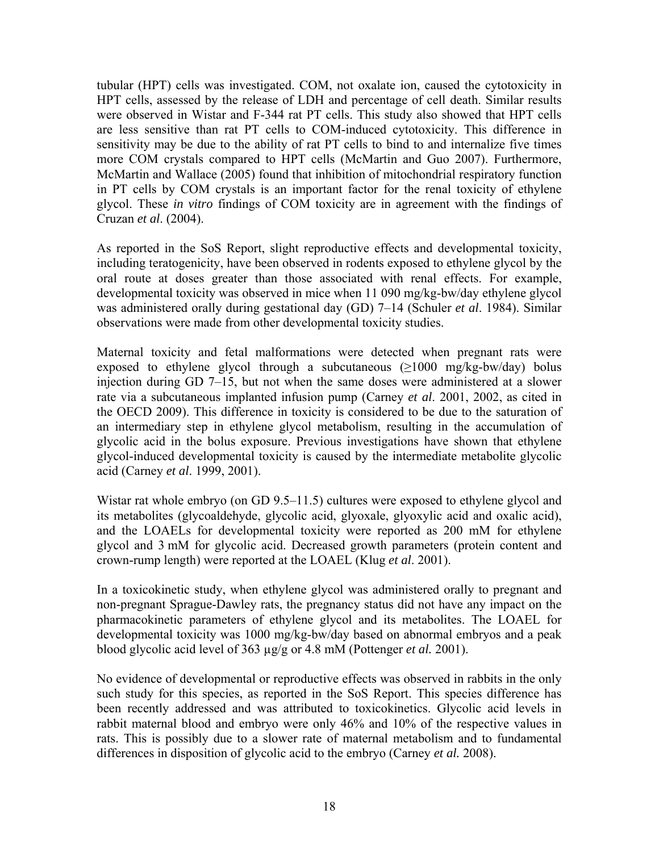tubular (HPT) cells was investigated. COM, not oxalate ion, caused the cytotoxicity in HPT cells, assessed by the release of LDH and percentage of cell death. Similar results were observed in Wistar and F-344 rat PT cells. This study also showed that HPT cells are less sensitive than rat PT cells to COM-induced cytotoxicity. This difference in sensitivity may be due to the ability of rat PT cells to bind to and internalize five times more COM crystals compared to HPT cells (McMartin and Guo 2007). Furthermore, McMartin and Wallace (2005) found that inhibition of mitochondrial respiratory function in PT cells by COM crystals is an important factor for the renal toxicity of ethylene glycol. These *in vitro* findings of COM toxicity are in agreement with the findings of Cruzan *et al*. (2004).

As reported in the SoS Report, slight reproductive effects and developmental toxicity, including teratogenicity, have been observed in rodents exposed to ethylene glycol by the oral route at doses greater than those associated with renal effects. For example, developmental toxicity was observed in mice when 11 090 mg/kg-bw/day ethylene glycol was administered orally during gestational day (GD) 7–14 (Schuler *et al*. 1984). Similar observations were made from other developmental toxicity studies.

Maternal toxicity and fetal malformations were detected when pregnant rats were exposed to ethylene glycol through a subcutaneous  $(\geq 1000 \text{ mg/kg-bw/day})$  bolus injection during GD 7–15, but not when the same doses were administered at a slower rate via a subcutaneous implanted infusion pump (Carney *et al*. 2001, 2002, as cited in the OECD 2009). This difference in toxicity is considered to be due to the saturation of an intermediary step in ethylene glycol metabolism, resulting in the accumulation of glycolic acid in the bolus exposure. Previous investigations have shown that ethylene glycol-induced developmental toxicity is caused by the intermediate metabolite glycolic acid (Carney *et al*. 1999, 2001).

Wistar rat whole embryo (on GD 9.5–11.5) cultures were exposed to ethylene glycol and its metabolites (glycoaldehyde, glycolic acid, glyoxale, glyoxylic acid and oxalic acid), and the LOAELs for developmental toxicity were reported as 200 mM for ethylene glycol and 3 mM for glycolic acid. Decreased growth parameters (protein content and crown-rump length) were reported at the LOAEL (Klug *et al*. 2001).

In a toxicokinetic study, when ethylene glycol was administered orally to pregnant and non-pregnant Sprague-Dawley rats, the pregnancy status did not have any impact on the pharmacokinetic parameters of ethylene glycol and its metabolites. The LOAEL for developmental toxicity was 1000 mg/kg-bw/day based on abnormal embryos and a peak blood glycolic acid level of 363 µg/g or 4.8 mM (Pottenger *et al.* 2001).

No evidence of developmental or reproductive effects was observed in rabbits in the only such study for this species, as reported in the SoS Report. This species difference has been recently addressed and was attributed to toxicokinetics. Glycolic acid levels in rabbit maternal blood and embryo were only 46% and 10% of the respective values in rats. This is possibly due to a slower rate of maternal metabolism and to fundamental differences in disposition of glycolic acid to the embryo (Carney *et al.* 2008).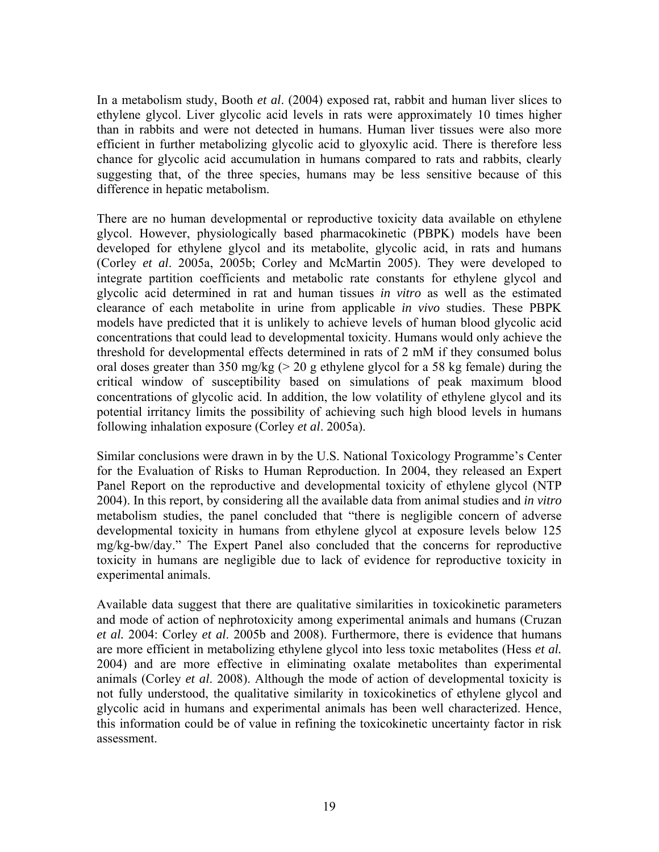In a metabolism study, Booth *et al*. (2004) exposed rat, rabbit and human liver slices to ethylene glycol. Liver glycolic acid levels in rats were approximately 10 times higher than in rabbits and were not detected in humans. Human liver tissues were also more efficient in further metabolizing glycolic acid to glyoxylic acid. There is therefore less chance for glycolic acid accumulation in humans compared to rats and rabbits, clearly suggesting that, of the three species, humans may be less sensitive because of this difference in hepatic metabolism.

There are no human developmental or reproductive toxicity data available on ethylene glycol. However, physiologically based pharmacokinetic (PBPK) models have been developed for ethylene glycol and its metabolite, glycolic acid, in rats and humans (Corley *et al*. 2005a, 2005b; Corley and McMartin 2005). They were developed to integrate partition coefficients and metabolic rate constants for ethylene glycol and glycolic acid determined in rat and human tissues *in vitro* as well as the estimated clearance of each metabolite in urine from applicable *in vivo* studies. These PBPK models have predicted that it is unlikely to achieve levels of human blood glycolic acid concentrations that could lead to developmental toxicity. Humans would only achieve the threshold for developmental effects determined in rats of 2 mM if they consumed bolus oral doses greater than 350 mg/kg ( $> 20$  g ethylene glycol for a 58 kg female) during the critical window of susceptibility based on simulations of peak maximum blood concentrations of glycolic acid. In addition, the low volatility of ethylene glycol and its potential irritancy limits the possibility of achieving such high blood levels in humans following inhalation exposure (Corley *et al*. 2005a).

Similar conclusions were drawn in by the U.S. National Toxicology Programme's Center for the Evaluation of Risks to Human Reproduction. In 2004, they released an Expert Panel Report on the reproductive and developmental toxicity of ethylene glycol (NTP 2004). In this report, by considering all the available data from animal studies and *in vitro* metabolism studies, the panel concluded that "there is negligible concern of adverse developmental toxicity in humans from ethylene glycol at exposure levels below 125 mg/kg-bw/day." The Expert Panel also concluded that the concerns for reproductive toxicity in humans are negligible due to lack of evidence for reproductive toxicity in experimental animals.

Available data suggest that there are qualitative similarities in toxicokinetic parameters and mode of action of nephrotoxicity among experimental animals and humans (Cruzan *et al.* 2004: Corley *et al*. 2005b and 2008). Furthermore, there is evidence that humans are more efficient in metabolizing ethylene glycol into less toxic metabolites (Hess *et al.* 2004) and are more effective in eliminating oxalate metabolites than experimental animals (Corley *et al*. 2008). Although the mode of action of developmental toxicity is not fully understood, the qualitative similarity in toxicokinetics of ethylene glycol and glycolic acid in humans and experimental animals has been well characterized. Hence, this information could be of value in refining the toxicokinetic uncertainty factor in risk assessment.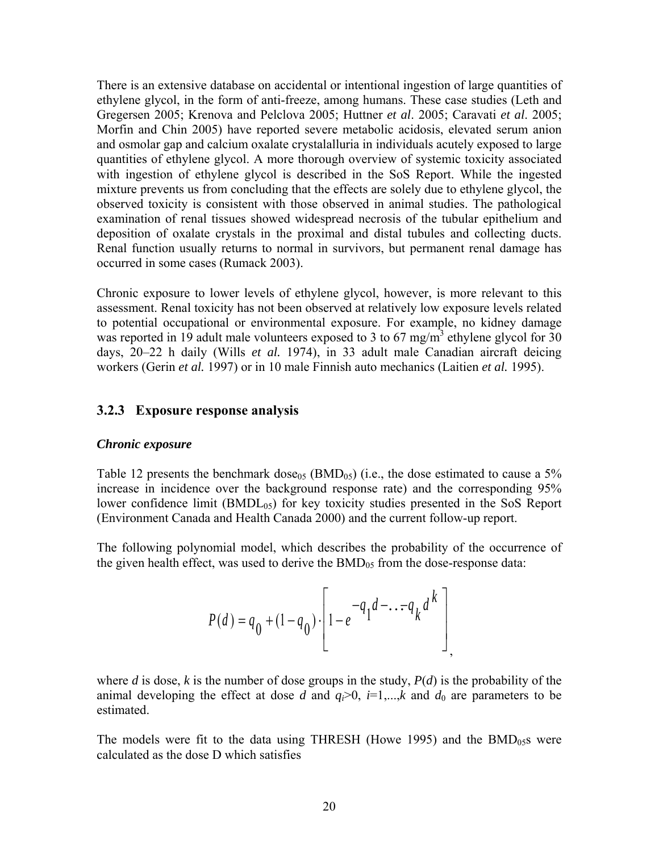<span id="page-26-0"></span>There is an extensive database on accidental or intentional ingestion of large quantities of ethylene glycol, in the form of anti-freeze, among humans. These case studies (Leth and Gregersen 2005; Krenova and Pelclova 2005; Huttner *et al*. 2005; Caravati *et al*. 2005; Morfin and Chin 2005) have reported severe metabolic acidosis, elevated serum anion and osmolar gap and calcium oxalate crystalalluria in individuals acutely exposed to large quantities of ethylene glycol. A more thorough overview of systemic toxicity associated with ingestion of ethylene glycol is described in the SoS Report. While the ingested mixture prevents us from concluding that the effects are solely due to ethylene glycol, the observed toxicity is consistent with those observed in animal studies. The pathological examination of renal tissues showed widespread necrosis of the tubular epithelium and deposition of oxalate crystals in the proximal and distal tubules and collecting ducts. Renal function usually returns to normal in survivors, but permanent renal damage has occurred in some cases (Rumack 2003).

Chronic exposure to lower levels of ethylene glycol, however, is more relevant to this assessment. Renal toxicity has not been observed at relatively low exposure levels related to potential occupational or environmental exposure. For example, no kidney damage was reported in 19 adult male volunteers exposed to 3 to 67 mg/m<sup>3</sup> ethylene glycol for 30 days, 20–22 h daily (Wills *et al.* 1974), in 33 adult male Canadian aircraft deicing workers (Gerin *et al.* 1997) or in 10 male Finnish auto mechanics (Laitien *et al.* 1995).

#### **3.2.3 Exposure response analysis**

#### *Chronic exposure*

Table 12 presents the benchmark dose<sub>05</sub> (BMD<sub>05</sub>) (i.e., the dose estimated to cause a 5% increase in incidence over the background response rate) and the corresponding 95% lower confidence limit  $(BMDL<sub>05</sub>)$  for key toxicity studies presented in the SoS Report (Environment Canada and Health Canada 2000) and the current follow-up report.

The following polynomial model, which describes the probability of the occurrence of the given health effect, was used to derive the  $BMD_{05}$  from the dose-response data:

$$
P(d) = q_0 + (1 - q_0) \cdot \left[ 1 - e^{-q_1 d - \dots - q_k d^k} \right]
$$

where *d* is dose, *k* is the number of dose groups in the study,  $P(d)$  is the probability of the animal developing the effect at dose *d* and  $q_i>0$ ,  $i=1,\dots,k$  and  $d_0$  are parameters to be estimated.

The models were fit to the data using THRESH (Howe 1995) and the  $BMD_{0.5}$ s were calculated as the dose D which satisfies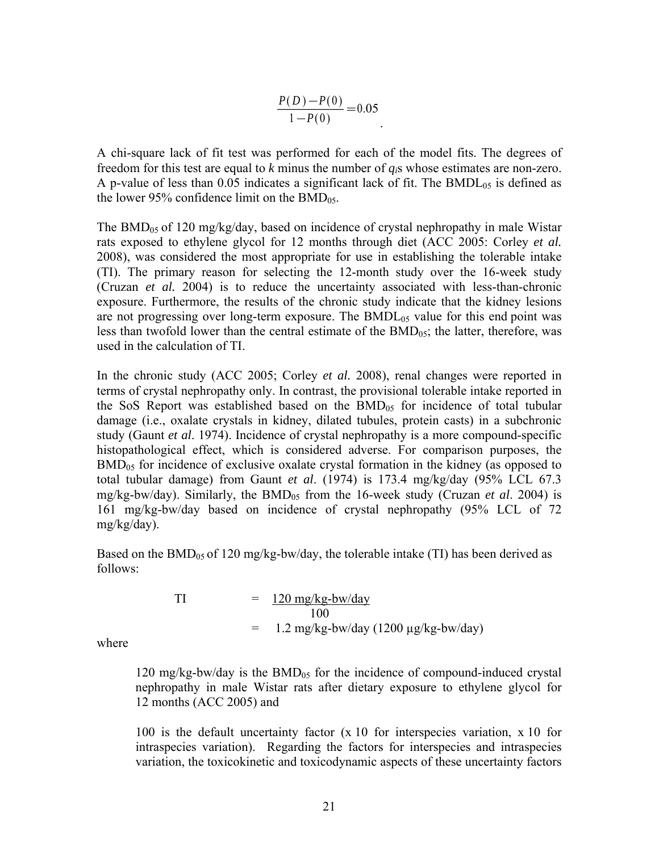$$
\frac{P(D) - P(0)}{1 - P(0)} = 0.05
$$

A chi-square lack of fit test was performed for each of the model fits. The degrees of freedom for this test are equal to *k* minus the number of *qi*s whose estimates are non-zero. A p-value of less than  $0.05$  indicates a significant lack of fit. The BMDL<sub>05</sub> is defined as the lower 95% confidence limit on the  $BMD_{05}$ .

The BMD<sub>05</sub> of 120 mg/kg/day, based on incidence of crystal nephropathy in male Wistar rats exposed to ethylene glycol for 12 months through diet (ACC 2005: Corley *et al.* 2008), was considered the most appropriate for use in establishing the tolerable intake (TI). The primary reason for selecting the 12-month study over the 16-week study (Cruzan *et al.* 2004) is to reduce the uncertainty associated with less-than-chronic exposure. Furthermore, the results of the chronic study indicate that the kidney lesions are not progressing over long-term exposure. The  $BMDL_{05}$  value for this end point was less than twofold lower than the central estimate of the  $BMD_{05}$ ; the latter, therefore, was used in the calculation of TI.

In the chronic study (ACC 2005; Corley *et al.* 2008), renal changes were reported in terms of crystal nephropathy only. In contrast, the provisional tolerable intake reported in the SoS Report was established based on the  $BMD_{05}$  for incidence of total tubular damage (i.e., oxalate crystals in kidney, dilated tubules, protein casts) in a subchronic study (Gaunt *et al*. 1974). Incidence of crystal nephropathy is a more compound-specific histopathological effect, which is considered adverse. For comparison purposes, the  $BMD_{05}$  for incidence of exclusive oxalate crystal formation in the kidney (as opposed to total tubular damage) from Gaunt *et al*. (1974) is 173.4 mg/kg/day (95% LCL 67.3 mg/kg-bw/day). Similarly, the BMD<sub>05</sub> from the 16-week study (Cruzan *et al.* 2004) is 161 mg/kg-bw/day based on incidence of crystal nephropathy (95% LCL of 72 mg/kg/day).

Based on the  $BMD_{05}$  of 120 mg/kg-bw/day, the tolerable intake (TI) has been derived as follows:

$$
T1 = 120 \frac{\text{mg/kg-bw/day}}{100}
$$
  
= 1.2 \frac{\text{mg/kg-bw/day}}{1200 \text{ µg/kg-bw/day}}

where

120 mg/kg-bw/day is the  $BMD_{05}$  for the incidence of compound-induced crystal nephropathy in male Wistar rats after dietary exposure to ethylene glycol for 12 months (ACC 2005) and

100 is the default uncertainty factor (x 10 for interspecies variation, x 10 for intraspecies variation). Regarding the factors for interspecies and intraspecies variation, the toxicokinetic and toxicodynamic aspects of these uncertainty factors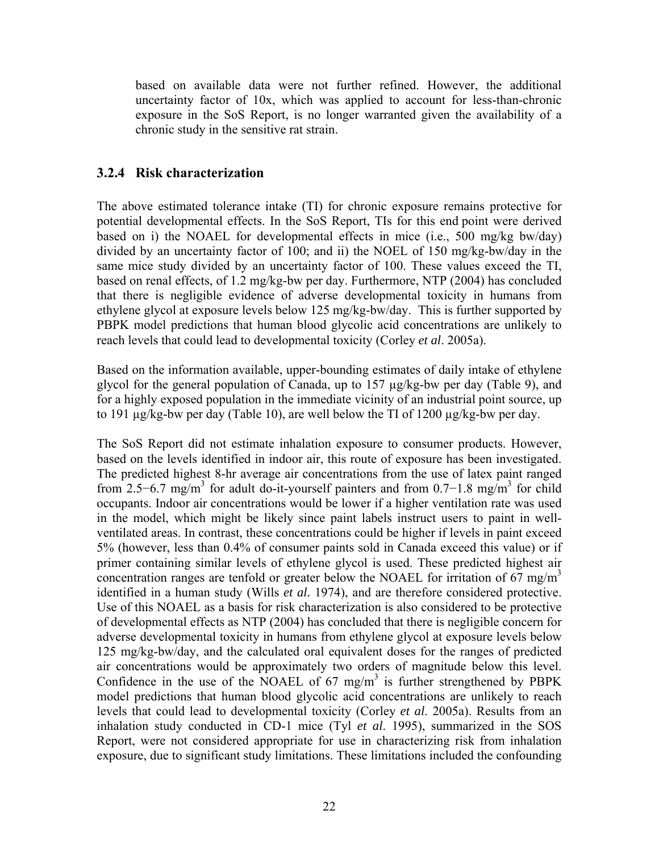<span id="page-28-0"></span>based on available data were not further refined. However, the additional uncertainty factor of 10x, which was applied to account for less-than-chronic exposure in the SoS Report, is no longer warranted given the availability of a chronic study in the sensitive rat strain.

### **3.2.4 Risk characterization**

The above estimated tolerance intake (TI) for chronic exposure remains protective for potential developmental effects. In the SoS Report, TIs for this end point were derived based on i) the NOAEL for developmental effects in mice (i.e., 500 mg/kg bw/day) divided by an uncertainty factor of 100; and ii) the NOEL of 150 mg/kg-bw/day in the same mice study divided by an uncertainty factor of 100. These values exceed the TI, based on renal effects, of 1.2 mg/kg-bw per day. Furthermore, NTP (2004) has concluded that there is negligible evidence of adverse developmental toxicity in humans from ethylene glycol at exposure levels below 125 mg/kg-bw/day. This is further supported by PBPK model predictions that human blood glycolic acid concentrations are unlikely to reach levels that could lead to developmental toxicity (Corley *et al*. 2005a).

Based on the information available, upper-bounding estimates of daily intake of ethylene glycol for the general population of Canada, up to 157 µg/kg-bw per day (Table 9), and for a highly exposed population in the immediate vicinity of an industrial point source, up to 191 µg/kg-bw per day (Table 10), are well below the TI of 1200 µg/kg-bw per day.

The SoS Report did not estimate inhalation exposure to consumer products. However, based on the levels identified in indoor air, this route of exposure has been investigated. The predicted highest 8-hr average air concentrations from the use of latex paint ranged from 2.5–6.7 mg/m<sup>3</sup> for adult do-it-yourself painters and from 0.7–1.8 mg/m<sup>3</sup> for child occupants. Indoor air concentrations would be lower if a higher ventilation rate was used in the model, which might be likely since paint labels instruct users to paint in wellventilated areas. In contrast, these concentrations could be higher if levels in paint exceed 5% (however, less than 0.4% of consumer paints sold in Canada exceed this value) or if primer containing similar levels of ethylene glycol is used. These predicted highest air concentration ranges are tenfold or greater below the NOAEL for irritation of 67 mg/m<sup>3</sup> identified in a human study (Wills *et al.* 1974), and are therefore considered protective. Use of this NOAEL as a basis for risk characterization is also considered to be protective of developmental effects as NTP (2004) has concluded that there is negligible concern for adverse developmental toxicity in humans from ethylene glycol at exposure levels below 125 mg/kg-bw/day, and the calculated oral equivalent doses for the ranges of predicted air concentrations would be approximately two orders of magnitude below this level. Confidence in the use of the NOAEL of  $67 \text{ mg/m}^3$  is further strengthened by PBPK model predictions that human blood glycolic acid concentrations are unlikely to reach levels that could lead to developmental toxicity (Corley *et al*. 2005a). Results from an inhalation study conducted in CD-1 mice (Tyl *et al*. 1995), summarized in the SOS Report, were not considered appropriate for use in characterizing risk from inhalation exposure, due to significant study limitations. These limitations included the confounding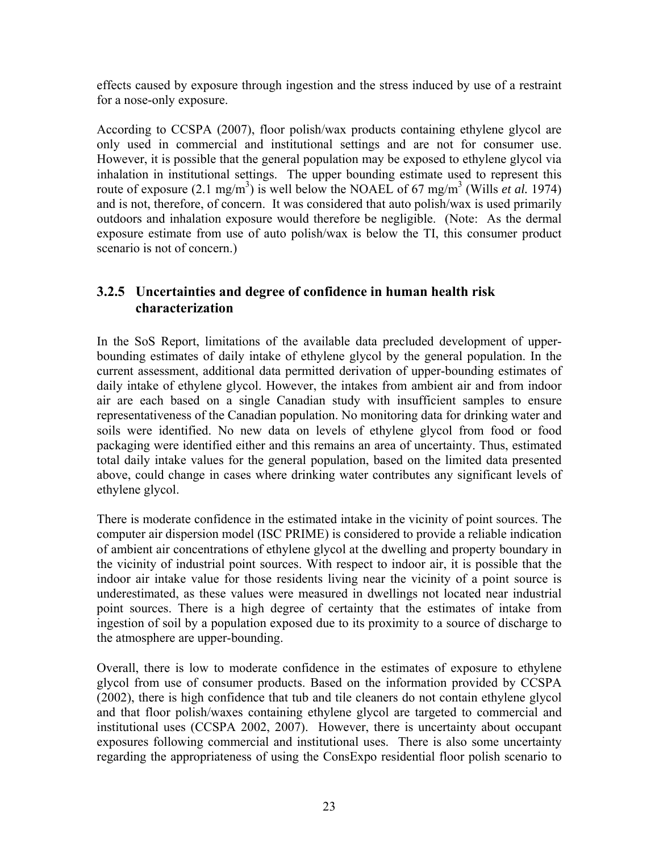<span id="page-29-0"></span>effects caused by exposure through ingestion and the stress induced by use of a restraint for a nose-only exposure.

According to CCSPA (2007), floor polish/wax products containing ethylene glycol are only used in commercial and institutional settings and are not for consumer use. However, it is possible that the general population may be exposed to ethylene glycol via inhalation in institutional settings. The upper bounding estimate used to represent this route of exposure  $(2.1 \text{ mg/m}^3)$  is well below the NOAEL of 67 mg/m<sup>3</sup> (Wills *et al.* 1974) and is not, therefore, of concern. It was considered that auto polish/wax is used primarily outdoors and inhalation exposure would therefore be negligible. (Note: As the dermal exposure estimate from use of auto polish/wax is below the TI, this consumer product scenario is not of concern.)

## **3.2.5 Uncertainties and degree of confidence in human health risk characterization**

In the SoS Report, limitations of the available data precluded development of upperbounding estimates of daily intake of ethylene glycol by the general population. In the current assessment, additional data permitted derivation of upper-bounding estimates of daily intake of ethylene glycol. However, the intakes from ambient air and from indoor air are each based on a single Canadian study with insufficient samples to ensure representativeness of the Canadian population. No monitoring data for drinking water and soils were identified. No new data on levels of ethylene glycol from food or food packaging were identified either and this remains an area of uncertainty. Thus, estimated total daily intake values for the general population, based on the limited data presented above, could change in cases where drinking water contributes any significant levels of ethylene glycol.

There is moderate confidence in the estimated intake in the vicinity of point sources. The computer air dispersion model (ISC PRIME) is considered to provide a reliable indication of ambient air concentrations of ethylene glycol at the dwelling and property boundary in the vicinity of industrial point sources. With respect to indoor air, it is possible that the indoor air intake value for those residents living near the vicinity of a point source is underestimated, as these values were measured in dwellings not located near industrial point sources. There is a high degree of certainty that the estimates of intake from ingestion of soil by a population exposed due to its proximity to a source of discharge to the atmosphere are upper-bounding.

Overall, there is low to moderate confidence in the estimates of exposure to ethylene glycol from use of consumer products. Based on the information provided by CCSPA (2002), there is high confidence that tub and tile cleaners do not contain ethylene glycol and that floor polish/waxes containing ethylene glycol are targeted to commercial and institutional uses (CCSPA 2002, 2007). However, there is uncertainty about occupant exposures following commercial and institutional uses. There is also some uncertainty regarding the appropriateness of using the ConsExpo residential floor polish scenario to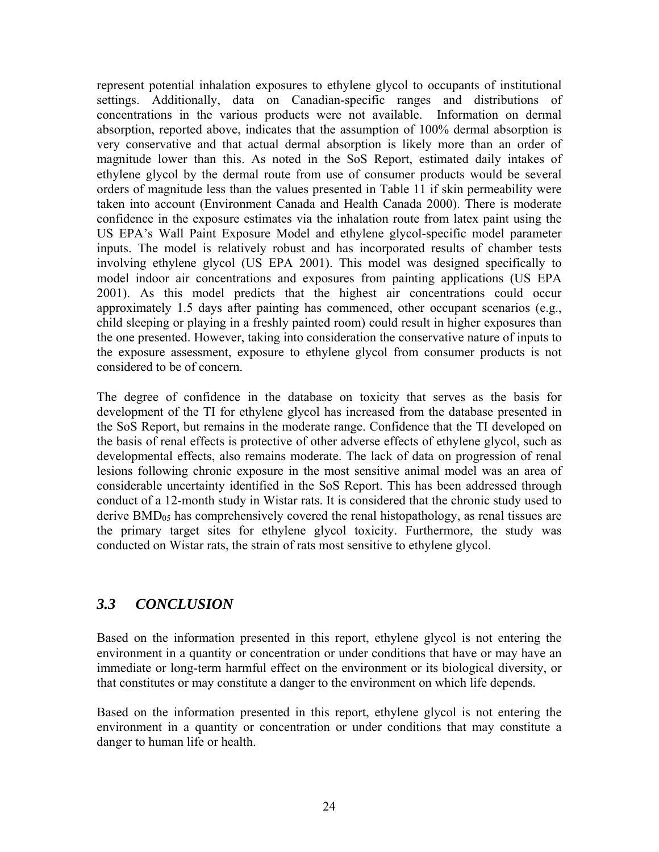<span id="page-30-0"></span>represent potential inhalation exposures to ethylene glycol to occupants of institutional settings. Additionally, data on Canadian-specific ranges and distributions of concentrations in the various products were not available. Information on dermal absorption, reported above, indicates that the assumption of 100% dermal absorption is very conservative and that actual dermal absorption is likely more than an order of magnitude lower than this. As noted in the SoS Report, estimated daily intakes of ethylene glycol by the dermal route from use of consumer products would be several orders of magnitude less than the values presented in Table 11 if skin permeability were taken into account (Environment Canada and Health Canada 2000). There is moderate confidence in the exposure estimates via the inhalation route from latex paint using the US EPA's Wall Paint Exposure Model and ethylene glycol-specific model parameter inputs. The model is relatively robust and has incorporated results of chamber tests involving ethylene glycol (US EPA 2001). This model was designed specifically to model indoor air concentrations and exposures from painting applications (US EPA 2001). As this model predicts that the highest air concentrations could occur approximately 1.5 days after painting has commenced, other occupant scenarios (e.g., child sleeping or playing in a freshly painted room) could result in higher exposures than the one presented. However, taking into consideration the conservative nature of inputs to the exposure assessment, exposure to ethylene glycol from consumer products is not considered to be of concern.

The degree of confidence in the database on toxicity that serves as the basis for development of the TI for ethylene glycol has increased from the database presented in the SoS Report, but remains in the moderate range. Confidence that the TI developed on the basis of renal effects is protective of other adverse effects of ethylene glycol, such as developmental effects, also remains moderate. The lack of data on progression of renal lesions following chronic exposure in the most sensitive animal model was an area of considerable uncertainty identified in the SoS Report. This has been addressed through conduct of a 12-month study in Wistar rats. It is considered that the chronic study used to derive  $BMD_{05}$  has comprehensively covered the renal histopathology, as renal tissues are the primary target sites for ethylene glycol toxicity. Furthermore, the study was conducted on Wistar rats, the strain of rats most sensitive to ethylene glycol.

### *3.3 CONCLUSION*

Based on the information presented in this report, ethylene glycol is not entering the environment in a quantity or concentration or under conditions that have or may have an immediate or long-term harmful effect on the environment or its biological diversity, or that constitutes or may constitute a danger to the environment on which life depends.

Based on the information presented in this report, ethylene glycol is not entering the environment in a quantity or concentration or under conditions that may constitute a danger to human life or health.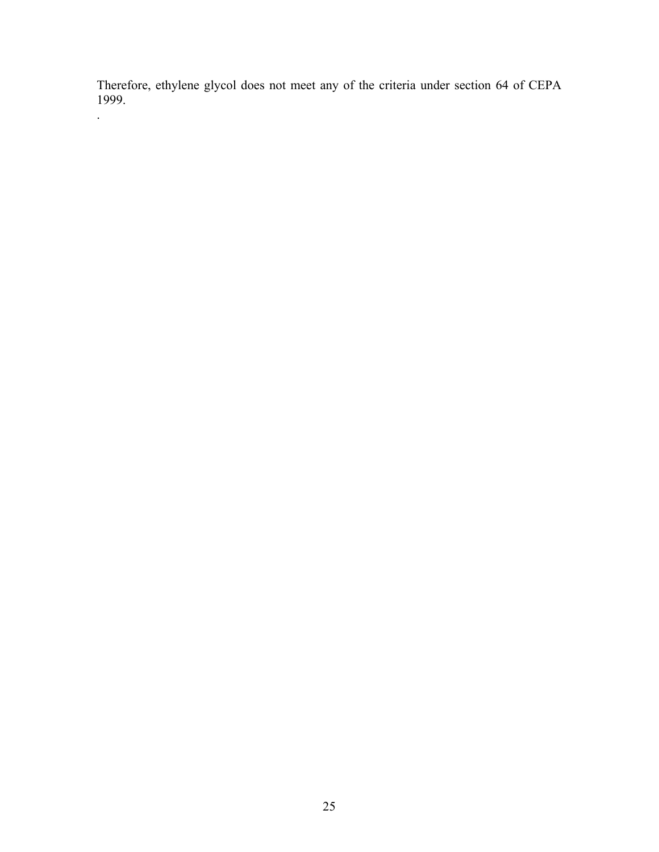Therefore, ethylene glycol does not meet any of the criteria under section 64 of CEPA 1999.

.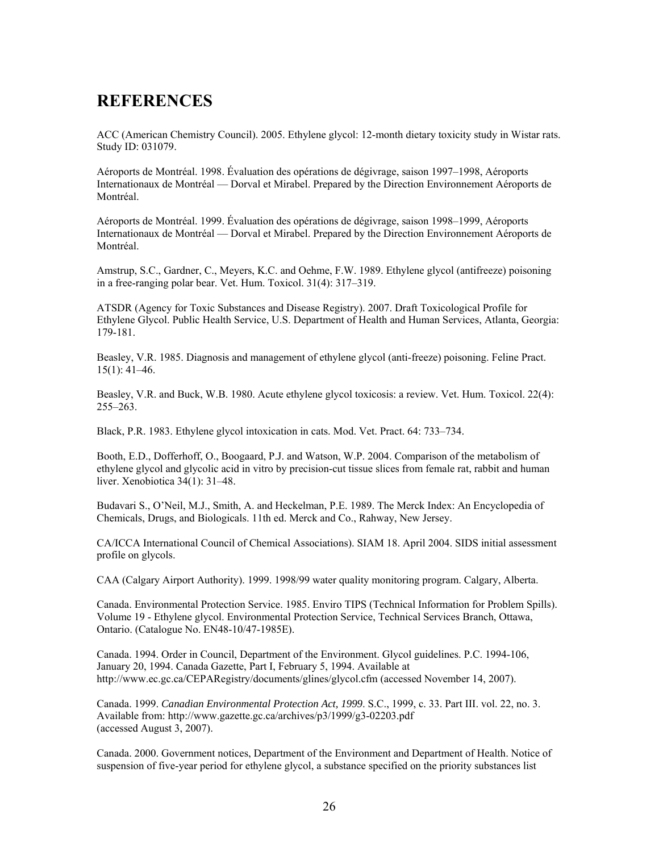# <span id="page-32-0"></span>**REFERENCES**

ACC (American Chemistry Council). 2005. Ethylene glycol: 12-month dietary toxicity study in Wistar rats. Study ID: 031079.

Aéroports de Montréal. 1998. Évaluation des opérations de dégivrage, saison 1997–1998, Aéroports Internationaux de Montréal — Dorval et Mirabel. Prepared by the Direction Environnement Aéroports de Montréal.

Aéroports de Montréal. 1999. Évaluation des opérations de dégivrage, saison 1998–1999, Aéroports Internationaux de Montréal — Dorval et Mirabel. Prepared by the Direction Environnement Aéroports de Montréal.

Amstrup, S.C., Gardner, C., Meyers, K.C. and Oehme, F.W. 1989. Ethylene glycol (antifreeze) poisoning in a free-ranging polar bear. Vet. Hum. Toxicol. 31(4): 317–319.

ATSDR (Agency for Toxic Substances and Disease Registry). 2007. Draft Toxicological Profile for Ethylene Glycol. Public Health Service, U.S. Department of Health and Human Services, Atlanta, Georgia: 179-181.

Beasley, V.R. 1985. Diagnosis and management of ethylene glycol (anti-freeze) poisoning. Feline Pract. 15(1): 41–46.

Beasley, V.R. and Buck, W.B. 1980. Acute ethylene glycol toxicosis: a review. Vet. Hum. Toxicol. 22(4): 255–263.

Black, P.R. 1983. Ethylene glycol intoxication in cats. Mod. Vet. Pract. 64: 733–734.

Booth, E.D., Dofferhoff, O., Boogaard, P.J. and Watson, W.P. 2004. Comparison of the metabolism of ethylene glycol and glycolic acid in vitro by precision-cut tissue slices from female rat, rabbit and human liver. Xenobiotica 34(1): 31–48.

Budavari S., O'Neil, M.J., Smith, A. and Heckelman, P.E. 1989. The Merck Index: An Encyclopedia of Chemicals, Drugs, and Biologicals. 11th ed. Merck and Co., Rahway, New Jersey.

CA/ICCA International Council of Chemical Associations). SIAM 18. April 2004. SIDS initial assessment profile on glycols.

CAA (Calgary Airport Authority). 1999. 1998/99 water quality monitoring program. Calgary, Alberta.

Canada. Environmental Protection Service. 1985. Enviro TIPS (Technical Information for Problem Spills). Volume 19 - Ethylene glycol. Environmental Protection Service, Technical Services Branch, Ottawa, Ontario. (Catalogue No. EN48-10/47-1985E).

Canada. 1994. Order in Council, Department of the Environment. Glycol guidelines. P.C. 1994-106, January 20, 1994. Canada Gazette, Part I, February 5, 1994. Available at <http://www.ec.gc.ca/CEPARegistry/documents/glines/glycol.cfm> (accessed November 14, 2007).

Canada. 1999. *Canadian Environmental Protection Act, 1999*. S.C., 1999, c. 33. Part III. vol. 22, no. 3. Available from:<http://www.gazette.gc.ca/archives/p3/1999/g3-02203.pdf> (accessed August 3, 2007).

Canada. 2000. Government notices, Department of the Environment and Department of Health. Notice of suspension of five-year period for ethylene glycol, a substance specified on the priority substances list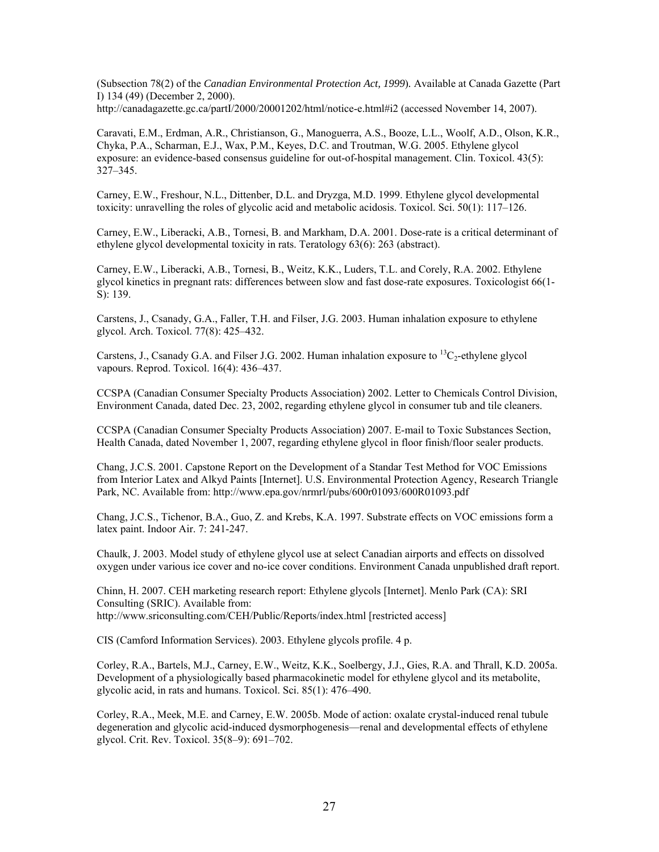(Subsection 78(2) of the *Canadian Environmental Protection Act, 1999*)*.* Available at Canada Gazette (Part I) 134 (49) (December 2, 2000). <http://canadagazette.gc.ca/partI/2000/20001202/html/notice-e.html#i2> (accessed November 14, 2007).

Caravati, E.M., Erdman, A.R., Christianson, G., Manoguerra, A.S., Booze, L.L., Woolf, A.D., Olson, K.R., Chyka, P.A., Scharman, E.J., Wax, P.M., Keyes, D.C. and Troutman, W.G. 2005. Ethylene glycol exposure: an evidence-based consensus guideline for out-of-hospital management. Clin. Toxicol. 43(5): 327–345.

Carney, E.W., Freshour, N.L., Dittenber, D.L. and Dryzga, M.D. 1999. Ethylene glycol developmental toxicity: unravelling the roles of glycolic acid and metabolic acidosis. Toxicol. Sci. 50(1): 117–126.

Carney, E.W., Liberacki, A.B., Tornesi, B. and Markham, D.A. 2001. Dose-rate is a critical determinant of ethylene glycol developmental toxicity in rats. Teratology 63(6): 263 (abstract).

Carney, E.W., Liberacki, A.B., Tornesi, B., Weitz, K.K., Luders, T.L. and Corely, R.A. 2002. Ethylene glycol kinetics in pregnant rats: differences between slow and fast dose-rate exposures. Toxicologist 66(1- S): 139.

Carstens, J., Csanady, G.A., Faller, T.H. and Filser, J.G. 2003. Human inhalation exposure to ethylene glycol. Arch. Toxicol. 77(8): 425–432.

Carstens, J., Csanady G.A. and Filser J.G. 2002. Human inhalation exposure to  ${}^{13}C_2$ -ethylene glycol vapours. Reprod. Toxicol. 16(4): 436–437.

CCSPA (Canadian Consumer Specialty Products Association) 2002. Letter to Chemicals Control Division, Environment Canada, dated Dec. 23, 2002, regarding ethylene glycol in consumer tub and tile cleaners.

CCSPA (Canadian Consumer Specialty Products Association) 2007. E-mail to Toxic Substances Section, Health Canada, dated November 1, 2007, regarding ethylene glycol in floor finish/floor sealer products.

Chang, J.C.S. 2001. Capstone Report on the Development of a Standar Test Method for VOC Emissions from Interior Latex and Alkyd Paints [Internet]. U.S. Environmental Protection Agency, Research Triangle Park, NC. Available from:<http://www.epa.gov/nrmrl/pubs/600r01093/600R01093.pdf>

Chang, J.C.S., Tichenor, B.A., Guo, Z. and Krebs, K.A. 1997. Substrate effects on VOC emissions form a latex paint. Indoor Air. 7: 241-247.

Chaulk, J. 2003. Model study of ethylene glycol use at select Canadian airports and effects on dissolved oxygen under various ice cover and no-ice cover conditions. Environment Canada unpublished draft report.

Chinn, H. 2007. CEH marketing research report: Ethylene glycols [Internet]. Menlo Park (CA): SRI Consulting (SRIC). Available from: <http://www.sriconsulting.com/CEH/Public/Reports/index.html> [restricted access]

CIS (Camford Information Services). 2003. Ethylene glycols profile. 4 p.

Corley, R.A., Bartels, M.J., Carney, E.W., Weitz, K.K., Soelbergy, J.J., Gies, R.A. and Thrall, K.D. 2005a. Development of a physiologically based pharmacokinetic model for ethylene glycol and its metabolite, glycolic acid, in rats and humans. Toxicol. Sci. 85(1): 476–490.

Corley, R.A., Meek, M.E. and Carney, E.W. 2005b. Mode of action: oxalate crystal-induced renal tubule degeneration and glycolic acid-induced dysmorphogenesis—renal and developmental effects of ethylene glycol. Crit. Rev. Toxicol. 35(8–9): 691–702.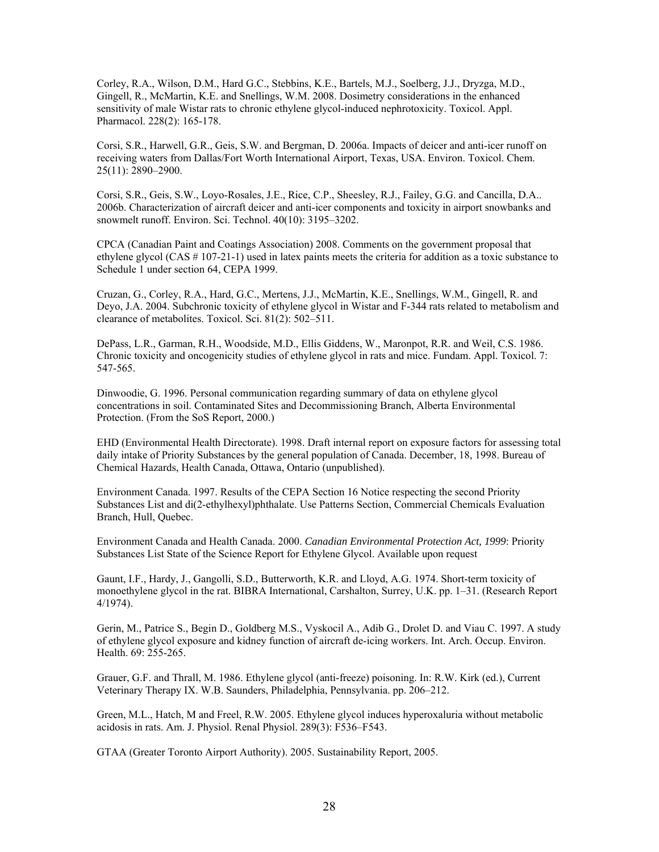Corley, R.A., Wilson, D.M., Hard G.C., Stebbins, K.E., Bartels, M.J., Soelberg, J.J., Dryzga, M.D., Gingell, R., McMartin, K.E. and Snellings, W.M. 2008. Dosimetry considerations in the enhanced sensitivity of male Wistar rats to chronic ethylene glycol-induced nephrotoxicity. Toxicol. Appl. Pharmacol. 228(2): 165-178.

Corsi, S.R., Harwell, G.R., Geis, S.W. and Bergman, D. 2006a. Impacts of deicer and anti-icer runoff on receiving waters from Dallas/Fort Worth International Airport, Texas, USA. Environ. Toxicol. Chem. 25(11): 2890–2900.

Corsi, S.R., Geis, S.W., Loyo-Rosales, J.E., Rice, C.P., Sheesley, R.J., Failey, G.G. and Cancilla, D.A.. 2006b. Characterization of aircraft deicer and anti-icer components and toxicity in airport snowbanks and snowmelt runoff. Environ. Sci. Technol. 40(10): 3195–3202.

CPCA (Canadian Paint and Coatings Association) 2008. Comments on the government proposal that ethylene glycol (CAS # 107-21-1) used in latex paints meets the criteria for addition as a toxic substance to Schedule 1 under section 64, CEPA 1999.

Cruzan, G., Corley, R.A., Hard, G.C., Mertens, J.J., McMartin, K.E., Snellings, W.M., Gingell, R. and Deyo, J.A. 2004. Subchronic toxicity of ethylene glycol in Wistar and F-344 rats related to metabolism and clearance of metabolites. Toxicol. Sci. 81(2): 502–511.

DePass, L.R., Garman, R.H., Woodside, M.D., Ellis Giddens, W., Maronpot, R.R. and Weil, C.S. 1986. Chronic toxicity and oncogenicity studies of ethylene glycol in rats and mice. Fundam. Appl. Toxicol. 7: 547-565.

Dinwoodie, G. 1996. Personal communication regarding summary of data on ethylene glycol concentrations in soil. Contaminated Sites and Decommissioning Branch, Alberta Environmental Protection. (From the SoS Report, 2000.)

EHD (Environmental Health Directorate). 1998. Draft internal report on exposure factors for assessing total daily intake of Priority Substances by the general population of Canada. December, 18, 1998. Bureau of Chemical Hazards, Health Canada, Ottawa, Ontario (unpublished).

Environment Canada. 1997. Results of the CEPA Section 16 Notice respecting the second Priority Substances List and di(2-ethylhexyl)phthalate. Use Patterns Section, Commercial Chemicals Evaluation Branch, Hull, Quebec.

Environment Canada and Health Canada. 2000. *Canadian Environmental Protection Act, 1999*: Priority Substances List State of the Science Report for Ethylene Glycol. Available upon request

Gaunt, I.F., Hardy, J., Gangolli, S.D., Butterworth, K.R. and Lloyd, A.G. 1974. Short-term toxicity of monoethylene glycol in the rat. BIBRA International, Carshalton, Surrey, U.K. pp. 1–31. (Research Report 4/1974).

Gerin, M., Patrice S., Begin D., Goldberg M.S., Vyskocil A., Adib G., Drolet D. and Viau C. 1997. A study of ethylene glycol exposure and kidney function of aircraft de-icing workers. Int. Arch. Occup. Environ. Health. 69: 255-265.

Grauer, G.F. and Thrall, M. 1986. Ethylene glycol (anti-freeze) poisoning. In: R.W. Kirk (ed.), Current Veterinary Therapy IX. W.B. Saunders, Philadelphia, Pennsylvania. pp. 206–212.

Green, M.L., Hatch, M and Freel, R.W. 2005. Ethylene glycol induces hyperoxaluria without metabolic acidosis in rats. Am. J. Physiol. Renal Physiol. 289(3): F536–F543.

GTAA (Greater Toronto Airport Authority). 2005. Sustainability Report, 2005.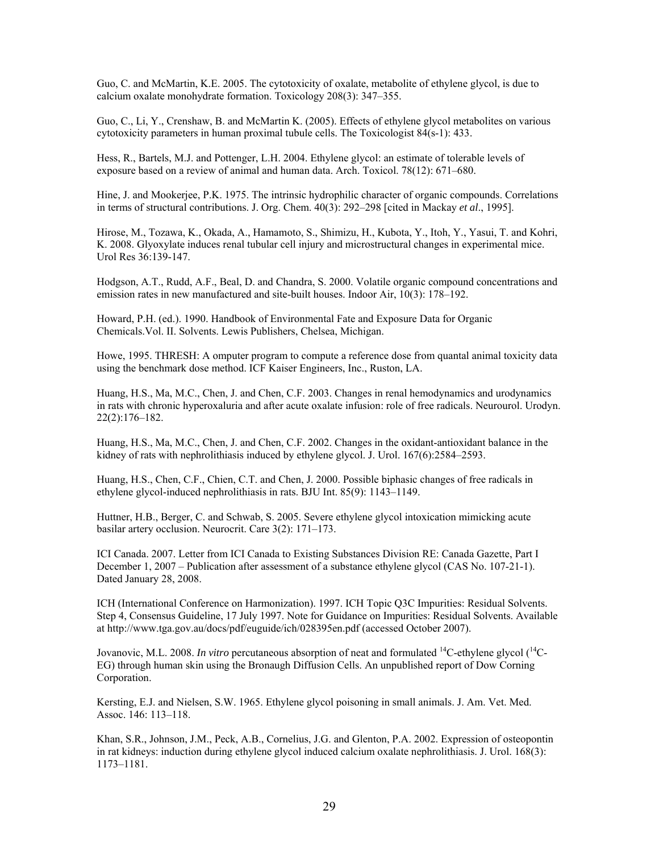Guo, C. and McMartin, K.E. 2005. The cytotoxicity of oxalate, metabolite of ethylene glycol, is due to calcium oxalate monohydrate formation. Toxicology 208(3): 347–355.

Guo, C., Li, Y., Crenshaw, B. and McMartin K. (2005). Effects of ethylene glycol metabolites on various cytotoxicity parameters in human proximal tubule cells. The Toxicologist  $84(s-1)$ : 433.

Hess, R., Bartels, M.J. and Pottenger, L.H. 2004. Ethylene glycol: an estimate of tolerable levels of exposure based on a review of animal and human data. Arch. Toxicol. 78(12): 671–680.

Hine, J. and Mookerjee, P.K. 1975. The intrinsic hydrophilic character of organic compounds. Correlations in terms of structural contributions. J. Org. Chem. 40(3): 292–298 [cited in Mackay *et al*., 1995].

Hirose, M., Tozawa, K., Okada, A., Hamamoto, S., Shimizu, H., Kubota, Y., Itoh, Y., Yasui, T. and Kohri, K. 2008. Glyoxylate induces renal tubular cell injury and microstructural changes in experimental mice. Urol Res 36:139-147.

Hodgson, A.T., Rudd, A.F., Beal, D. and Chandra, S. 2000. Volatile organic compound concentrations and emission rates in new manufactured and site-built houses. Indoor Air, 10(3): 178–192.

Howard, P.H. (ed.). 1990. Handbook of Environmental Fate and Exposure Data for Organic Chemicals.Vol. II. Solvents. Lewis Publishers, Chelsea, Michigan.

Howe, 1995. THRESH: A omputer program to compute a reference dose from quantal animal toxicity data using the benchmark dose method. ICF Kaiser Engineers, Inc., Ruston, LA.

Huang, H.S., Ma, M.C., Chen, J. and Chen, C.F. 2003. Changes in renal hemodynamics and urodynamics in rats with chronic hyperoxaluria and after acute oxalate infusion: role of free radicals. Neurourol. Urodyn. 22(2):176–182.

Huang, H.S., Ma, M.C., Chen, J. and Chen, C.F. 2002. Changes in the oxidant-antioxidant balance in the kidney of rats with nephrolithiasis induced by ethylene glycol. J. Urol. 167(6):2584–2593.

Huang, H.S., Chen, C.F., Chien, C.T. and Chen, J. 2000. Possible biphasic changes of free radicals in ethylene glycol-induced nephrolithiasis in rats. BJU Int. 85(9): 1143–1149.

Huttner, H.B., Berger, C. and Schwab, S. 2005. Severe ethylene glycol intoxication mimicking acute basilar artery occlusion. Neurocrit. Care 3(2): 171–173.

ICI Canada. 2007. Letter from ICI Canada to Existing Substances Division RE: Canada Gazette, Part I December 1, 2007 – Publication after assessment of a substance ethylene glycol (CAS No. 107-21-1). Dated January 28, 2008.

ICH (International Conference on Harmonization). 1997. ICH Topic Q3C Impurities: Residual Solvents. Step 4, Consensus Guideline, 17 July 1997. Note for Guidance on Impurities: Residual Solvents. Available at <http://www.tga.gov.au/docs/pdf/euguide/ich/028395en.pdf> (accessed October 2007).

Jovanovic, M.L. 2008. *In vitro* percutaneous absorption of neat and formulated 14C-ethylene glycol (14C-EG) through human skin using the Bronaugh Diffusion Cells. An unpublished report of Dow Corning Corporation.

Kersting, E.J. and Nielsen, S.W. 1965. Ethylene glycol poisoning in small animals. J. Am. Vet. Med. Assoc. 146: 113–118.

Khan, S.R., Johnson, J.M., Peck, A.B., Cornelius, J.G. and Glenton, P.A. 2002. Expression of osteopontin in rat kidneys: induction during ethylene glycol induced calcium oxalate nephrolithiasis. J. Urol. 168(3): 1173–1181.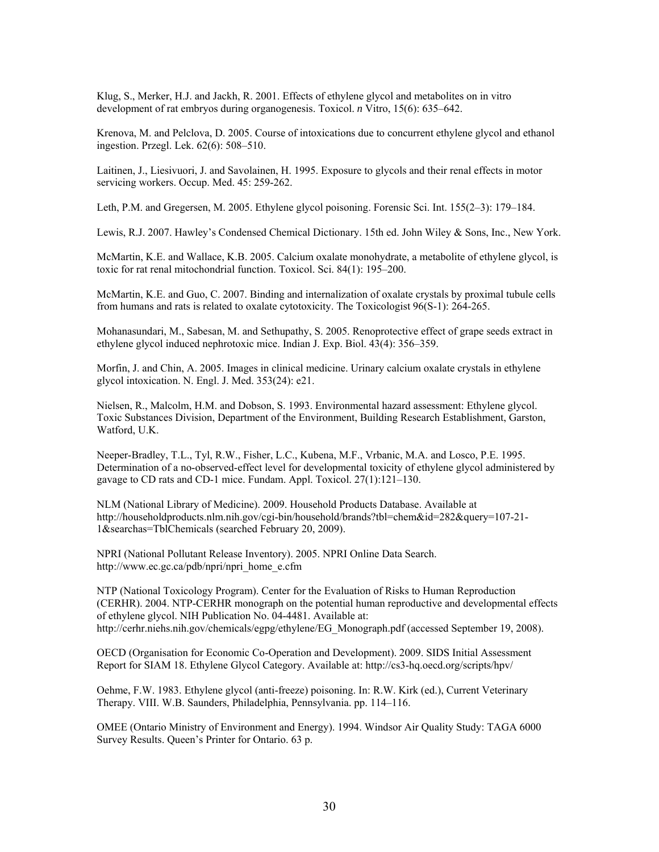Klug, S., Merker, H.J. and Jackh, R. 2001. Effects of ethylene glycol and metabolites on in vitro development of rat embryos during organogenesis. Toxicol. *n* Vitro, 15(6): 635–642.

Krenova, M. and Pelclova, D. 2005. Course of intoxications due to concurrent ethylene glycol and ethanol ingestion. Przegl. Lek. 62(6): 508–510.

Laitinen, J., Liesivuori, J. and Savolainen, H. 1995. Exposure to glycols and their renal effects in motor servicing workers. Occup. Med. 45: 259-262.

Leth, P.M. and Gregersen, M. 2005. Ethylene glycol poisoning. Forensic Sci. Int. 155(2–3): 179–184.

Lewis, R.J. 2007. Hawley's Condensed Chemical Dictionary. 15th ed. John Wiley & Sons, Inc., New York.

McMartin, K.E. and Wallace, K.B. 2005. Calcium oxalate monohydrate, a metabolite of ethylene glycol, is toxic for rat renal mitochondrial function. Toxicol. Sci. 84(1): 195–200.

McMartin, K.E. and Guo, C. 2007. Binding and internalization of oxalate crystals by proximal tubule cells from humans and rats is related to oxalate cytotoxicity. The Toxicologist 96(S-1): 264-265.

Mohanasundari, M., Sabesan, M. and Sethupathy, S. 2005. Renoprotective effect of grape seeds extract in ethylene glycol induced nephrotoxic mice. Indian J. Exp. Biol. 43(4): 356–359.

Morfin, J. and Chin, A. 2005. Images in clinical medicine. Urinary calcium oxalate crystals in ethylene glycol intoxication. N. Engl. J. Med. 353(24): e21.

Nielsen, R., Malcolm, H.M. and Dobson, S. 1993. Environmental hazard assessment: Ethylene glycol. Toxic Substances Division, Department of the Environment, Building Research Establishment, Garston, Watford, U.K.

Neeper-Bradley, T.L., Tyl, R.W., Fisher, L.C., Kubena, M.F., Vrbanic, M.A. and Losco, P.E. 1995. Determination of a no-observed-effect level for developmental toxicity of ethylene glycol administered by gavage to CD rats and CD-1 mice. Fundam. Appl. Toxicol. 27(1):121–130.

NLM (National Library of Medicine). 2009. Household Products Database. Available at http://householdproducts.nlm.nih.gov/cgi-bin/household/brands?tbl=chem&id=282&query=107-21- 1&searchas=TblChemicals (searched February 20, 2009).

NPRI (National Pollutant Release Inventory). 2005. NPRI Online Data Search. http://www.ec.gc.ca/pdb/npri/npri\_home\_e.cfm

NTP (National Toxicology Program). Center for the Evaluation of Risks to Human Reproduction (CERHR). 2004. NTP-CERHR monograph on the potential human reproductive and developmental effects of ethylene glycol. NIH Publication No. 04-4481. Available at: [http://cerhr.niehs.nih.gov/chemicals/egpg/ethylene/EG\\_Monograph.pdf](http://cerhr.niehs.nih.gov/chemicals/egpg/ethylene/EG_Monograph.pdf) (accessed September 19, 2008).

OECD (Organisation for Economic Co-Operation and Development). 2009. SIDS Initial Assessment Report for SIAM 18. Ethylene Glycol Category. Available at: <http://cs3-hq.oecd.org/scripts/hpv/>

Oehme, F.W. 1983. Ethylene glycol (anti-freeze) poisoning. In: R.W. Kirk (ed.), Current Veterinary Therapy. VIII. W.B. Saunders, Philadelphia, Pennsylvania. pp. 114–116.

OMEE (Ontario Ministry of Environment and Energy). 1994. Windsor Air Quality Study: TAGA 6000 Survey Results. Queen's Printer for Ontario. 63 p.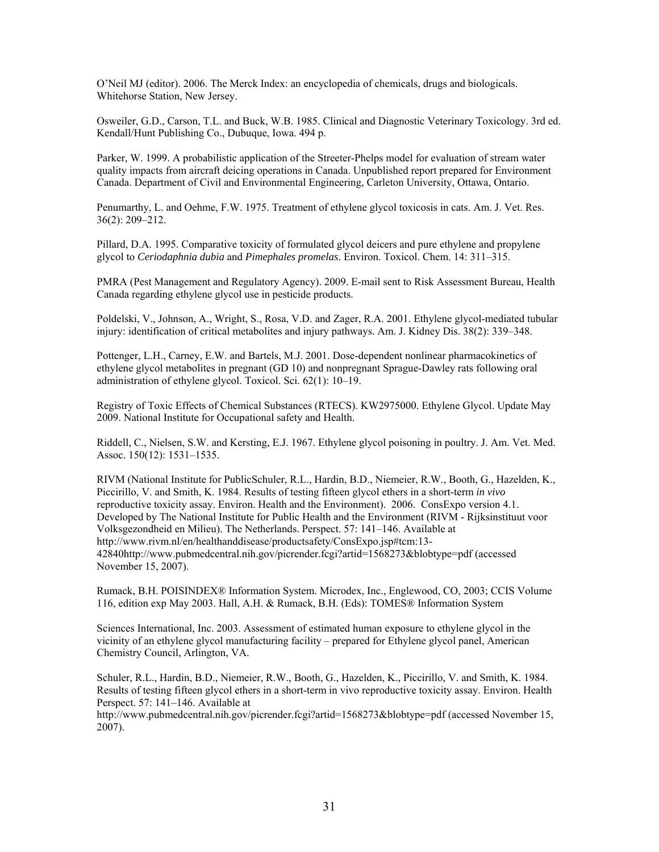O'Neil MJ (editor). 2006. The Merck Index: an encyclopedia of chemicals, drugs and biologicals. Whitehorse Station, New Jersey.

Osweiler, G.D., Carson, T.L. and Buck, W.B. 1985. Clinical and Diagnostic Veterinary Toxicology. 3rd ed. Kendall/Hunt Publishing Co., Dubuque, Iowa. 494 p.

Parker, W. 1999. A probabilistic application of the Streeter-Phelps model for evaluation of stream water quality impacts from aircraft deicing operations in Canada. Unpublished report prepared for Environment Canada. Department of Civil and Environmental Engineering, Carleton University, Ottawa, Ontario.

Penumarthy, L. and Oehme, F.W. 1975. Treatment of ethylene glycol toxicosis in cats. Am. J. Vet. Res. 36(2): 209–212.

Pillard, D.A. 1995. Comparative toxicity of formulated glycol deicers and pure ethylene and propylene glycol to *Ceriodaphnia dubia* and *Pimephales promelas*. Environ. Toxicol. Chem. 14: 311–315.

PMRA (Pest Management and Regulatory Agency). 2009. E-mail sent to Risk Assessment Bureau, Health Canada regarding ethylene glycol use in pesticide products.

Poldelski, V., Johnson, A., Wright, S., Rosa, V.D. and Zager, R.A. 2001. Ethylene glycol-mediated tubular injury: identification of critical metabolites and injury pathways. Am. J. Kidney Dis. 38(2): 339–348.

Pottenger, L.H., Carney, E.W. and Bartels, M.J. 2001. Dose-dependent nonlinear pharmacokinetics of ethylene glycol metabolites in pregnant (GD 10) and nonpregnant Sprague-Dawley rats following oral administration of ethylene glycol. Toxicol. Sci. 62(1): 10–19.

Registry of Toxic Effects of Chemical Substances (RTECS). KW2975000. Ethylene Glycol. Update May 2009. National Institute for Occupational safety and Health.

Riddell, C., Nielsen, S.W. and Kersting, E.J. 1967. Ethylene glycol poisoning in poultry. J. Am. Vet. Med. Assoc. 150(12): 1531–1535.

RIVM (National Institute for PublicSchuler, R.L., Hardin, B.D., Niemeier, R.W., Booth, G., Hazelden, K., Piccirillo, V. and Smith, K. 1984. Results of testing fifteen glycol ethers in a short-term *in vivo* reproductive toxicity assay. Environ. Health and the Environment). 2006. ConsExpo version 4.1. Developed by The National Institute for Public Health and the Environment (RIVM - Rijksinstituut voor Volksgezondheid en Milieu). The Netherlands. Perspect. 57: 141–146. Available at [http://www.rivm.nl/en/healthanddisease/productsafety/ConsExpo.jsp#tcm:13-](http://www.pubmedcentral.nih.gov/picrender.fcgi?artid=1568273&blobtype=pdf) [42840http://www.pubmedcentral.nih.gov/picrender.fcgi?artid=1568273&blobtype=pdf](http://www.pubmedcentral.nih.gov/picrender.fcgi?artid=1568273&blobtype=pdf) (accessed November 15, 2007).

Rumack, B.H. POISINDEX® Information System. Microdex, Inc., Englewood, CO, 2003; CCIS Volume 116, edition exp May 2003. Hall, A.H. & Rumack, B.H. (Eds): TOMES® Information System

Sciences International, Inc. 2003. Assessment of estimated human exposure to ethylene glycol in the vicinity of an ethylene glycol manufacturing facility – prepared for Ethylene glycol panel, American Chemistry Council, Arlington, VA.

Schuler, R.L., Hardin, B.D., Niemeier, R.W., Booth, G., Hazelden, K., Piccirillo, V. and Smith, K. 1984. Results of testing fifteen glycol ethers in a short-term in vivo reproductive toxicity assay. Environ. Health Perspect. 57: 141–146. Available at

<http://www.pubmedcentral.nih.gov/picrender.fcgi?artid=1568273&blobtype=pdf>(accessed November 15, 2007).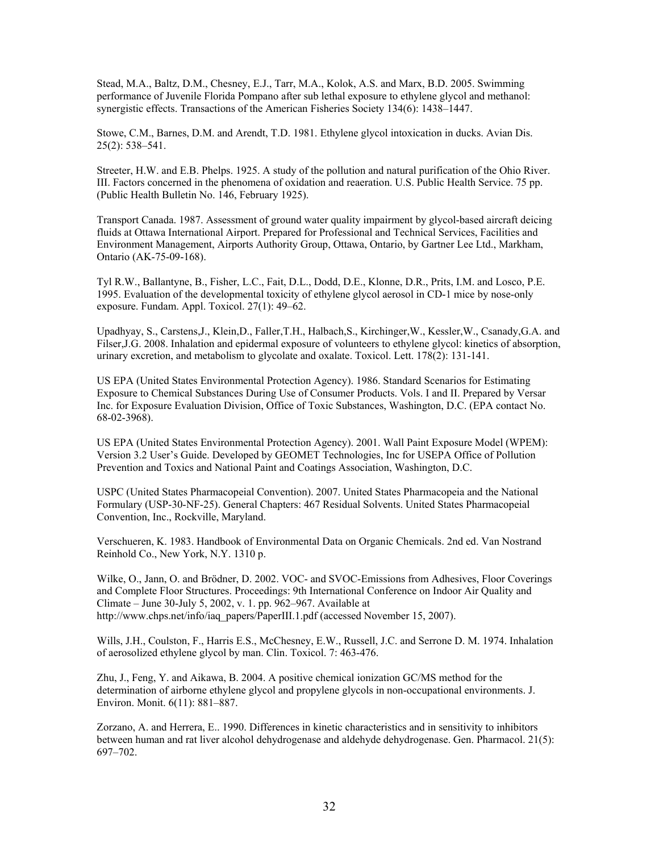Stead, M.A., Baltz, D.M., Chesney, E.J., Tarr, M.A., Kolok, A.S. and Marx, B.D. 2005. Swimming performance of Juvenile Florida Pompano after sub lethal exposure to ethylene glycol and methanol: synergistic effects. Transactions of the American Fisheries Society 134(6): 1438–1447.

Stowe, C.M., Barnes, D.M. and Arendt, T.D. 1981. Ethylene glycol intoxication in ducks. Avian Dis. 25(2): 538–541.

Streeter, H.W. and E.B. Phelps. 1925. A study of the pollution and natural purification of the Ohio River. III. Factors concerned in the phenomena of oxidation and reaeration. U.S. Public Health Service. 75 pp. (Public Health Bulletin No. 146, February 1925).

Transport Canada. 1987. Assessment of ground water quality impairment by glycol-based aircraft deicing fluids at Ottawa International Airport. Prepared for Professional and Technical Services, Facilities and Environment Management, Airports Authority Group, Ottawa, Ontario, by Gartner Lee Ltd., Markham, Ontario (AK-75-09-168).

Tyl R.W., Ballantyne, B., Fisher, L.C., Fait, D.L., Dodd, D.E., Klonne, D.R., Prits, I.M. and Losco, P.E. 1995. Evaluation of the developmental toxicity of ethylene glycol aerosol in CD-1 mice by nose-only exposure. Fundam. Appl. Toxicol. 27(1): 49–62.

Upadhyay, S., Carstens,J., Klein,D., Faller,T.H., Halbach,S., Kirchinger,W., Kessler,W., Csanady,G.A. and Filser,J.G. 2008. Inhalation and epidermal exposure of volunteers to ethylene glycol: kinetics of absorption, urinary excretion, and metabolism to glycolate and oxalate. Toxicol. Lett. 178(2): 131-141.

US EPA (United States Environmental Protection Agency). 1986. Standard Scenarios for Estimating Exposure to Chemical Substances During Use of Consumer Products. Vols. I and II. Prepared by Versar Inc. for Exposure Evaluation Division, Office of Toxic Substances, Washington, D.C. (EPA contact No. 68-02-3968).

US EPA (United States Environmental Protection Agency). 2001. Wall Paint Exposure Model (WPEM): Version 3.2 User's Guide. Developed by GEOMET Technologies, Inc for USEPA Office of Pollution Prevention and Toxics and National Paint and Coatings Association, Washington, D.C.

USPC (United States Pharmacopeial Convention). 2007. United States Pharmacopeia and the National Formulary (USP-30-NF-25). General Chapters: 467 Residual Solvents. United States Pharmacopeial Convention, Inc., Rockville, Maryland.

Verschueren, K. 1983. Handbook of Environmental Data on Organic Chemicals. 2nd ed. Van Nostrand Reinhold Co., New York, N.Y. 1310 p.

Wilke, O., Jann, O. and Brödner, D. 2002. VOC- and SVOC-Emissions from Adhesives, Floor Coverings and Complete Floor Structures. Proceedings: 9th International Conference on Indoor Air Quality and Climate – June 30-July 5, 2002, v. 1. pp. 962–967. Available at [http://www.chps.net/info/iaq\\_papers/PaperIII.1.pdf](http://www.chps.net/info/iaq_papers/PaperIII.1.pdf) (accessed November 15, 2007).

Wills, J.H., Coulston, F., Harris E.S., McChesney, E.W., Russell, J.C. and Serrone D. M. 1974. Inhalation of aerosolized ethylene glycol by man. Clin. Toxicol. 7: 463-476.

Zhu, J., Feng, Y. and Aikawa, B. 2004. A positive chemical ionization GC/MS method for the determination of airborne ethylene glycol and propylene glycols in non-occupational environments. J. Environ. Monit. 6(11): 881–887.

Zorzano, A. and Herrera, E.. 1990. Differences in kinetic characteristics and in sensitivity to inhibitors between human and rat liver alcohol dehydrogenase and aldehyde dehydrogenase. Gen. Pharmacol. 21(5): 697–702.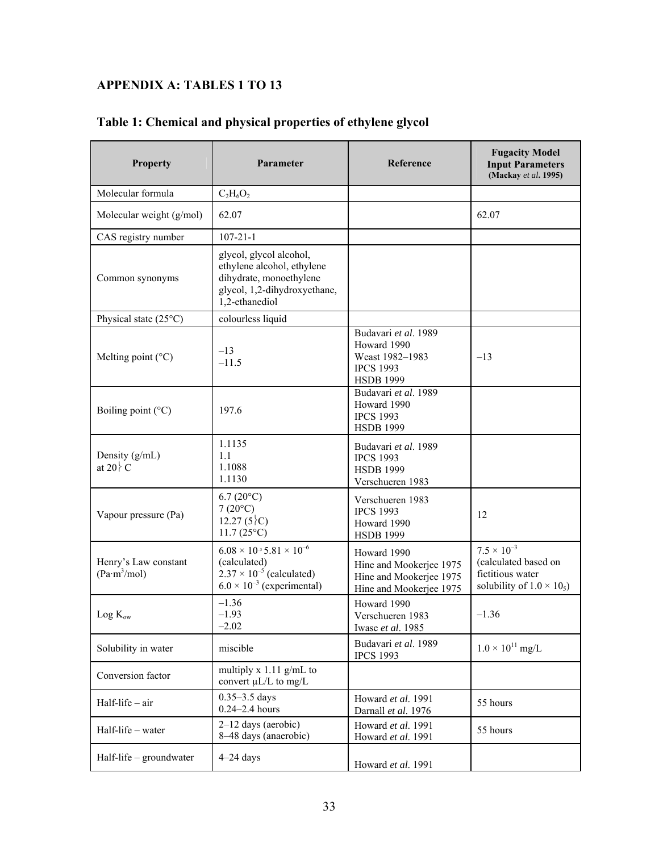# <span id="page-39-0"></span>**APPENDIX A: TABLES 1 TO 13**

|  | Table 1: Chemical and physical properties of ethylene glycol |
|--|--------------------------------------------------------------|
|--|--------------------------------------------------------------|

| <b>Property</b>                                  | Parameter                                                                                                                                | Reference                                                                                      | <b>Fugacity Model</b><br><b>Input Parameters</b><br>(Mackay et al. 1995)                              |
|--------------------------------------------------|------------------------------------------------------------------------------------------------------------------------------------------|------------------------------------------------------------------------------------------------|-------------------------------------------------------------------------------------------------------|
| Molecular formula                                | $C_2H_6O_2$                                                                                                                              |                                                                                                |                                                                                                       |
| Molecular weight (g/mol)                         | 62.07                                                                                                                                    |                                                                                                | 62.07                                                                                                 |
| CAS registry number                              | $107 - 21 - 1$                                                                                                                           |                                                                                                |                                                                                                       |
| Common synonyms                                  | glycol, glycol alcohol,<br>ethylene alcohol, ethylene<br>dihydrate, monoethylene<br>glycol, 1,2-dihydroxyethane,<br>1,2-ethanediol       |                                                                                                |                                                                                                       |
| Physical state (25°C)                            | colourless liquid                                                                                                                        |                                                                                                |                                                                                                       |
| Melting point $(^{\circ}C)$                      | $-13$<br>$-11.5$                                                                                                                         | Budavari et al. 1989<br>Howard 1990<br>Weast 1982-1983<br><b>IPCS 1993</b><br><b>HSDB 1999</b> | $-13$                                                                                                 |
| Boiling point (°C)                               | 197.6                                                                                                                                    | Budavari et al. 1989<br>Howard 1990<br><b>IPCS 1993</b><br><b>HSDB 1999</b>                    |                                                                                                       |
| Density (g/mL)<br>at 20 $\mathcal{C}$            | 1.1135<br>1.1<br>1.1088<br>1.1130                                                                                                        | Budavari et al. 1989<br><b>IPCS 1993</b><br><b>HSDB 1999</b><br>Verschueren 1983               |                                                                                                       |
| Vapour pressure (Pa)                             | $6.7(20^{\circ}C)$<br>$7(20^{\circ}C)$<br>12.27 $(5)$ <sup>c</sup><br>$11.7(25^{\circ}C)$                                                | Verschueren 1983<br><b>IPCS 1993</b><br>Howard 1990<br><b>HSDB 1999</b>                        | 12                                                                                                    |
| Henry's Law constant<br>(Pa·m <sup>3</sup> /mol) | $6.08 \times 10^{-3}$ 5.81 $\times 10^{-6}$<br>(calculated)<br>$2.37 \times 10^{-5}$ (calculated)<br>$6.0 \times 10^{-3}$ (experimental) | Howard 1990<br>Hine and Mookerjee 1975<br>Hine and Mookerjee 1975<br>Hine and Mookerjee 1975   | $7.5 \times 10^{-3}$<br>(calculated based on<br>fictitious water<br>solubility of $1.0 \times 10_5$ ) |
| $Log K_{ow}$                                     | $-1.36$<br>$-1.93$<br>$-2.02$                                                                                                            | Howard 1990<br>Verschueren 1983<br>Iwase et al. 1985                                           | $-1.36$                                                                                               |
| Solubility in water                              | miscible                                                                                                                                 | Budavari et al. 1989<br><b>IPCS 1993</b>                                                       | $1.0 \times 10^{11}$ mg/L                                                                             |
| Conversion factor                                | multiply $x 1.11$ g/mL to<br>convert µL/L to mg/L                                                                                        |                                                                                                |                                                                                                       |
| Half-life - air                                  | $0.35 - 3.5$ days<br>$0.24 - 2.4$ hours                                                                                                  | Howard et al. 1991<br>Darnall et al. 1976                                                      | 55 hours                                                                                              |
| Half-life – water                                | $2-12$ days (aerobic)<br>8-48 days (anaerobic)                                                                                           | Howard et al. 1991<br>Howard et al. 1991                                                       | 55 hours                                                                                              |
| Half-life $-$ groundwater                        | $4-24$ days                                                                                                                              | Howard et al. 1991                                                                             |                                                                                                       |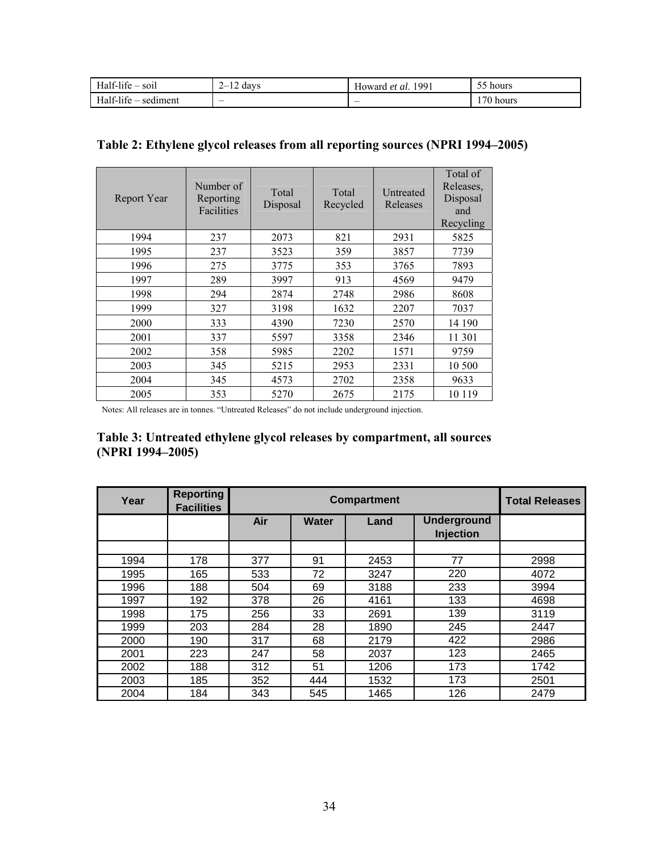| $Half-life -$<br><br>$-$ soil | days<br><u>—</u><br>. . | 1991<br>Howard<br>l et al | $- -$<br>hours<br>╮<br>ັບ |
|-------------------------------|-------------------------|---------------------------|---------------------------|
| $Half-life -$<br>· sediment   |                         | $\overline{\phantom{0}}$  | 1701<br>hours             |

## **Table 2: Ethylene glycol releases from all reporting sources (NPRI 1994–2005)**

| Report Year | Number of<br>Reporting<br>Facilities | Total<br>Disposal | Total<br>Recycled | Untreated<br>Releases | Total of<br>Releases,<br>Disposal<br>and<br>Recycling |
|-------------|--------------------------------------|-------------------|-------------------|-----------------------|-------------------------------------------------------|
| 1994        | 237                                  | 2073              | 821               | 2931                  | 5825                                                  |
| 1995        | 237                                  | 3523              | 359               | 3857                  | 7739                                                  |
| 1996        | 275                                  | 3775              | 353               | 3765                  | 7893                                                  |
| 1997        | 289                                  | 3997              | 913               | 4569                  | 9479                                                  |
| 1998        | 294                                  | 2874              | 2748              | 2986                  | 8608                                                  |
| 1999        | 327                                  | 3198              | 1632              | 2207                  | 7037                                                  |
| 2000        | 333                                  | 4390              | 7230              | 2570                  | 14 190                                                |
| 2001        | 337                                  | 5597              | 3358              | 2346                  | 11 301                                                |
| 2002        | 358                                  | 5985              | 2202              | 1571                  | 9759                                                  |
| 2003        | 345                                  | 5215              | 2953              | 2331                  | 10 500                                                |
| 2004        | 345                                  | 4573              | 2702              | 2358                  | 9633                                                  |
| 2005        | 353                                  | 5270              | 2675              | 2175                  | 10 1 19                                               |

Notes: All releases are in tonnes. "Untreated Releases" do not include underground injection.

### **Table 3: Untreated ethylene glycol releases by compartment, all sources (NPRI 1994–2005)**

| Year | <b>Reporting</b><br><b>Facilities</b> | <b>Compartment</b> |       |      |                                        | <b>Total Releases</b> |
|------|---------------------------------------|--------------------|-------|------|----------------------------------------|-----------------------|
|      |                                       | Air                | Water | Land | <b>Underground</b><br><b>Injection</b> |                       |
|      |                                       |                    |       |      |                                        |                       |
| 1994 | 178                                   | 377                | 91    | 2453 | 77                                     | 2998                  |
| 1995 | 165                                   | 533                | 72    | 3247 | 220                                    | 4072                  |
| 1996 | 188                                   | 504                | 69    | 3188 | 233                                    | 3994                  |
| 1997 | 192                                   | 378                | 26    | 4161 | 133                                    | 4698                  |
| 1998 | 175                                   | 256                | 33    | 2691 | 139                                    | 3119                  |
| 1999 | 203                                   | 284                | 28    | 1890 | 245                                    | 2447                  |
| 2000 | 190                                   | 317                | 68    | 2179 | 422                                    | 2986                  |
| 2001 | 223                                   | 247                | 58    | 2037 | 123                                    | 2465                  |
| 2002 | 188                                   | 312                | 51    | 1206 | 173                                    | 1742                  |
| 2003 | 185                                   | 352                | 444   | 1532 | 173                                    | 2501                  |
| 2004 | 184                                   | 343                | 545   | 1465 | 126                                    | 2479                  |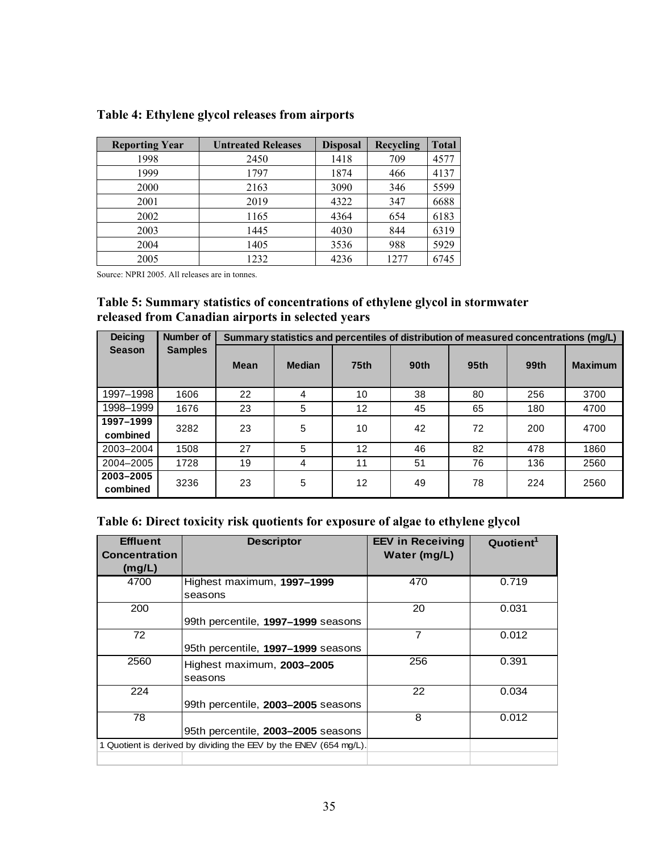| <b>Reporting Year</b> | <b>Untreated Releases</b> | <b>Disposal</b> | Recycling | <b>Total</b> |
|-----------------------|---------------------------|-----------------|-----------|--------------|
| 1998                  | 2450                      | 1418            | 709       | 4577         |
| 1999                  | 1797                      | 1874            | 466       | 4137         |
| 2000                  | 2163                      | 3090            | 346       | 5599         |
| 2001                  | 2019                      | 4322            | 347       | 6688         |
| 2002                  | 1165                      | 4364            | 654       | 6183         |
| 2003                  | 1445                      | 4030            | 844       | 6319         |
| 2004                  | 1405                      | 3536            | 988       | 5929         |
| 2005                  | 1232                      | 4236            | 1277      | 6745         |

## **Table 4: Ethylene glycol releases from airports**

Source: NPRI 2005. All releases are in tonnes.

#### **Table 5: Summary statistics of concentrations of ethylene glycol in stormwater released from Canadian airports in selected years**

| <b>Deicing</b>        | Number of      |      | Summary statistics and percentiles of distribution of measured concentrations (mg/L) |             |      |                  |      |                |
|-----------------------|----------------|------|--------------------------------------------------------------------------------------|-------------|------|------------------|------|----------------|
| <b>Season</b>         | <b>Samples</b> | Mean | <b>Median</b>                                                                        | <b>75th</b> | 90th | 95 <sub>th</sub> | 99th | <b>Maximum</b> |
| 1997-1998             | 1606           | 22   | 4                                                                                    | 10          | 38   | 80               | 256  | 3700           |
| 1998-1999             | 1676           | 23   | 5                                                                                    | 12          | 45   | 65               | 180  | 4700           |
| 1997-1999<br>combined | 3282           | 23   | 5                                                                                    | 10          | 42   | 72               | 200  | 4700           |
| 2003-2004             | 1508           | 27   | 5                                                                                    | 12          | 46   | 82               | 478  | 1860           |
| 2004-2005             | 1728           | 19   | 4                                                                                    | 11          | 51   | 76               | 136  | 2560           |
| 2003-2005<br>combined | 3236           | 23   | 5                                                                                    | 12          | 49   | 78               | 224  | 2560           |

#### **Table 6: Direct toxicity risk quotients for exposure of algae to ethylene glycol**

| <b>Effluent</b><br><b>Concentration</b><br>(mg/L) | <b>Descriptor</b>                                                 | <b>EEV in Receiving</b><br>Water (mg/L) | Quotient <sup>1</sup> |
|---------------------------------------------------|-------------------------------------------------------------------|-----------------------------------------|-----------------------|
| 4700                                              | Highest maximum, 1997-1999                                        | 470                                     | 0.719                 |
|                                                   | seasons                                                           |                                         |                       |
| 200                                               |                                                                   | 20                                      | 0.031                 |
|                                                   | 99th percentile, 1997-1999 seasons                                |                                         |                       |
| 72                                                |                                                                   | 7                                       | 0.012                 |
|                                                   | 95th percentile, 1997-1999 seasons                                |                                         |                       |
| 2560                                              | Highest maximum, 2003-2005                                        | 256                                     | 0.391                 |
|                                                   | seasons                                                           |                                         |                       |
| 224                                               |                                                                   | 22                                      | 0.034                 |
|                                                   | 99th percentile, 2003-2005 seasons                                |                                         |                       |
| 78                                                |                                                                   | 8                                       | 0.012                 |
|                                                   | 95th percentile, 2003-2005 seasons                                |                                         |                       |
|                                                   | 1 Quotient is derived by dividing the EEV by the ENEV (654 mg/L). |                                         |                       |
|                                                   |                                                                   |                                         |                       |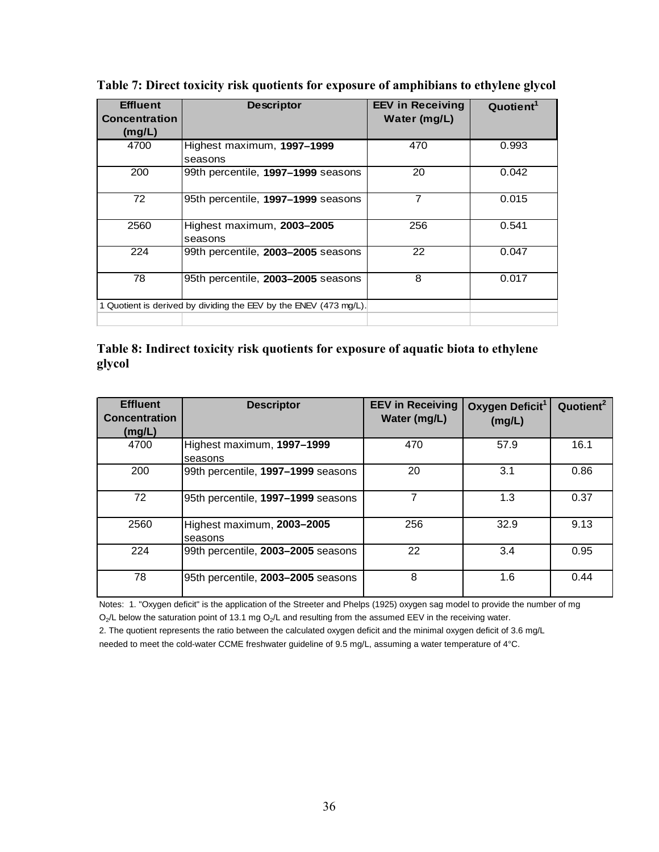| <b>Effluent</b><br><b>Concentration</b><br>(mg/L) | <b>Descriptor</b>                                                 | <b>EEV in Receiving</b><br>Water (mg/L) | Quotient <sup>1</sup> |
|---------------------------------------------------|-------------------------------------------------------------------|-----------------------------------------|-----------------------|
| 4700                                              | Highest maximum, 1997-1999<br>seasons                             | 470                                     | 0.993                 |
| 200                                               | 99th percentile, 1997-1999 seasons                                | 20                                      | 0.042                 |
| 72                                                | 95th percentile, 1997-1999 seasons                                | $\overline{7}$                          | 0.015                 |
| 2560                                              | Highest maximum, 2003-2005<br>seasons                             | 256                                     | 0.541                 |
| 224                                               | 99th percentile, 2003-2005 seasons                                | 22                                      | 0.047                 |
| 78                                                | 95th percentile, 2003-2005 seasons                                | 8                                       | 0.017                 |
|                                                   | 1 Quotient is derived by dividing the EEV by the ENEV (473 mg/L). |                                         |                       |

**Table 7: Direct toxicity risk quotients for exposure of amphibians to ethylene glycol** 

#### **Table 8: Indirect toxicity risk quotients for exposure of aquatic biota to ethylene glycol**

| <b>Effluent</b><br><b>Concentration</b><br>(mg/L) | <b>Descriptor</b>                     | <b>EEV in Receiving</b><br>Water (mg/L) | Oxygen Deficit <sup>1</sup><br>(mg/L) | Quotient <sup>2</sup> |
|---------------------------------------------------|---------------------------------------|-----------------------------------------|---------------------------------------|-----------------------|
| 4700                                              | Highest maximum, 1997-1999<br>seasons | 470                                     | 57.9                                  | 16.1                  |
| 200                                               | 99th percentile, 1997-1999 seasons    | 20                                      | 3.1                                   | 0.86                  |
| 72                                                | 95th percentile, 1997-1999 seasons    |                                         | 1.3                                   | 0.37                  |
| 2560                                              | Highest maximum, 2003-2005<br>seasons | 256                                     | 32.9                                  | 9.13                  |
| 224                                               | 99th percentile, 2003-2005 seasons    | 22                                      | 3.4                                   | 0.95                  |
| 78                                                | 95th percentile, 2003-2005 seasons    | 8                                       | 1.6                                   | 0.44                  |

Notes: 1. "Oxygen deficit" is the application of the Streeter and Phelps (1925) oxygen sag model to provide the number of mg  $O_2$ /L below the saturation point of 13.1 mg  $O_2$ /L and resulting from the assumed EEV in the receiving water.

2. The quotient represents the ratio between the calculated oxygen deficit and the minimal oxygen deficit of 3.6 mg/L

needed to meet the cold-water CCME freshwater guideline of 9.5 mg/L, assuming a water temperature of 4°C.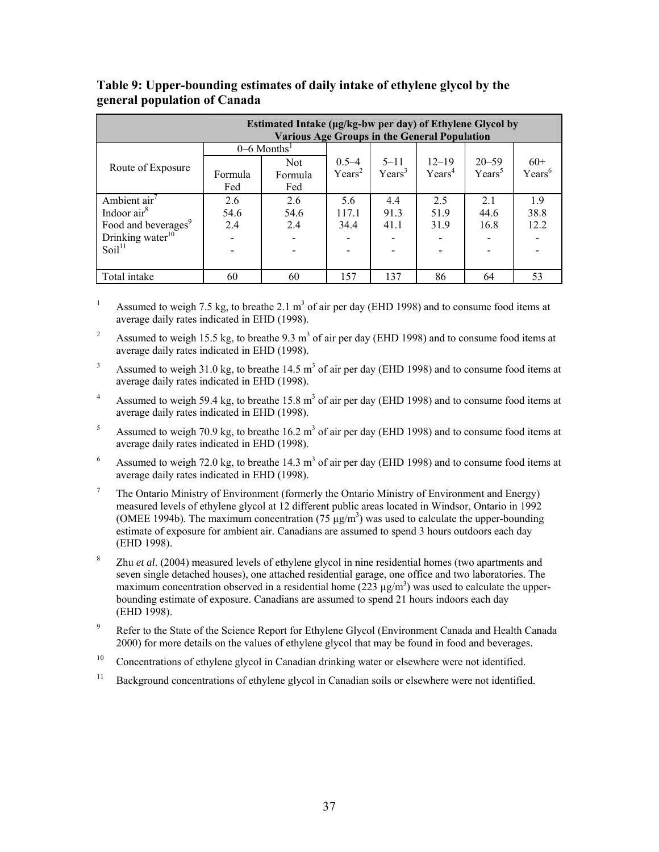| Estimated Intake (µg/kg-bw per day) of Ethylene Glycol by<br><b>Various Age Groups in the General Population</b> |         |                           |                    |                    |                    |           |                    |  |
|------------------------------------------------------------------------------------------------------------------|---------|---------------------------|--------------------|--------------------|--------------------|-----------|--------------------|--|
|                                                                                                                  |         | $0-6$ Months <sup>1</sup> |                    |                    |                    |           |                    |  |
|                                                                                                                  |         | Not                       | $0.5 - 4$          | $5 - 11$           | $12 - 19$          | $20 - 59$ | $60+$              |  |
| Route of Exposure                                                                                                | Formula | Formula                   | Years <sup>2</sup> | Years <sup>3</sup> | Years <sup>4</sup> | $Years^5$ | Years <sup>6</sup> |  |
|                                                                                                                  | Fed     | Fed                       |                    |                    |                    |           |                    |  |
| Ambient $air7$                                                                                                   | 2.6     | 2.6                       | 5.6                | 4.4                | 2.5                | 2.1       | 19                 |  |
| Indoor $air8$                                                                                                    | 54.6    | 54.6                      | 117.1              | 91.3               | 51.9               | 44.6      | 38.8               |  |
| Food and beverages <sup>9</sup>                                                                                  | 2.4     | 2.4                       | 34.4               | 41.1               | 31.9               | 16.8      | 12.2               |  |
| Drinking water $10$                                                                                              |         |                           |                    |                    |                    |           |                    |  |
| Soil <sup>11</sup>                                                                                               |         |                           |                    |                    |                    |           |                    |  |
|                                                                                                                  |         |                           |                    |                    |                    |           |                    |  |
| Total intake                                                                                                     | 60      | 60                        | 157                | 137                | 86                 | 64        | 53                 |  |

#### **Table 9: Upper-bounding estimates of daily intake of ethylene glycol by the general population of Canada**

1 Assumed to weigh 7.5 kg, to breathe 2.1  $m<sup>3</sup>$  of air per day (EHD 1998) and to consume food items at average daily rates indicated in EHD (1998).

2 Assumed to weigh 15.5 kg, to breathe 9.3  $m<sup>3</sup>$  of air per day (EHD 1998) and to consume food items at average daily rates indicated in EHD (1998).

- 3 Assumed to weigh 31.0 kg, to breathe  $14.5 \text{ m}^3$  of air per day (EHD 1998) and to consume food items at average daily rates indicated in EHD (1998).
- 4 Assumed to weigh 59.4 kg, to breathe  $15.8 \text{ m}^3$  of air per day (EHD 1998) and to consume food items at average daily rates indicated in EHD (1998).
- 5 Assumed to weigh 70.9 kg, to breathe  $16.2 \text{ m}^3$  of air per day (EHD 1998) and to consume food items at average daily rates indicated in EHD (1998).
- 6 Assumed to weigh 72.0 kg, to breathe  $14.3 \text{ m}^3$  of air per day (EHD 1998) and to consume food items at average daily rates indicated in EHD (1998).
- 7 The Ontario Ministry of Environment (formerly the Ontario Ministry of Environment and Energy) measured levels of ethylene glycol at 12 different public areas located in Windsor, Ontario in 1992 (OMEE 1994b). The maximum concentration (75  $\mu$ g/m<sup>3</sup>) was used to calculate the upper-bounding estimate of exposure for ambient air. Canadians are assumed to spend 3 hours outdoors each day (EHD 1998).
- 8 Zhu *et al*. (2004) measured levels of ethylene glycol in nine residential homes (two apartments and seven single detached houses), one attached residential garage, one office and two laboratories. The maximum concentration observed in a residential home  $(223 \mu g/m^3)$  was used to calculate the upperbounding estimate of exposure. Canadians are assumed to spend 21 hours indoors each day (EHD 1998).
- 9 Refer to the State of the Science Report for Ethylene Glycol (Environment Canada and Health Canada 2000) for more details on the values of ethylene glycol that may be found in food and beverages.
- <sup>10</sup> Concentrations of ethylene glycol in Canadian drinking water or elsewhere were not identified.
- <sup>11</sup> Background concentrations of ethylene glycol in Canadian soils or elsewhere were not identified.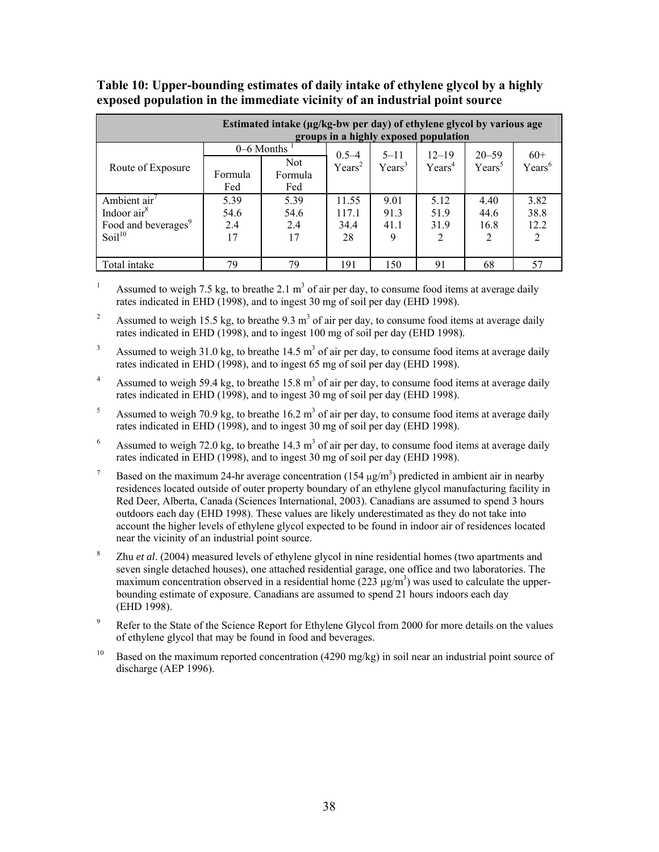| Estimated intake (µg/kg-bw per day) of ethylene glycol by various age<br>groups in a highly exposed population |                |                       |                               |                                |                                 |                        |                    |  |
|----------------------------------------------------------------------------------------------------------------|----------------|-----------------------|-------------------------------|--------------------------------|---------------------------------|------------------------|--------------------|--|
|                                                                                                                |                | 0–6 Months            |                               |                                |                                 |                        |                    |  |
| Route of Exposure                                                                                              | Formula<br>Fed | Not<br>Formula<br>Fed | $0.5-4$<br>Years <sup>2</sup> | $5 - 11$<br>Years <sup>3</sup> | $12 - 19$<br>Years <sup>4</sup> | $20 - 59$<br>$Years^5$ | $60+$<br>$Years^6$ |  |
| Ambient $air7$                                                                                                 | 5.39           | 5.39                  | 11.55                         | 9.01                           | 5.12                            | 4.40                   | 3.82               |  |
| Indoor air <sup>8</sup>                                                                                        | 54.6           | 54.6                  | 117.1                         | 91.3                           | 51.9                            | 44.6                   | 38.8               |  |
| Food and beverages <sup>9</sup>                                                                                | 2.4            | 2.4                   | 34.4                          | 41.1                           | 31.9                            | 16.8                   | 12.2               |  |
| Soil <sup>10</sup>                                                                                             | 17             | 17                    | 28                            | 9                              | $\overline{2}$                  | 2                      |                    |  |
| Total intake                                                                                                   | 79             | 79                    | 191                           | 150                            | 91                              | 68                     | 57                 |  |

#### **Table 10: Upper-bounding estimates of daily intake of ethylene glycol by a highly exposed population in the immediate vicinity of an industrial point source**

1 Assumed to weigh 7.5 kg, to breathe 2.1  $m<sup>3</sup>$  of air per day, to consume food items at average daily rates indicated in EHD (1998), and to ingest 30 mg of soil per day (EHD 1998).

2 Assumed to weigh 15.5 kg, to breathe  $9.3 \text{ m}^3$  of air per day, to consume food items at average daily rates indicated in EHD (1998), and to ingest 100 mg of soil per day (EHD 1998).

3 Assumed to weigh 31.0 kg, to breathe  $14.5 \text{ m}^3$  of air per day, to consume food items at average daily rates indicated in EHD (1998), and to ingest 65 mg of soil per day (EHD 1998).

4 Assumed to weigh 59.4 kg, to breathe  $15.8 \text{ m}^3$  of air per day, to consume food items at average daily rates indicated in EHD (1998), and to ingest 30 mg of soil per day (EHD 1998).

5 Assumed to weigh 70.9 kg, to breathe  $16.2 \text{ m}^3$  of air per day, to consume food items at average daily rates indicated in EHD (1998), and to ingest 30 mg of soil per day (EHD 1998).

6 Assumed to weigh 72.0 kg, to breathe  $14.3 \text{ m}^3$  of air per day, to consume food items at average daily rates indicated in EHD (1998), and to ingest 30 mg of soil per day (EHD 1998).

7 Based on the maximum 24-hr average concentration (154  $\mu$ g/m<sup>3</sup>) predicted in ambient air in nearby residences located outside of outer property boundary of an ethylene glycol manufacturing facility in Red Deer, Alberta, Canada (Sciences International, 2003). Canadians are assumed to spend 3 hours outdoors each day (EHD 1998). These values are likely underestimated as they do not take into account the higher levels of ethylene glycol expected to be found in indoor air of residences located near the vicinity of an industrial point source.

8 Zhu *et al*. (2004) measured levels of ethylene glycol in nine residential homes (two apartments and seven single detached houses), one attached residential garage, one office and two laboratories. The maximum concentration observed in a residential home  $(223 \mu g/m^3)$  was used to calculate the upperbounding estimate of exposure. Canadians are assumed to spend 21 hours indoors each day (EHD 1998).

9 Refer to the State of the Science Report for Ethylene Glycol from 2000 for more details on the values of ethylene glycol that may be found in food and beverages.

Based on the maximum reported concentration (4290 mg/kg) in soil near an industrial point source of discharge (AEP 1996).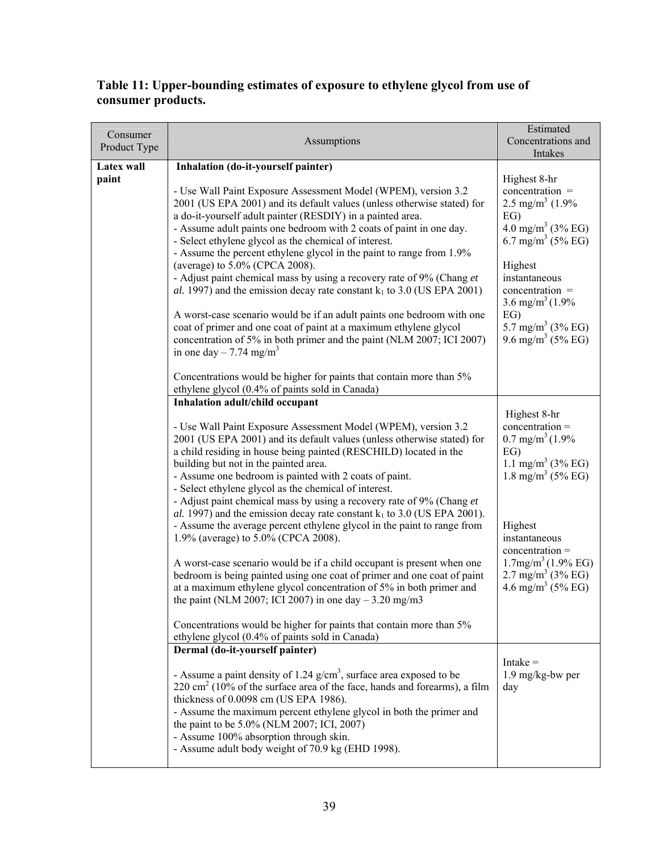### **Table 11: Upper-bounding estimates of exposure to ethylene glycol from use of consumer products.**

| Consumer<br>Product Type | Assumptions                                                                                                                                                                                                                                                                                                                                                                                                                                                                                                                                                                                                                                                                                                                                                                                                                                                                                                                                                                            | Estimated<br>Concentrations and<br>Intakes                                                                                                                                                                                                                                                           |
|--------------------------|----------------------------------------------------------------------------------------------------------------------------------------------------------------------------------------------------------------------------------------------------------------------------------------------------------------------------------------------------------------------------------------------------------------------------------------------------------------------------------------------------------------------------------------------------------------------------------------------------------------------------------------------------------------------------------------------------------------------------------------------------------------------------------------------------------------------------------------------------------------------------------------------------------------------------------------------------------------------------------------|------------------------------------------------------------------------------------------------------------------------------------------------------------------------------------------------------------------------------------------------------------------------------------------------------|
| Latex wall<br>paint      | Inhalation (do-it-yourself painter)<br>- Use Wall Paint Exposure Assessment Model (WPEM), version 3.2<br>2001 (US EPA 2001) and its default values (unless otherwise stated) for<br>a do-it-yourself adult painter (RESDIY) in a painted area.<br>- Assume adult paints one bedroom with 2 coats of paint in one day.<br>- Select ethylene glycol as the chemical of interest.<br>- Assume the percent ethylene glycol in the paint to range from 1.9%<br>(average) to 5.0% (CPCA 2008).<br>- Adjust paint chemical mass by using a recovery rate of 9% (Chang et<br>al. 1997) and the emission decay rate constant $k_1$ to 3.0 (US EPA 2001)<br>A worst-case scenario would be if an adult paints one bedroom with one<br>coat of primer and one coat of paint at a maximum ethylene glycol<br>concentration of 5% in both primer and the paint (NLM 2007; ICI 2007)<br>in one day $- 7.74$ mg/m <sup>3</sup><br>Concentrations would be higher for paints that contain more than 5% | Highest 8-hr<br>concentration =<br>2.5 mg/m <sup>3</sup> $(1.9\%$<br>EG)<br>4.0 mg/m <sup>3</sup> (3% EG)<br>6.7 mg/m <sup>3</sup> (5% EG)<br>Highest<br>instantaneous<br>concentration =<br>3.6 mg/m <sup>3</sup> $(1.9\%$<br>EG)<br>5.7 mg/m <sup>3</sup> (3% EG)<br>9.6 mg/m <sup>3</sup> (5% EG) |
|                          | ethylene glycol (0.4% of paints sold in Canada)<br>Inhalation adult/child occupant                                                                                                                                                                                                                                                                                                                                                                                                                                                                                                                                                                                                                                                                                                                                                                                                                                                                                                     |                                                                                                                                                                                                                                                                                                      |
|                          | - Use Wall Paint Exposure Assessment Model (WPEM), version 3.2<br>2001 (US EPA 2001) and its default values (unless otherwise stated) for<br>a child residing in house being painted (RESCHILD) located in the<br>building but not in the painted area.<br>- Assume one bedroom is painted with 2 coats of paint.<br>- Select ethylene glycol as the chemical of interest.<br>- Adjust paint chemical mass by using a recovery rate of 9% (Chang et<br>al. 1997) and the emission decay rate constant $k_1$ to 3.0 (US EPA 2001).<br>- Assume the average percent ethylene glycol in the paint to range from<br>1.9% (average) to 5.0% (CPCA 2008).<br>A worst-case scenario would be if a child occupant is present when one<br>bedroom is being painted using one coat of primer and one coat of paint<br>at a maximum ethylene glycol concentration of 5% in both primer and<br>the paint (NLM 2007; ICI 2007) in one day $-3.20$ mg/m3                                             | Highest 8-hr<br>$concentration =$<br>$0.7 \text{ mg/m}^3 (1.9\%$<br>EG)<br>1.1 mg/m <sup>3</sup> (3% EG)<br>1.8 mg/m <sup>3</sup> (5% EG)<br>Highest<br>instantaneous<br>$concentration =$<br>$1.7$ mg/m <sup>3</sup> $(1.9\%$ EG)<br>$2.7 \text{ mg/m}^3$ (3% EG)<br>4.6 mg/m <sup>3</sup> (5% EG)  |
|                          | Concentrations would be higher for paints that contain more than 5%<br>ethylene glycol (0.4% of paints sold in Canada)                                                                                                                                                                                                                                                                                                                                                                                                                                                                                                                                                                                                                                                                                                                                                                                                                                                                 |                                                                                                                                                                                                                                                                                                      |
|                          | Dermal (do-it-yourself painter)<br>- Assume a paint density of 1.24 $g/cm3$ , surface area exposed to be<br>$220 \text{ cm}^2$ (10% of the surface area of the face, hands and forearms), a film<br>thickness of 0.0098 cm (US EPA 1986).<br>- Assume the maximum percent ethylene glycol in both the primer and<br>the paint to be 5.0% (NLM 2007; ICI, 2007)<br>- Assume 100% absorption through skin.<br>- Assume adult body weight of 70.9 kg (EHD 1998).                                                                                                                                                                                                                                                                                                                                                                                                                                                                                                                          | Intake $=$<br>$1.9 \text{ mg/kg-bw per}$<br>day                                                                                                                                                                                                                                                      |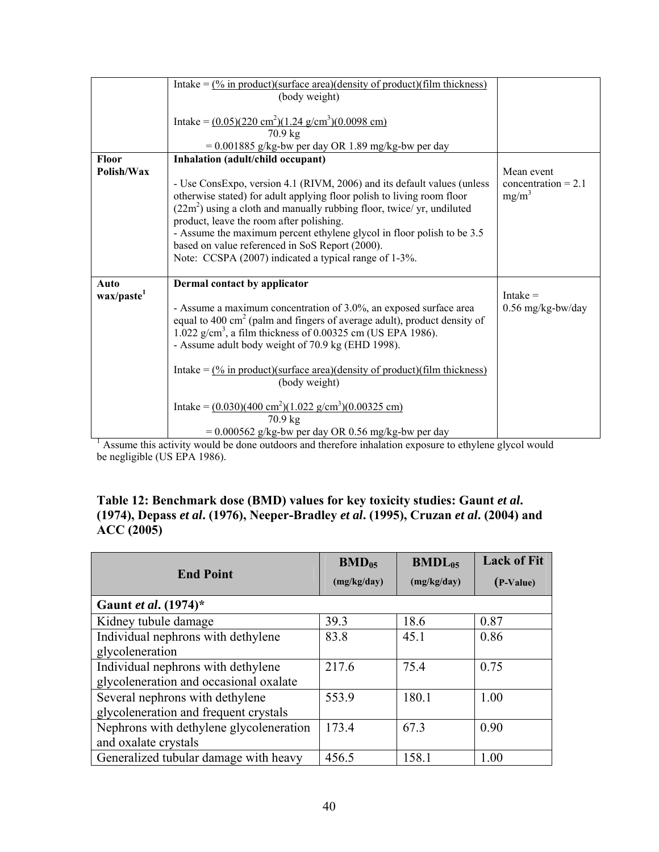|                                | Intake = $\frac{0}{6}$ in product)(surface area)(density of product)(film thickness)<br>(body weight)<br>Intake = $(0.05)(220 \text{ cm}^2)(1.24 \text{ g/cm}^3)(0.0098 \text{ cm})$                                                                                                                                                                                                                                                                                                                                                                                           |                                                 |
|--------------------------------|--------------------------------------------------------------------------------------------------------------------------------------------------------------------------------------------------------------------------------------------------------------------------------------------------------------------------------------------------------------------------------------------------------------------------------------------------------------------------------------------------------------------------------------------------------------------------------|-------------------------------------------------|
|                                | 70.9 kg                                                                                                                                                                                                                                                                                                                                                                                                                                                                                                                                                                        |                                                 |
| Floor                          | $= 0.001885$ g/kg-bw per day OR 1.89 mg/kg-bw per day<br>Inhalation (adult/child occupant)                                                                                                                                                                                                                                                                                                                                                                                                                                                                                     |                                                 |
| Polish/Wax                     | - Use ConsExpo, version 4.1 (RIVM, 2006) and its default values (unless<br>otherwise stated) for adult applying floor polish to living room floor<br>$(22m2)$ using a cloth and manually rubbing floor, twice/ yr, undiluted<br>product, leave the room after polishing.<br>- Assume the maximum percent ethylene glycol in floor polish to be 3.5<br>based on value referenced in SoS Report (2000).<br>Note: CCSPA (2007) indicated a typical range of 1-3%.                                                                                                                 | Mean event<br>concentration = $2.1$<br>$mg/m^3$ |
| Auto<br>wax/paste <sup>1</sup> | Dermal contact by applicator<br>- Assume a maximum concentration of 3.0%, an exposed surface area<br>equal to 400 cm <sup>2</sup> (palm and fingers of average adult), product density of<br>1.022 $g/cm3$ , a film thickness of 0.00325 cm (US EPA 1986).<br>- Assume adult body weight of 70.9 kg (EHD 1998).<br>Intake = $\frac{0}{6}$ in product)(surface area)(density of product)(film thickness)<br>(body weight)<br>Intake = $(0.030)(400 \text{ cm}^2)(1.022 \text{ g/cm}^3)(0.00325 \text{ cm})$<br>70.9 kg<br>$= 0.000562$ g/kg-bw per day OR 0.56 mg/kg-bw per day | $Intake =$<br>$0.56$ mg/kg-bw/day               |

<sup>1</sup> Assume this activity would be done outdoors and therefore inhalation exposure to ethylene glycol would be negligible (US EPA 1986).

#### **Table 12: Benchmark dose (BMD) values for key toxicity studies: Gaunt** *et al***. (1974), Depass** *et al***. (1976), Neeper-Bradley** *et al***. (1995), Cruzan** *et al***. (2004) and ACC (2005)**

| <b>End Point</b>                        | $BMD_{05}$<br>(mg/kg/day) | $BMDL_{05}$<br>(mg/kg/day) | <b>Lack of Fit</b><br>(P-Value) |
|-----------------------------------------|---------------------------|----------------------------|---------------------------------|
|                                         |                           |                            |                                 |
| Gaunt et al. (1974)*                    |                           |                            |                                 |
| Kidney tubule damage                    | 39.3                      | 18.6                       | 0.87                            |
| Individual nephrons with dethylene      | 83.8                      | 45.1                       | 0.86                            |
| glycoleneration                         |                           |                            |                                 |
| Individual nephrons with dethylene      | 217.6                     | 75.4                       | 0.75                            |
| glycoleneration and occasional oxalate  |                           |                            |                                 |
| Several nephrons with dethylene         | 553.9                     | 180.1                      | 1.00                            |
| glycoleneration and frequent crystals   |                           |                            |                                 |
| Nephrons with dethylene glycoleneration | 173.4                     | 67.3                       | 0.90                            |
| and oxalate crystals                    |                           |                            |                                 |
| Generalized tubular damage with heavy   | 456.5                     | 158.1                      | 1.00                            |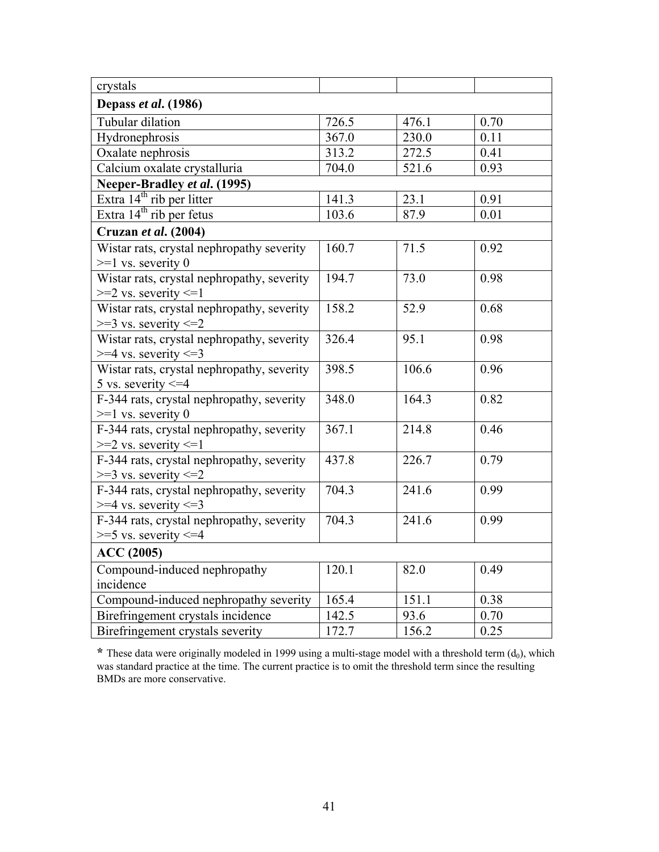| crystals                                   |                    |       |      |
|--------------------------------------------|--------------------|-------|------|
| Depass et al. (1986)                       |                    |       |      |
| Tubular dilation                           | 726.5              | 476.1 | 0.70 |
| Hydronephrosis                             | 367.0              | 230.0 | 0.11 |
| Oxalate nephrosis                          | 313.2              | 272.5 | 0.41 |
| Calcium oxalate crystalluria               | 704.0              | 521.6 | 0.93 |
| Neeper-Bradley et al. (1995)               |                    |       |      |
| Extra 14 <sup>th</sup> rib per litter      | 141.3              | 23.1  | 0.91 |
| Extra 14 <sup>th</sup> rib per fetus       | 103.6              | 87.9  | 0.01 |
| Cruzan et al. (2004)                       |                    |       |      |
| Wistar rats, crystal nephropathy severity  | 160.7              | 71.5  | 0.92 |
| $>=1$ vs. severity 0                       |                    |       |      |
| Wistar rats, crystal nephropathy, severity | 194.7              | 73.0  | 0.98 |
| $>=$ 2 vs. severity $<=$ 1                 |                    |       |      |
| Wistar rats, crystal nephropathy, severity | 158.2              | 52.9  | 0.68 |
| $>=$ 3 vs. severity $<=$ 2                 |                    |       |      |
| Wistar rats, crystal nephropathy, severity | $326.\overline{4}$ | 95.1  | 0.98 |
| $>=$ 4 vs. severity $\leq$ =3              |                    |       |      |
| Wistar rats, crystal nephropathy, severity | 398.5              | 106.6 | 0.96 |
| 5 vs. severity $\leq$ =4                   |                    |       |      |
| F-344 rats, crystal nephropathy, severity  | 348.0              | 164.3 | 0.82 |
| $>=1$ vs. severity 0                       |                    |       |      |
| F-344 rats, crystal nephropathy, severity  | 367.1              | 214.8 | 0.46 |
| $>=$ 2 vs. severity $<=$ 1                 |                    |       |      |
| F-344 rats, crystal nephropathy, severity  | 437.8              | 226.7 | 0.79 |
| $>=$ 3 vs. severity $<=$ 2                 |                    |       |      |
| F-344 rats, crystal nephropathy, severity  | 704.3              | 241.6 | 0.99 |
| $>=$ 4 vs. severity $<=$ 3                 |                    |       |      |
| F-344 rats, crystal nephropathy, severity  | 704.3              | 241.6 | 0.99 |
| $>=$ 5 vs. severity $<=$ 4                 |                    |       |      |
| <b>ACC</b> (2005)                          |                    |       |      |
| Compound-induced nephropathy               | 120.1              | 82.0  | 0.49 |
| incidence                                  |                    |       |      |
| Compound-induced nephropathy severity      | 165.4              | 151.1 | 0.38 |
| Birefringement crystals incidence          | 142.5              | 93.6  | 0.70 |
| Birefringement crystals severity           | 172.7              | 156.2 | 0.25 |

\* These data were originally modeled in 1999 using a multi-stage model with a threshold term (d<sub>0</sub>), which was standard practice at the time. The current practice is to omit the threshold term since the resulting BMDs are more conservative.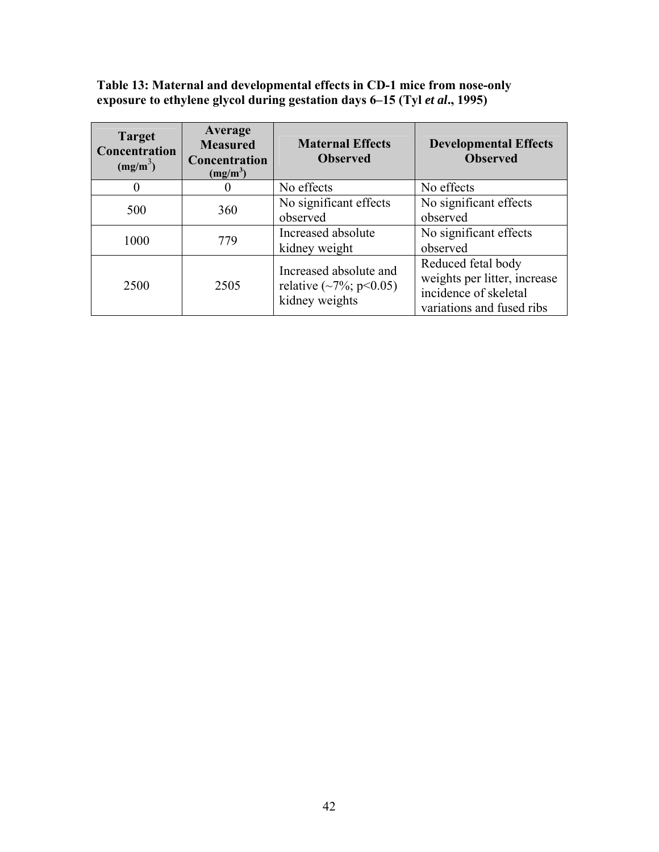**Table 13: Maternal and developmental effects in CD-1 mice from nose-only exposure to ethylene glycol during gestation days 6–15 (Tyl** *et al***., 1995)** 

| <b>Target</b><br>Concentration<br>$(mg/m^2)$ | Average<br><b>Measured</b><br>Concentration<br>(mg/m <sup>3</sup> ) | <b>Maternal Effects</b><br><b>Observed</b>                                | <b>Developmental Effects</b><br><b>Observed</b>                                                          |
|----------------------------------------------|---------------------------------------------------------------------|---------------------------------------------------------------------------|----------------------------------------------------------------------------------------------------------|
|                                              |                                                                     | No effects                                                                | No effects                                                                                               |
| 500                                          | 360                                                                 | No significant effects<br>observed                                        | No significant effects<br>observed                                                                       |
| 1000                                         | 779                                                                 | Increased absolute<br>kidney weight                                       | No significant effects<br>observed                                                                       |
| 2500                                         | 2505                                                                | Increased absolute and<br>relative $(\sim 7\%; p<0.05)$<br>kidney weights | Reduced fetal body<br>weights per litter, increase<br>incidence of skeletal<br>variations and fused ribs |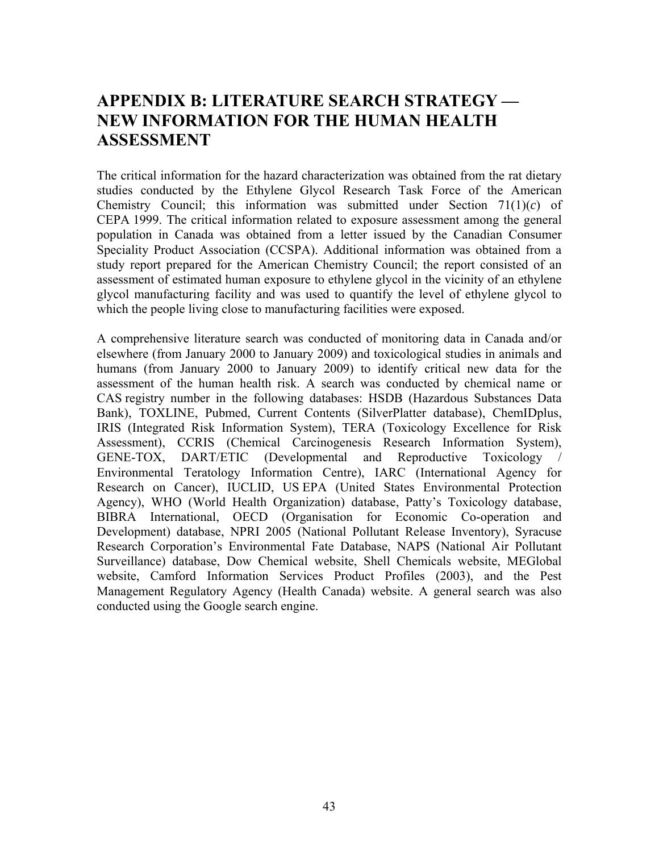# <span id="page-49-0"></span>**APPENDIX B: LITERATURE SEARCH STRATEGY — NEW INFORMATION FOR THE HUMAN HEALTH ASSESSMENT**

The critical information for the hazard characterization was obtained from the rat dietary studies conducted by the Ethylene Glycol Research Task Force of the American Chemistry Council; this information was submitted under Section  $71(1)(c)$  of CEPA 1999. The critical information related to exposure assessment among the general population in Canada was obtained from a letter issued by the Canadian Consumer Speciality Product Association (CCSPA). Additional information was obtained from a study report prepared for the American Chemistry Council; the report consisted of an assessment of estimated human exposure to ethylene glycol in the vicinity of an ethylene glycol manufacturing facility and was used to quantify the level of ethylene glycol to which the people living close to manufacturing facilities were exposed.

A comprehensive literature search was conducted of monitoring data in Canada and/or elsewhere (from January 2000 to January 2009) and toxicological studies in animals and humans (from January 2000 to January 2009) to identify critical new data for the assessment of the human health risk. A search was conducted by chemical name or CAS registry number in the following databases: HSDB (Hazardous Substances Data Bank), TOXLINE, Pubmed, Current Contents (SilverPlatter database), ChemIDplus, IRIS (Integrated Risk Information System), TERA (Toxicology Excellence for Risk Assessment), CCRIS (Chemical Carcinogenesis Research Information System), GENE-TOX, DART/ETIC (Developmental and Reproductive Toxicology / Environmental Teratology Information Centre), IARC (International Agency for Research on Cancer), IUCLID, US EPA (United States Environmental Protection Agency), WHO (World Health Organization) database, Patty's Toxicology database, BIBRA International, OECD (Organisation for Economic Co-operation and Development) database, NPRI 2005 (National Pollutant Release Inventory), Syracuse Research Corporation's Environmental Fate Database, NAPS (National Air Pollutant Surveillance) database, Dow Chemical website, Shell Chemicals website, MEGlobal website, Camford Information Services Product Profiles (2003), and the Pest Management Regulatory Agency (Health Canada) website. A general search was also conducted using the Google search engine.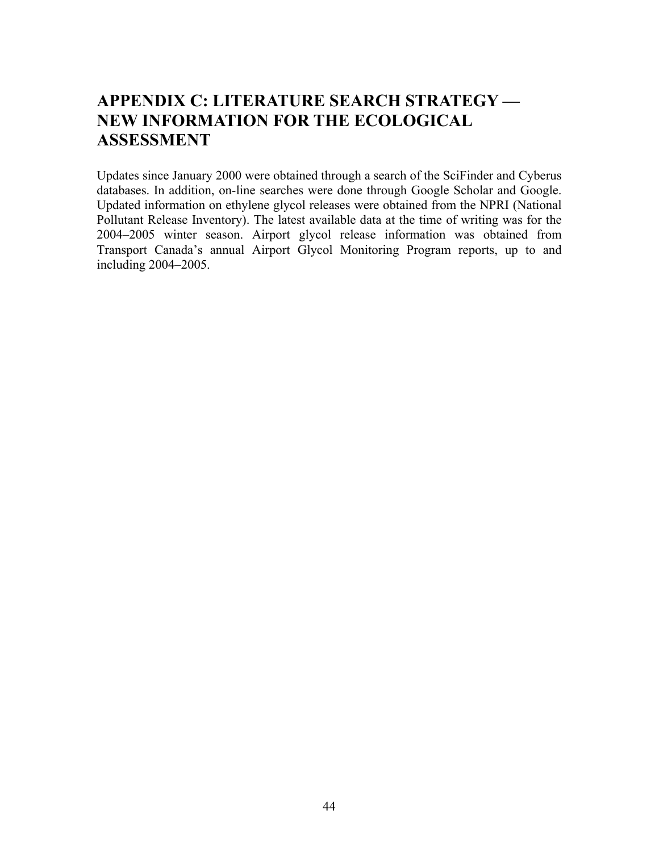# <span id="page-50-0"></span>**APPENDIX C: LITERATURE SEARCH STRATEGY — NEW INFORMATION FOR THE ECOLOGICAL ASSESSMENT**

Updates since January 2000 were obtained through a search of the SciFinder and Cyberus databases. In addition, on-line searches were done through Google Scholar and Google. Updated information on ethylene glycol releases were obtained from the NPRI (National Pollutant Release Inventory). The latest available data at the time of writing was for the 2004–2005 winter season. Airport glycol release information was obtained from Transport Canada's annual Airport Glycol Monitoring Program reports, up to and including 2004–2005.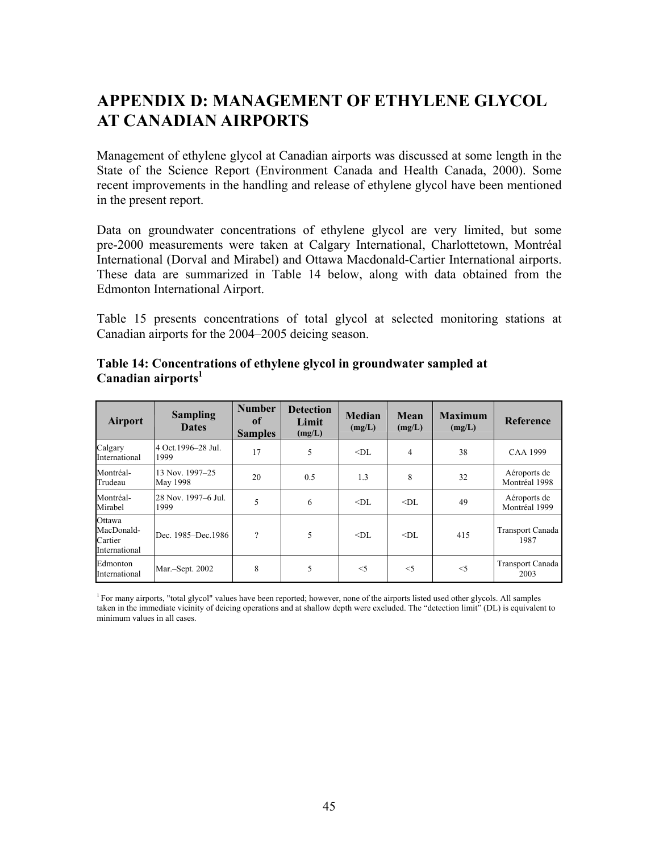# <span id="page-51-0"></span>**APPENDIX D: MANAGEMENT OF ETHYLENE GLYCOL AT CANADIAN AIRPORTS**

Management of ethylene glycol at Canadian airports was discussed at some length in the State of the Science Report (Environment Canada and Health Canada, 2000). Some recent improvements in the handling and release of ethylene glycol have been mentioned in the present report.

Data on groundwater concentrations of ethylene glycol are very limited, but some pre-2000 measurements were taken at Calgary International, Charlottetown, Montréal International (Dorval and Mirabel) and Ottawa Macdonald-Cartier International airports. These data are summarized in Table 14 below, along with data obtained from the Edmonton International Airport.

Table 15 presents concentrations of total glycol at selected monitoring stations at Canadian airports for the 2004–2005 deicing season.

| <b>Airport</b>                                   | <b>Sampling</b><br><b>Dates</b> | <b>Number</b><br>0f<br><b>Samples</b> | <b>Detection</b><br>Limit<br>(mg/L) | <b>Median</b><br>(mg/L) | Mean<br>(mg/L) | <b>Maximum</b><br>(mg/L) | <b>Reference</b>              |
|--------------------------------------------------|---------------------------------|---------------------------------------|-------------------------------------|-------------------------|----------------|--------------------------|-------------------------------|
| Calgary<br>International                         | 4 Oct. 1996–28 Jul.<br>1999     | 17                                    | 5                                   | $<$ DL                  | $\overline{4}$ | 38                       | <b>CAA 1999</b>               |
| Montréal-<br>Trudeau                             | 13 Nov. 1997-25<br>May 1998     | 20                                    | 0.5                                 | 1.3                     | 8              | 32                       | Aéroports de<br>Montréal 1998 |
| Montréal-<br>Mirabel                             | 28 Nov. 1997-6 Jul.<br>1999     | 5                                     | 6                                   | $<$ DI.                 | $<$ DL         | 49                       | Aéroports de<br>Montréal 1999 |
| Ottawa<br>MacDonald-<br>Cartier<br>International | Dec. 1985–Dec. 1986             | ?                                     | 5                                   | $<$ DL                  | $<$ DL         | 415                      | Transport Canada<br>1987      |
| Edmonton<br>International                        | Mar.-Sept. 2002                 | 8                                     | 5                                   | $<$ 5                   | $<$ 5          | $<$ 5                    | Transport Canada<br>2003      |

#### **Table 14: Concentrations of ethylene glycol in groundwater sampled at**  Canadian airports<sup>1</sup>

<sup>1</sup> For many airports, "total glycol" values have been reported; however, none of the airports listed used other glycols. All samples taken in the immediate vicinity of deicing operations and at shallow depth were excluded. The "detection limit" (DL) is equivalent to minimum values in all cases.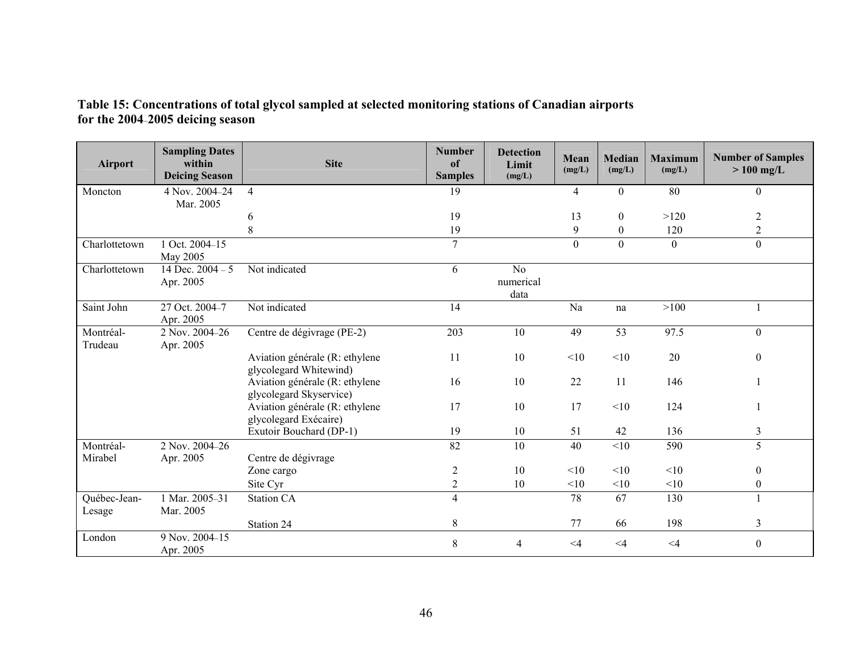| <b>Airport</b>         | <b>Sampling Dates</b><br>within<br><b>Deicing Season</b> | <b>Site</b>                                               | <b>Number</b><br><sub>of</sub><br><b>Samples</b> | <b>Detection</b><br>Limit<br>(mg/L) | Mean<br>(mg/L) | <b>Median</b><br>(mg/L) | <b>Maximum</b><br>(mg/L) | <b>Number of Samples</b><br>$>100$ mg/L |
|------------------------|----------------------------------------------------------|-----------------------------------------------------------|--------------------------------------------------|-------------------------------------|----------------|-------------------------|--------------------------|-----------------------------------------|
| Moncton                | 4 Nov. 2004-24<br>Mar. 2005                              | $\overline{4}$                                            | 19                                               |                                     | 4              | $\theta$                | 80                       | $\theta$                                |
|                        |                                                          | 6                                                         | 19                                               |                                     | 13             | $\overline{0}$          | >120                     | 2                                       |
|                        |                                                          | 8                                                         | 19                                               |                                     | 9              | $\overline{0}$          | 120                      | 2                                       |
| Charlottetown          | 1 Oct. 2004-15<br>May 2005                               |                                                           | $\overline{7}$                                   |                                     | $\mathbf{0}$   | $\theta$                | $\boldsymbol{0}$         | $\boldsymbol{0}$                        |
| Charlottetown          | 14 Dec. $2004 - 5$<br>Apr. 2005                          | Not indicated                                             | 6                                                | No<br>numerical<br>data             |                |                         |                          |                                         |
| Saint John             | 27 Oct. 2004-7<br>Apr. 2005                              | Not indicated                                             | 14                                               |                                     | Na             | na                      | >100                     |                                         |
| Montréal-<br>Trudeau   | 2 Nov. 2004-26<br>Apr. 2005                              | Centre de dégivrage (PE-2)                                | 203                                              | 10                                  | 49             | 53                      | 97.5                     | $\overline{0}$                          |
|                        |                                                          | Aviation générale (R: ethylene<br>glycolegard Whitewind)  | 11                                               | 10                                  | <10            | <10                     | 20                       | $\mathbf{0}$                            |
|                        |                                                          | Aviation générale (R: ethylene<br>glycolegard Skyservice) | 16                                               | 10                                  | 22             | 11                      | 146                      |                                         |
|                        |                                                          | Aviation générale (R: ethylene<br>glycolegard Exécaire)   | 17                                               | 10                                  | 17             | <10                     | 124                      |                                         |
|                        |                                                          | Exutoir Bouchard (DP-1)                                   | 19                                               | 10                                  | 51             | 42                      | 136                      | 3                                       |
| Montréal-<br>Mirabel   | 2 Nov. 2004-26<br>Apr. 2005                              | Centre de dégivrage                                       | 82                                               | 10                                  | 40             | <10                     | 590                      | 5                                       |
|                        |                                                          | Zone cargo                                                | $\overline{2}$                                   | 10                                  | <10            | <10                     | <10                      | $\boldsymbol{0}$                        |
|                        |                                                          | Site Cyr                                                  | $\overline{c}$                                   | 10                                  | <10            | <10                     | <10                      | $\boldsymbol{0}$                        |
| Québec-Jean-<br>Lesage | 1 Mar. 2005-31<br>Mar. 2005                              | <b>Station CA</b>                                         | $\overline{4}$                                   |                                     | 78             | 67                      | 130                      |                                         |
|                        |                                                          | Station 24                                                | $8\,$                                            |                                     | 77             | 66                      | 198                      | 3                                       |
| London                 | 9 Nov. 2004-15<br>Apr. 2005                              |                                                           | 8                                                | $\overline{4}$                      | $\leq 4$       | $\leq 4$                | $\leq 4$                 | $\boldsymbol{0}$                        |

#### **Table 15: Concentrations of total glycol sampled at selected monitoring stations of Canadian airports for the 2004**–**2005 deicing season**